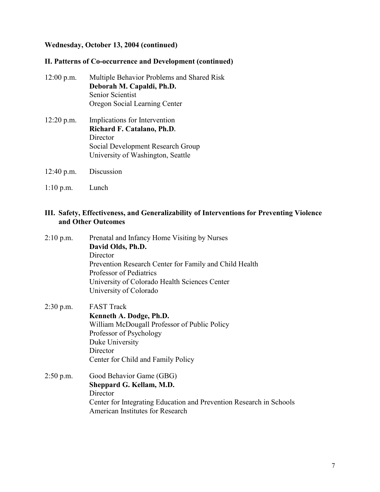### **Wednesday, October 13, 2004 (continued)**

### **II. Patterns of Co-occurrence and Development (continued)**

- 12:00 p.m. Multiple Behavior Problems and Shared Risk **Deborah M. Capaldi, Ph.D.**  Senior Scientist Oregon Social Learning Center
- 12:20 p.m. Implications for Intervention **Richard F. Catalano, Ph.D.**  Director Social Development Research Group University of Washington, Seattle
- 12:40 p.m. Discussion
- 1:10 p.m. Lunch

### **III. Safety, Effectiveness, and Generalizability of Interventions for Preventing Violence and Other Outcomes**

| $2:10$ p.m. | Prenatal and Infancy Home Visiting by Nurses           |
|-------------|--------------------------------------------------------|
|             | David Olds, Ph.D.                                      |
|             | Director                                               |
|             | Prevention Research Center for Family and Child Health |
|             | Professor of Pediatrics                                |
|             | University of Colorado Health Sciences Center          |
|             | University of Colorado                                 |
|             |                                                        |

- 2:30 p.m. FAST Track **Kenneth A. Dodge, Ph.D.**  William McDougall Professor of Public Policy Professor of Psychology Duke University **Director** Center for Child and Family Policy
- 2:50 p.m. Good Behavior Game (GBG) **Sheppard G. Kellam, M.D.**  Director Center for Integrating Education and Prevention Research in Schools American Institutes for Research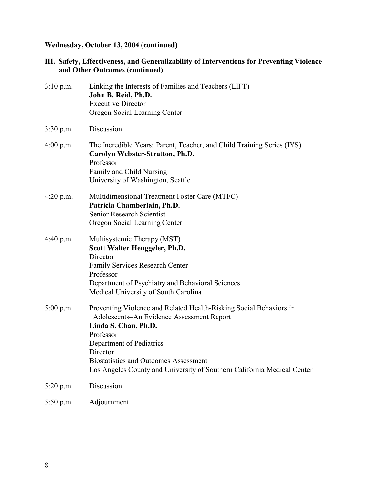# **Wednesday, October 13, 2004 (continued)**

# **III. Safety, Effectiveness, and Generalizability of Interventions for Preventing Violence and Other Outcomes (continued)**

| $3:10$ p.m. | Linking the Interests of Families and Teachers (LIFT)<br>John B. Reid, Ph.D.<br><b>Executive Director</b><br>Oregon Social Learning Center                                                                                                                                                                              |
|-------------|-------------------------------------------------------------------------------------------------------------------------------------------------------------------------------------------------------------------------------------------------------------------------------------------------------------------------|
| $3:30$ p.m. | Discussion                                                                                                                                                                                                                                                                                                              |
| 4:00 p.m.   | The Incredible Years: Parent, Teacher, and Child Training Series (IYS)<br>Carolyn Webster-Stratton, Ph.D.<br>Professor<br>Family and Child Nursing<br>University of Washington, Seattle                                                                                                                                 |
| $4:20$ p.m. | Multidimensional Treatment Foster Care (MTFC)<br>Patricia Chamberlain, Ph.D.<br>Senior Research Scientist<br>Oregon Social Learning Center                                                                                                                                                                              |
| 4:40 p.m.   | Multisystemic Therapy (MST)<br>Scott Walter Henggeler, Ph.D.<br>Director<br><b>Family Services Research Center</b><br>Professor<br>Department of Psychiatry and Behavioral Sciences<br>Medical University of South Carolina                                                                                             |
| $5:00$ p.m. | Preventing Violence and Related Health-Risking Social Behaviors in<br>Adolescents-An Evidence Assessment Report<br>Linda S. Chan, Ph.D.<br>Professor<br>Department of Pediatrics<br>Director<br><b>Biostatistics and Outcomes Assessment</b><br>Los Angeles County and University of Southern California Medical Center |
| $5:20$ p.m. | Discussion                                                                                                                                                                                                                                                                                                              |
|             |                                                                                                                                                                                                                                                                                                                         |

5:50 p.m. Adjournment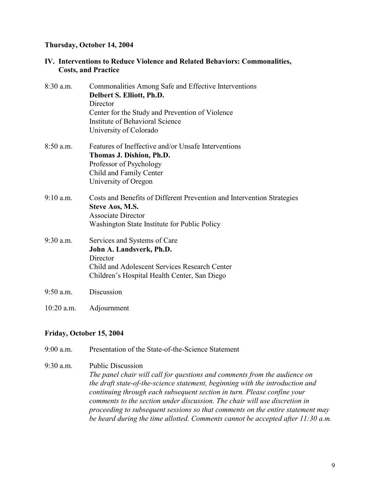### **Thursday, October 14, 2004**

**IV. Interventions to Reduce Violence and Related Behaviors: Commonalities, Costs, and Practice** 

| $8:30$ a.m. | Commonalities Among Safe and Effective Interventions<br>Delbert S. Elliott, Ph.D.<br>Director<br>Center for the Study and Prevention of Violence<br>Institute of Behavioral Science<br>University of Colorado |
|-------------|---------------------------------------------------------------------------------------------------------------------------------------------------------------------------------------------------------------|
| $8:50$ a.m. | Features of Ineffective and/or Unsafe Interventions<br>Thomas J. Dishion, Ph.D.<br>Professor of Psychology<br>Child and Family Center<br>University of Oregon                                                 |
| $9:10$ a.m. | Costs and Benefits of Different Prevention and Intervention Strategies<br>Steve Aos, M.S.<br><b>Associate Director</b><br>Washington State Institute for Public Policy                                        |
| $9:30$ a.m. | Services and Systems of Care<br>John A. Landsverk, Ph.D.<br>Director<br>Child and Adolescent Services Research Center<br>Children's Hospital Health Center, San Diego                                         |
| $9:50$ a.m. | Discussion                                                                                                                                                                                                    |

10:20 a.m. Adjournment

# **Friday, October 15, 2004**

- 9:00 a.m. Presentation of the State-of-the-Science Statement
- 9:30 a.m. Public Discussion *The panel chair will call for questions and comments from the audience on the draft state-of-the-science statement, beginning with the introduction and continuing through each subsequent section in turn. Please confine your comments to the section under discussion. The chair will use discretion in proceeding to subsequent sessions so that comments on the entire statement may be heard during the time allotted. Comments cannot be accepted after 11:30 a.m.*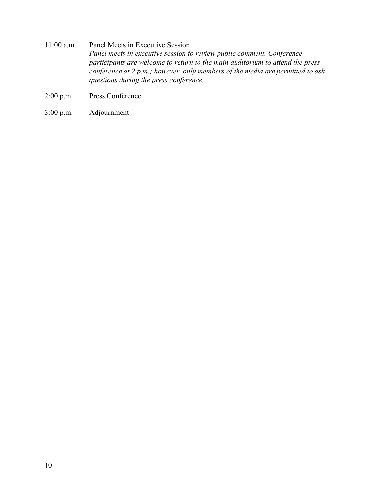- 11:00 a.m. Panel Meets in Executive Session *Panel meets in executive session to review public comment. Conference participants are welcome to return to the main auditorium to attend the press conference at 2 p.m.; however, only members of the media are permitted to ask questions during the press conference.*
- 2:00 p.m. Press Conference
- 3:00 p.m. Adjournment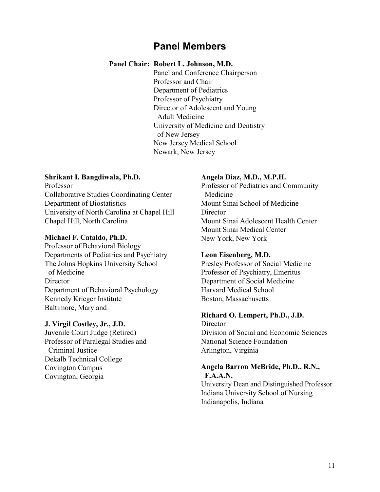# **Panel Members**

# **Panel Chair: Robert L. Johnson, M.D.**

Panel and Conference Chairperson Professor and Chair Department of Pediatrics Professor of Psychiatry Director of Adolescent and Young Adult Medicine University of Medicine and Dentistry of New Jersey New Jersey Medical School Newark, New Jersey

# **Shrikant I. Bangdiwala, Ph.D.**

Professor Collaborative Studies Coordinating Center Department of Biostatistics University of North Carolina at Chapel Hill Chapel Hill, North Carolina

# **Michael F. Cataldo, Ph.D.**

Professor of Behavioral Biology Departments of Pediatrics and Psychiatry The Johns Hopkins University School of Medicine **Director** Department of Behavioral Psychology Kennedy Krieger Institute Baltimore, Maryland

# **J. Virgil Costley, Jr., J.D.**

Juvenile Court Judge (Retired) Professor of Paralegal Studies and Criminal Justice Dekalb Technical College Covington Campus Covington, Georgia

# **Angela Diaz, M.D., M.P.H.**

 Professor of Pediatrics and Community Medicine Mount Sinai School of Medicine **Director** Mount Sinai Adolescent Health Center Mount Sinai Medical Center New York, New York

# **Leon Eisenberg, M.D.**

Presley Professor of Social Medicine Professor of Psychiatry, Emeritus Department of Social Medicine Harvard Medical School Boston, Massachusetts

# **Richard O. Lempert, Ph.D., J.D.**

**Director** Division of Social and Economic Sciences National Science Foundation Arlington, Virginia

### **Angela Barron McBride, Ph.D., R.N., F.A.A.N.**

University Dean and Distinguished Professor Indiana University School of Nursing Indianapolis, Indiana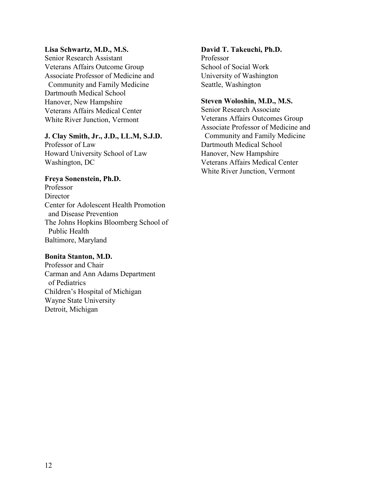### **Lisa Schwartz, M.D., M.S.**

Senior Research Assistant Veterans Affairs Outcome Group Associate Professor of Medicine and Community and Family Medicine Dartmouth Medical School Hanover, New Hampshire Veterans Affairs Medical Center White River Junction, Vermont

#### **J. Clay Smith, Jr., J.D., LL.M, S.J.D.**

Professor of Law Howard University School of Law Washington, DC

#### **Freya Sonenstein, Ph.D.**

Professor **Director** Center for Adolescent Health Promotion and Disease Prevention The Johns Hopkins Bloomberg School of Public Health Baltimore, Maryland

### **Bonita Stanton, M.D.**

Professor and Chair Carman and Ann Adams Department of Pediatrics Children's Hospital of Michigan Wayne State University Detroit, Michigan

# **David T. Takeuchi, Ph.D.**

Professor School of Social Work University of Washington Seattle, Washington

#### **Steven Woloshin, M.D., M.S.**

Senior Research Associate Veterans Affairs Outcomes Group Associate Professor of Medicine and Community and Family Medicine Dartmouth Medical School Hanover, New Hampshire Veterans Affairs Medical Center White River Junction, Vermont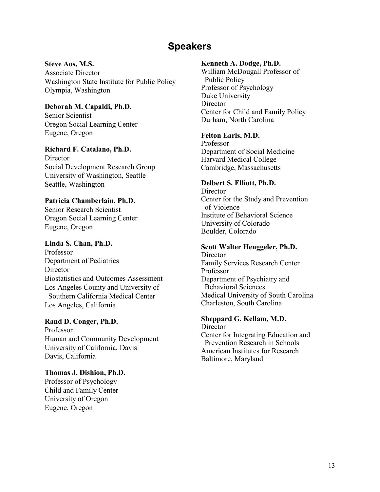# **Speakers**

### **Steve Aos, M.S.**

Associate Director Washington State Institute for Public Policy Olympia, Washington

# **Deborah M. Capaldi, Ph.D.**  Senior Scientist Oregon Social Learning Center Eugene, Oregon

**Richard F. Catalano, Ph.D. Director** Social Development Research Group University of Washington, Seattle Seattle, Washington

# **Patricia Chamberlain, Ph.D.**

Senior Research Scientist Oregon Social Learning Center Eugene, Oregon

# **Linda S. Chan, Ph.D.**

Professor Department of Pediatrics **Director** Biostatistics and Outcomes Assessment Los Angeles County and University of Southern California Medical Center Los Angeles, California

# **Rand D. Conger, Ph.D.**

Professor Human and Community Development University of California, Davis Davis, California

# **Thomas J. Dishion, Ph.D.**

Professor of Psychology Child and Family Center University of Oregon Eugene, Oregon

### **Kenneth A. Dodge, Ph.D.**

William McDougall Professor of Public Policy Professor of Psychology Duke University **Director** Center for Child and Family Policy Durham, North Carolina

# **Felton Earls, M.D.**

Professor Department of Social Medicine Harvard Medical College Cambridge, Massachusetts

# **Delbert S. Elliott, Ph.D.**

**Director** Center for the Study and Prevention of Violence Institute of Behavioral Science University of Colorado Boulder, Colorado

# **Scott Walter Henggeler, Ph.D.**

**Director** Family Services Research Center Professor Department of Psychiatry and Behavioral Sciences Medical University of South Carolina Charleston, South Carolina

# **Sheppard G. Kellam, M.D.**

**Director** Center for Integrating Education and Prevention Research in Schools American Institutes for Research Baltimore, Maryland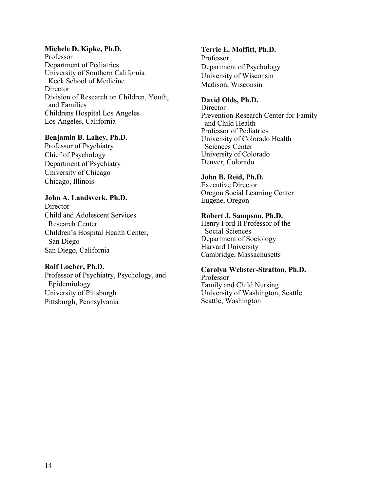### **Michele D. Kipke, Ph.D.**

Professor Department of Pediatrics University of Southern California Keck School of Medicine **Director** Division of Research on Children, Youth, and Families Childrens Hospital Los Angeles Los Angeles, California

### **Benjamin B. Lahey, Ph.D.**

Professor of Psychiatry Chief of Psychology Department of Psychiatry University of Chicago Chicago, Illinois

### **John A. Landsverk, Ph.D.**

**Director** Child and Adolescent Services Research Center Children's Hospital Health Center, San Diego San Diego, California

### **Rolf Loeber, Ph.D.**

Professor of Psychiatry, Psychology, and Epidemiology University of Pittsburgh Pittsburgh, Pennsylvania

#### **Terrie E. Moffitt, Ph.D.**

Professor Department of Psychology University of Wisconsin Madison, Wisconsin

#### **David Olds, Ph.D.**

 Prevention Research Center for Family **Director** and Child Health Professor of Pediatrics University of Colorado Health Sciences Center University of Colorado Denver, Colorado

#### **John B. Reid, Ph.D.**

Executive Director Oregon Social Learning Center Eugene, Oregon

#### **Robert J. Sampson, Ph.D.**

Henry Ford II Professor of the Social Sciences Department of Sociology Harvard University Cambridge, Massachusetts

# **Carolyn Webster-Stratton, Ph.D.**

Professor Family and Child Nursing University of Washington, Seattle Seattle, Washington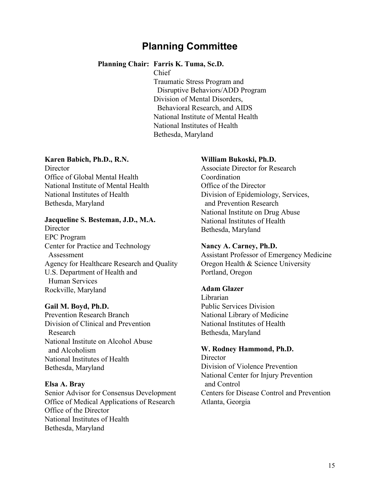# **Planning Committee**

# **Planning Chair: Farris K. Tuma, Sc.D.**

Chief

Traumatic Stress Program and Disruptive Behaviors/ADD Program Division of Mental Disorders, Behavioral Research, and AIDS National Institute of Mental Health National Institutes of Health Bethesda, Maryland

### **Karen Babich, Ph.D., R.N.**

**Director** Office of Global Mental Health National Institute of Mental Health National Institutes of Health Bethesda, Maryland

### **Jacqueline S. Besteman, J.D., M.A.**

 Center for Practice and Technology **Director** EPC Program Assessment Agency for Healthcare Research and Quality U.S. Department of Health and Human Services Rockville, Maryland

# **Gail M. Boyd, Ph.D.**

Prevention Research Branch Division of Clinical and Prevention Research National Institute on Alcohol Abuse and Alcoholism National Institutes of Health Bethesda, Maryland

### **Elsa A. Bray**

Senior Advisor for Consensus Development Office of Medical Applications of Research Office of the Director National Institutes of Health Bethesda, Maryland

### **William Bukoski, Ph.D.**

Associate Director for Research Coordination Office of the Director Division of Epidemiology, Services, and Prevention Research National Institute on Drug Abuse National Institutes of Health Bethesda, Maryland

### **Nancy A. Carney, Ph.D.**

Assistant Professor of Emergency Medicine Oregon Health & Science University Portland, Oregon

# **Adam Glazer**

Librarian Public Services Division National Library of Medicine National Institutes of Health Bethesda, Maryland

# **W. Rodney Hammond, Ph.D.**

**Director** Division of Violence Prevention National Center for Injury Prevention and Control Centers for Disease Control and Prevention Atlanta, Georgia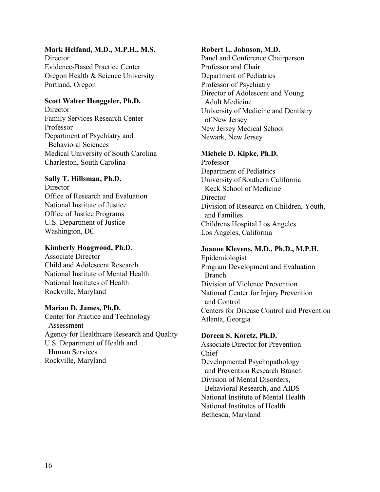# **Mark Helfand, M.D., M.P.H., M.S.**

**Director** Evidence-Based Practice Center Oregon Health & Science University Portland, Oregon

### **Scott Walter Henggeler, Ph.D.**

**Director** Family Services Research Center Professor Department of Psychiatry and Behavioral Sciences Medical University of South Carolina Charleston, South Carolina

### **Sally T. Hillsman, Ph.D.**

**Director** Office of Research and Evaluation National Institute of Justice Office of Justice Programs U.S. Department of Justice Washington, DC

# **Kimberly Hoagwood, Ph.D.**

Associate Director Child and Adolescent Research National Institute of Mental Health National Institutes of Health Rockville, Maryland

# **Marian D. James, Ph.D.**

 Center for Practice and Technology Assessment Agency for Healthcare Research and Quality U.S. Department of Health and Human Services Rockville, Maryland

### **Robert L. Johnson, M.D.**

 Director of Adolescent and Young University of Medicine and Dentistry Panel and Conference Chairperson Professor and Chair Department of Pediatrics Professor of Psychiatry Adult Medicine of New Jersey New Jersey Medical School Newark, New Jersey

### **Michele D. Kipke, Ph.D.**

Professor Department of Pediatrics University of Southern California Keck School of Medicine **Director** Division of Research on Children, Youth, and Families Childrens Hospital Los Angeles Los Angeles, California

### **Joanne Klevens, M.D., Ph.D., M.P.H.**

Epidemiologist Program Development and Evaluation Branch Division of Violence Prevention National Center for Injury Prevention and Control Centers for Disease Control and Prevention Atlanta, Georgia

# **Doreen S. Koretz, Ph.D.**

Associate Director for Prevention Chief Developmental Psychopathology and Prevention Research Branch Division of Mental Disorders, Behavioral Research, and AIDS National Institute of Mental Health National Institutes of Health Bethesda, Maryland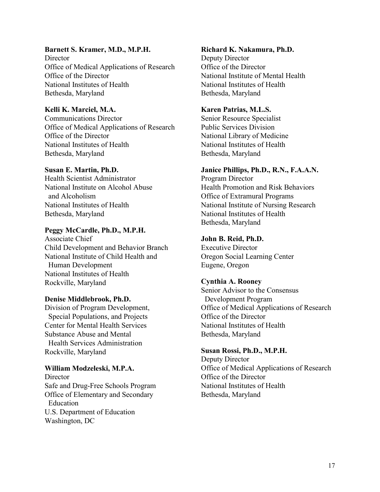### **Barnett S. Kramer, M.D., M.P.H.**

**Director** Office of Medical Applications of Research Office of the Director National Institutes of Health Bethesda, Maryland

### **Kelli K. Marciel, M.A.**

Communications Director Office of Medical Applications of Research Office of the Director National Institutes of Health Bethesda, Maryland

### **Susan E. Martin, Ph.D.**

Health Scientist Administrator National Institute on Alcohol Abuse and Alcoholism National Institutes of Health Bethesda, Maryland

### **Peggy McCardle, Ph.D., M.P.H.**

Associate Chief Child Development and Behavior Branch National Institute of Child Health and Human Development National Institutes of Health Rockville, Maryland

### **Denise Middlebrook, Ph.D.**

Division of Program Development, Special Populations, and Projects Center for Mental Health Services Substance Abuse and Mental Health Services Administration Rockville, Maryland

### **William Modzeleski, M.P.A. Director** Safe and Drug-Free Schools Program Office of Elementary and Secondary Education U.S. Department of Education Washington, DC

### **Richard K. Nakamura, Ph.D.**

Deputy Director Office of the Director National Institute of Mental Health National Institutes of Health Bethesda, Maryland

### **Karen Patrias, M.L.S.**

Senior Resource Specialist Public Services Division National Library of Medicine National Institutes of Health Bethesda, Maryland

### **Janice Phillips, Ph.D., R.N., F.A.A.N.**

Program Director Health Promotion and Risk Behaviors Office of Extramural Programs National Institute of Nursing Research National Institutes of Health Bethesda, Maryland

### **John B. Reid, Ph.D.**

Executive Director Oregon Social Learning Center Eugene, Oregon

### **Cynthia A. Rooney**

Senior Advisor to the Consensus Development Program Office of Medical Applications of Research Office of the Director National Institutes of Health Bethesda, Maryland

# **Susan Rossi, Ph.D., M.P.H.**

Deputy Director Office of Medical Applications of Research Office of the Director National Institutes of Health Bethesda, Maryland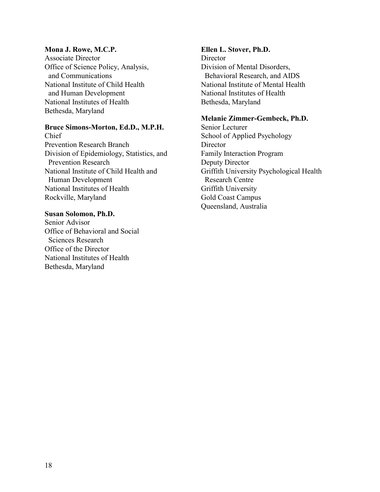### **Mona J. Rowe, M.C.P.**

Associate Director Office of Science Policy, Analysis, and Communications National Institute of Child Health and Human Development National Institutes of Health Bethesda, Maryland

### **Bruce Simons-Morton, Ed.D., M.P.H.**

Chief Prevention Research Branch Division of Epidemiology, Statistics, and Prevention Research National Institute of Child Health and Human Development National Institutes of Health Rockville, Maryland

#### **Susan Solomon, Ph.D.**

Senior Advisor Office of Behavioral and Social Sciences Research Office of the Director National Institutes of Health Bethesda, Maryland

#### **Ellen L. Stover, Ph.D.**

**Director** Division of Mental Disorders, Behavioral Research, and AIDS National Institute of Mental Health National Institutes of Health Bethesda, Maryland

#### **Melanie Zimmer-Gembeck, Ph.D.**

Senior Lecturer School of Applied Psychology **Director** Family Interaction Program Deputy Director Griffith University Psychological Health Research Centre Griffith University Gold Coast Campus Queensland, Australia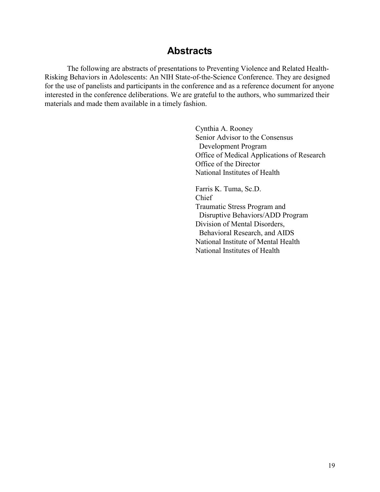# **Abstracts**

The following are abstracts of presentations to Preventing Violence and Related Health-Risking Behaviors in Adolescents: An NIH State-of-the-Science Conference. They are designed for the use of panelists and participants in the conference and as a reference document for anyone interested in the conference deliberations. We are grateful to the authors, who summarized their materials and made them available in a timely fashion.

> Cynthia A. Rooney Senior Advisor to the Consensus Development Program Office of Medical Applications of Research Office of the Director National Institutes of Health

Farris K. Tuma, Sc.D. Chief Traumatic Stress Program and Disruptive Behaviors/ADD Program Division of Mental Disorders, Behavioral Research, and AIDS National Institute of Mental Health National Institutes of Health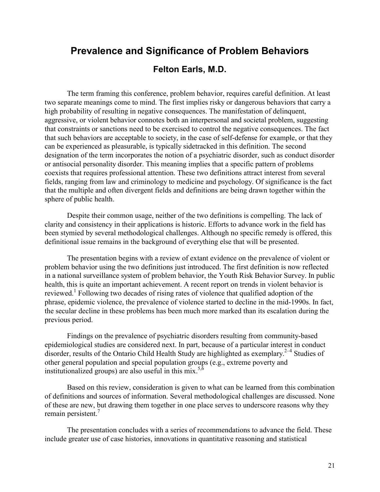# **Prevalence and Significance of Problem Behaviors**

# **Felton Earls, M.D.**

The term framing this conference, problem behavior, requires careful definition. At least two separate meanings come to mind. The first implies risky or dangerous behaviors that carry a high probability of resulting in negative consequences. The manifestation of delinquent, aggressive, or violent behavior connotes both an interpersonal and societal problem, suggesting that constraints or sanctions need to be exercised to control the negative consequences. The fact that such behaviors are acceptable to society, in the case of self-defense for example, or that they can be experienced as pleasurable, is typically sidetracked in this definition. The second designation of the term incorporates the notion of a psychiatric disorder, such as conduct disorder or antisocial personality disorder. This meaning implies that a specific pattern of problems coexists that requires professional attention. These two definitions attract interest from several fields, ranging from law and criminology to medicine and psychology. Of significance is the fact that the multiple and often divergent fields and definitions are being drawn together within the sphere of public health.

Despite their common usage, neither of the two definitions is compelling. The lack of clarity and consistency in their applications is historic. Efforts to advance work in the field has been stymied by several methodological challenges. Although no specific remedy is offered, this definitional issue remains in the background of everything else that will be presented.

The presentation begins with a review of extant evidence on the prevalence of violent or problem behavior using the two definitions just introduced. The first definition is now reflected in a national surveillance system of problem behavior, the Youth Risk Behavior Survey. In public health, this is quite an important achievement. A recent report on trends in violent behavior is reviewed.<sup>1</sup> Following two decades of rising rates of violence that qualified adoption of the phrase, epidemic violence, the prevalence of violence started to decline in the mid-1990s. In fact, the secular decline in these problems has been much more marked than its escalation during the previous period.

Findings on the prevalence of psychiatric disorders resulting from community-based epidemiological studies are considered next. In part, because of a particular interest in conduct disorder, results of the Ontario Child Health Study are highlighted as exemplary.<sup>2–4</sup> Studies of other general population and special population groups (e.g., extreme poverty and institutionalized groups) are also useful in this mix.<sup>5, $\delta$ </sup>

Based on this review, consideration is given to what can be learned from this combination of definitions and sources of information. Several methodological challenges are discussed. None of these are new, but drawing them together in one place serves to underscore reasons why they remain persistent.<sup>7</sup>

The presentation concludes with a series of recommendations to advance the field. These include greater use of case histories, innovations in quantitative reasoning and statistical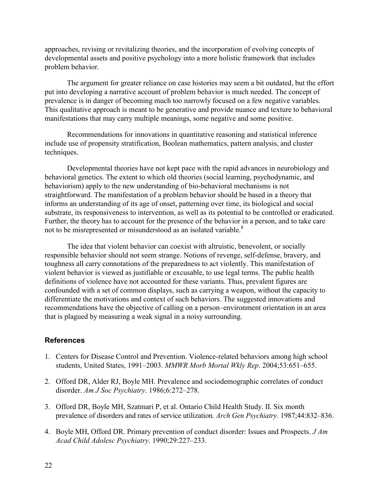approaches, revising or revitalizing theories, and the incorporation of evolving concepts of developmental assets and positive psychology into a more holistic framework that includes problem behavior.

The argument for greater reliance on case histories may seem a bit outdated, but the effort put into developing a narrative account of problem behavior is much needed. The concept of prevalence is in danger of becoming much too narrowly focused on a few negative variables. This qualitative approach is meant to be generative and provide nuance and texture to behavioral manifestations that may carry multiple meanings, some negative and some positive.

Recommendations for innovations in quantitative reasoning and statistical inference include use of propensity stratification, Boolean mathematics, pattern analysis, and cluster techniques.

Developmental theories have not kept pace with the rapid advances in neurobiology and behavioral genetics. The extent to which old theories (social learning, psychodynamic, and behaviorism) apply to the new understanding of bio-behavioral mechanisms is not straightforward. The manifestation of a problem behavior should be based in a theory that informs an understanding of its age of onset, patterning over time, its biological and social substrate, its responsiveness to intervention, as well as its potential to be controlled or eradicated. Further, the theory has to account for the presence of the behavior in a person, and to take care not to be misrepresented or misunderstood as an isolated variable.<sup>8</sup>

The idea that violent behavior can coexist with altruistic, benevolent, or socially responsible behavior should not seem strange. Notions of revenge, self-defense, bravery, and toughness all carry connotations of the preparedness to act violently. This manifestation of violent behavior is viewed as justifiable or excusable, to use legal terms. The public health definitions of violence have not accounted for these variants. Thus, prevalent figures are confounded with a set of common displays, such as carrying a weapon, without the capacity to differentiate the motivations and context of such behaviors. The suggested innovations and recommendations have the objective of calling on a person–environment orientation in an area that is plagued by measuring a weak signal in a noisy surrounding.

# **References**

- 1. Centers for Disease Control and Prevention. Violence-related behaviors among high school students, United States, 1991–2003. *MMWR Morb Mortal Wkly Rep*. 2004;53:651–655.
- 2. Offord DR, Alder RJ, Boyle MH. Prevalence and sociodemographic correlates of conduct disorder. *Am J Soc Psychiatry*. 1986;6:272–278.
- 3. Offord DR, Boyle MH, Szatmari P, et al. Ontario Child Health Study. II. Six month prevalence of disorders and rates of service utilization. *Arch Gen Psychiatry*. 1987;44:832–836.
- 4. Boyle MH, Offord DR. Primary prevention of conduct disorder: Issues and Prospects. *J Am Acad Child Adolesc Psychiatry*. 1990;29:227–233.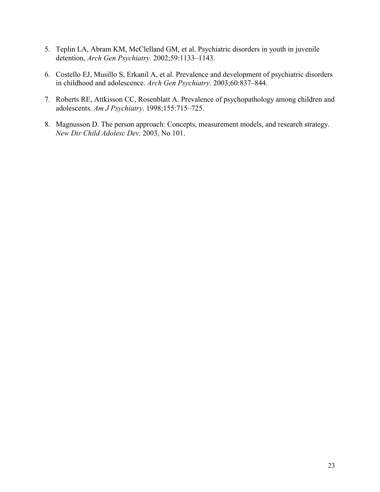- 5. Teplin LA, Abram KM, McClelland GM, et al. Psychiatric disorders in youth in juvenile detention, *Arch Gen Psychiatry*. 2002;59:1133–1143.
- 6. Costello EJ, Musillo S, Erkanil A, et al. Prevalence and development of psychiatric disorders in childhood and adolescence. *Arch Gen Psychiatry*. 2003;60:837–844.
- 7. Roberts RE, Attkisson CC, Rosenblatt A. Prevalence of psychopathology among children and adolescents. *Am J Psychiatry*. 1998;155:715–725.
- 8. Magnusson D. The person approach: Concepts, measurement models, and research strategy. *New Dir Child Adolesc Dev*. 2003, No 101.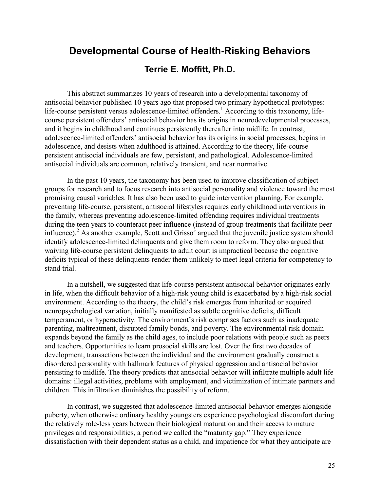# **Developmental Course of Health-Risking Behaviors**

# **Terrie E. Moffitt, Ph.D.**

This abstract summarizes 10 years of research into a developmental taxonomy of antisocial behavior published 10 years ago that proposed two primary hypothetical prototypes: life-course persistent versus adolescence-limited offenders.<sup>1</sup> According to this taxonomy, lifecourse persistent offenders' antisocial behavior has its origins in neurodevelopmental processes, and it begins in childhood and continues persistently thereafter into midlife. In contrast, adolescence-limited offenders' antisocial behavior has its origins in social processes, begins in adolescence, and desists when adulthood is attained. According to the theory, life-course persistent antisocial individuals are few, persistent, and pathological. Adolescence-limited antisocial individuals are common, relatively transient, and near normative.

In the past 10 years, the taxonomy has been used to improve classification of subject groups for research and to focus research into antisocial personality and violence toward the most promising causal variables. It has also been used to guide intervention planning. For example, preventing life-course, persistent, antisocial lifestyles requires early childhood interventions in the family, whereas preventing adolescence-limited offending requires individual treatments during the teen years to counteract peer influence (instead of group treatments that facilitate peer influence).<sup>2</sup> As another example, Scott and Grisso<sup>3</sup> argued that the juvenile justice system should identify adolescence-limited delinquents and give them room to reform. They also argued that waiving life-course persistent delinquents to adult court is impractical because the cognitive deficits typical of these delinquents render them unlikely to meet legal criteria for competency to stand trial.

In a nutshell, we suggested that life-course persistent antisocial behavior originates early in life, when the difficult behavior of a high-risk young child is exacerbated by a high-risk social environment. According to the theory, the child's risk emerges from inherited or acquired neuropsychological variation, initially manifested as subtle cognitive deficits, difficult temperament, or hyperactivity. The environment's risk comprises factors such as inadequate parenting, maltreatment, disrupted family bonds, and poverty. The environmental risk domain expands beyond the family as the child ages, to include poor relations with people such as peers and teachers. Opportunities to learn prosocial skills are lost. Over the first two decades of development, transactions between the individual and the environment gradually construct a disordered personality with hallmark features of physical aggression and antisocial behavior persisting to midlife. The theory predicts that antisocial behavior will infiltrate multiple adult life domains: illegal activities, problems with employment, and victimization of intimate partners and children. This infiltration diminishes the possibility of reform.

In contrast, we suggested that adolescence-limited antisocial behavior emerges alongside puberty, when otherwise ordinary healthy youngsters experience psychological discomfort during the relatively role-less years between their biological maturation and their access to mature privileges and responsibilities, a period we called the "maturity gap." They experience dissatisfaction with their dependent status as a child, and impatience for what they anticipate are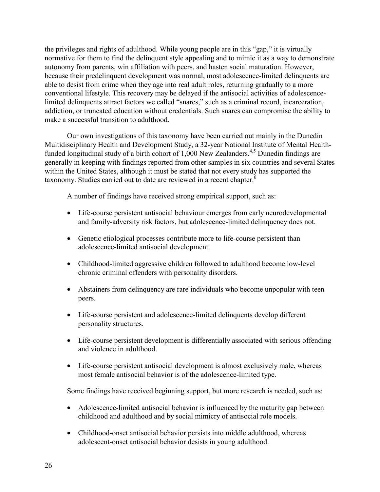the privileges and rights of adulthood. While young people are in this "gap," it is virtually normative for them to find the delinquent style appealing and to mimic it as a way to demonstrate autonomy from parents, win affiliation with peers, and hasten social maturation. However, because their predelinquent development was normal, most adolescence-limited delinquents are able to desist from crime when they age into real adult roles, returning gradually to a more conventional lifestyle. This recovery may be delayed if the antisocial activities of adolescencelimited delinquents attract factors we called "snares," such as a criminal record, incarceration, addiction, or truncated education without credentials. Such snares can compromise the ability to make a successful transition to adulthood.

Our own investigations of this taxonomy have been carried out mainly in the Dunedin Multidisciplinary Health and Development Study, a 32-year National Institute of Mental Healthfunded longitudinal study of a birth cohort of 1,000 New Zealanders.<sup>4,5</sup> Dunedin findings are generally in keeping with findings reported from other samples in six countries and several States within the United States, although it must be stated that not every study has supported the taxonomy. Studies carried out to date are reviewed in a recent chapter.<sup>6</sup>

A number of findings have received strong empirical support, such as:

- Life-course persistent antisocial behaviour emerges from early neurodevelopmental and family-adversity risk factors, but adolescence-limited delinquency does not.
- Genetic etiological processes contribute more to life-course persistent than adolescence-limited antisocial development.
- Childhood-limited aggressive children followed to adulthood become low-level chronic criminal offenders with personality disorders.
- Abstainers from delinquency are rare individuals who become unpopular with teen peers.
- Life-course persistent and adolescence-limited delinquents develop different personality structures.
- Life-course persistent development is differentially associated with serious offending and violence in adulthood.
- Life-course persistent antisocial development is almost exclusively male, whereas most female antisocial behavior is of the adolescence-limited type.

Some findings have received beginning support, but more research is needed, such as:

- Adolescence-limited antisocial behavior is influenced by the maturity gap between childhood and adulthood and by social mimicry of antisocial role models.
- Childhood-onset antisocial behavior persists into middle adulthood, whereas adolescent-onset antisocial behavior desists in young adulthood.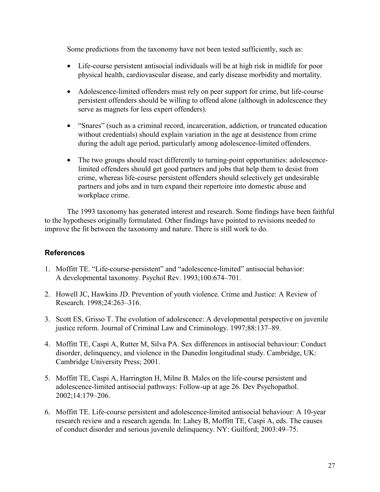Some predictions from the taxonomy have not been tested sufficiently, such as:

- Life-course persistent antisocial individuals will be at high risk in midlife for poor physical health, cardiovascular disease, and early disease morbidity and mortality.
- Adolescence-limited offenders must rely on peer support for crime, but life-course persistent offenders should be willing to offend alone (although in adolescence they serve as magnets for less expert offenders).
- "Snares" (such as a criminal record, incarceration, addiction, or truncated education without credentials) should explain variation in the age at desistence from crime during the adult age period, particularly among adolescence-limited offenders.
- The two groups should react differently to turning-point opportunities: adolescencelimited offenders should get good partners and jobs that help them to desist from crime, whereas life-course persistent offenders should selectively get undesirable partners and jobs and in turn expand their repertoire into domestic abuse and workplace crime.

The 1993 taxonomy has generated interest and research. Some findings have been faithful to the hypotheses originally formulated. Other findings have pointed to revisions needed to improve the fit between the taxonomy and nature. There is still work to do.

# **References**

- 1. Moffitt TE. "Life-course-persistent" and "adolescence-limited" antisocial behavior: A developmental taxonomy. Psychol Rev. 1993;100:674–701.
- 2. Howell JC, Hawkins JD. Prevention of youth violence. Crime and Justice: A Review of Research. 1998;24:263–316.
- 3. Scott ES, Grisso T. The evolution of adolescence: A developmental perspective on juvenile justice reform. Journal of Criminal Law and Criminology. 1997;88:137–89.
- 4. Moffitt TE, Caspi A, Rutter M, Silva PA. Sex differences in antisocial behaviour: Conduct disorder, delinquency, and violence in the Dunedin longitudinal study. Cambridge, UK: Cambridge University Press; 2001.
- 5. Moffitt TE, Caspi A, Harrington H, Milne B. Males on the life-course persistent and adolescence-limited antisocial pathways: Follow-up at age 26. Dev Psychopathol. 2002;14:179–206.
- 6. Moffitt TE. Life-course persistent and adolescence-limited antisocial behaviour: A 10-year research review and a research agenda. In: Lahey B, Moffitt TE, Caspi A, eds. The causes of conduct disorder and serious juvenile delinquency. NY: Guilford; 2003:49–75.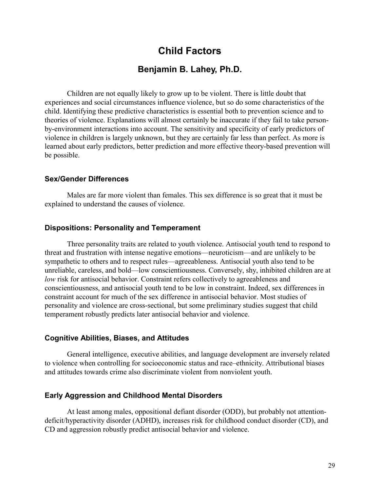# **Child Factors**

# **Benjamin B. Lahey, Ph.D.**

Children are not equally likely to grow up to be violent. There is little doubt that experiences and social circumstances influence violence, but so do some characteristics of the child. Identifying these predictive characteristics is essential both to prevention science and to theories of violence. Explanations will almost certainly be inaccurate if they fail to take personby-environment interactions into account. The sensitivity and specificity of early predictors of violence in children is largely unknown, but they are certainly far less than perfect. As more is learned about early predictors, better prediction and more effective theory-based prevention will be possible.

### **Sex/Gender Differences**

Males are far more violent than females. This sex difference is so great that it must be explained to understand the causes of violence.

### **Dispositions: Personality and Temperament**

Three personality traits are related to youth violence. Antisocial youth tend to respond to threat and frustration with intense negative emotions—neuroticism—and are unlikely to be sympathetic to others and to respect rules—agreeableness. Antisocial youth also tend to be unreliable, careless, and bold—low conscientiousness. Conversely, shy, inhibited children are at *low* risk for antisocial behavior. Constraint refers collectively to agreeableness and conscientiousness, and antisocial youth tend to be low in constraint. Indeed, sex differences in constraint account for much of the sex difference in antisocial behavior. Most studies of personality and violence are cross-sectional, but some preliminary studies suggest that child temperament robustly predicts later antisocial behavior and violence.

#### **Cognitive Abilities, Biases, and Attitudes**

General intelligence, executive abilities, and language development are inversely related to violence when controlling for socioeconomic status and race–ethnicity. Attributional biases and attitudes towards crime also discriminate violent from nonviolent youth.

#### **Early Aggression and Childhood Mental Disorders**

At least among males, oppositional defiant disorder (ODD), but probably not attentiondeficit/hyperactivity disorder (ADHD), increases risk for childhood conduct disorder (CD), and CD and aggression robustly predict antisocial behavior and violence.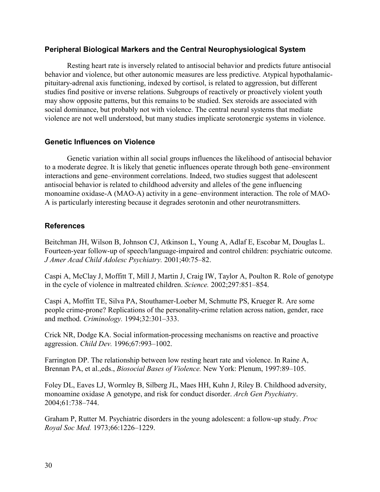# **Peripheral Biological Markers and the Central Neurophysiological System**

Resting heart rate is inversely related to antisocial behavior and predicts future antisocial behavior and violence, but other autonomic measures are less predictive. Atypical hypothalamicpituitary-adrenal axis functioning, indexed by cortisol, is related to aggression, but different studies find positive or inverse relations. Subgroups of reactively or proactively violent youth may show opposite patterns, but this remains to be studied. Sex steroids are associated with social dominance, but probably not with violence. The central neural systems that mediate violence are not well understood, but many studies implicate serotonergic systems in violence.

# **Genetic Influences on Violence**

Genetic variation within all social groups influences the likelihood of antisocial behavior to a moderate degree. It is likely that genetic influences operate through both gene–environment interactions and gene–environment correlations. Indeed, two studies suggest that adolescent antisocial behavior is related to childhood adversity and alleles of the gene influencing monoamine oxidase-A (MAO-A) activity in a gene–environment interaction. The role of MAO-A is particularly interesting because it degrades serotonin and other neurotransmitters.

# **References**

Beitchman JH, Wilson B, Johnson CJ, Atkinson L, Young A, Adlaf E, Escobar M, Douglas L. Fourteen-year follow-up of speech/language-impaired and control children: psychiatric outcome. *J Amer Acad Child Adolesc Psychiatry.* 2001;40:75–82.

Caspi A, McClay J, Moffitt T, Mill J, Martin J, Craig IW, Taylor A, Poulton R. Role of genotype in the cycle of violence in maltreated children. *Science.* 2002;297:851–854.

Caspi A, Moffitt TE, Silva PA, Stouthamer-Loeber M, Schmutte PS, Krueger R. Are some people crime-prone? Replications of the personality-crime relation across nation, gender, race and method. *Criminology.* 1994;32:301–333.

Crick NR, Dodge KA. Social information-processing mechanisms on reactive and proactive aggression. *Child Dev.* 1996;67:993–1002.

Farrington DP. The relationship between low resting heart rate and violence. In Raine A, Brennan PA, et al.,eds., *Biosocial Bases of Violence.* New York: Plenum, 1997:89–105.

Foley DL, Eaves LJ, Wormley B, Silberg JL, Maes HH, Kuhn J, Riley B. Childhood adversity, monoamine oxidase A genotype, and risk for conduct disorder. *Arch Gen Psychiatry*. 2004;61:738–744.

Graham P, Rutter M. Psychiatric disorders in the young adolescent: a follow-up study. *Proc Royal Soc Med.* 1973;66:1226–1229.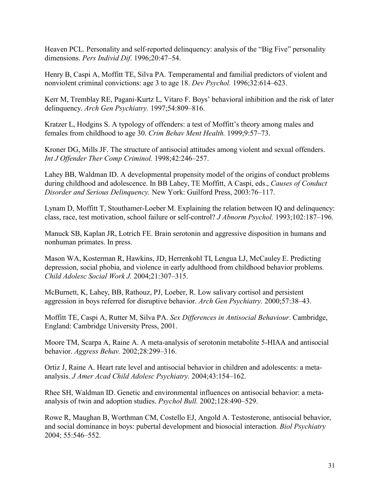Heaven PCL. Personality and self-reported delinquency: analysis of the "Big Five" personality dimensions. *Pers Individ Dif*. 1996;20:47–54.

Henry B, Caspi A, Moffitt TE, Silva PA. Temperamental and familial predictors of violent and nonviolent criminal convictions: age 3 to age 18. *Dev Psychol.* 1996;32:614–623.

Kerr M, Tremblay RE, Pagani-Kurtz L, Vitaro F. Boys' behavioral inhibition and the risk of later delinquency. *Arch Gen Psychiatry.* 1997;54:809–816.

Kratzer L, Hodgins S. A typology of offenders: a test of Moffitt's theory among males and females from childhood to age 30. *Crim Behav Ment Health.* 1999;9:57–73.

Kroner DG, Mills JF. The structure of antisocial attitudes among violent and sexual offenders. *Int J Offender Ther Comp Criminol.* 1998;42:246–257.

Lahey BB, Waldman ID. A developmental propensity model of the origins of conduct problems during childhood and adolescence. In BB Lahey, TE Moffitt, A Caspi, eds., *Causes of Conduct Disorder and Serious Delinquency.* New York: Guilford Press, 2003:76–117.

Lynam D, Moffitt T, Stouthamer-Loeber M. Explaining the relation between IQ and delinquency: class, race, test motivation, school failure or self-control? *J Abnorm Psychol.* 1993;102:187–196.

Manuck SB, Kaplan JR, Lotrich FE. Brain serotonin and aggressive disposition in humans and nonhuman primates. In press.

Mason WA, Kosterman R, Hawkins, JD, Herrenkohl TI, Lengua LJ, McCauley E. Predicting depression, social phobia, and violence in early adulthood from childhood behavior problems. *Child Adolesc Social Work J.* 2004;21:307–315.

McBurnett, K, Lahey, BB, Rathouz, PJ, Loeber, R. Low salivary cortisol and persistent aggression in boys referred for disruptive behavior. *Arch Gen Psychiatry.* 2000;57:38–43.

Moffitt TE, Caspi A, Rutter M, Silva PA. *Sex Differences in Antisocial Behaviour*. Cambridge, England: Cambridge University Press, 2001.

Moore TM, Scarpa A, Raine A. A meta-analysis of serotonin metabolite 5-HIAA and antisocial behavior. *Aggress Behav.* 2002;28:299–316.

Ortiz J, Raine A. Heart rate level and antisocial behavior in children and adolescents: a metaanalysis. *J Amer Acad Child Adolesc Psychiatry.* 2004;43:154–162.

Rhee SH, Waldman ID. Genetic and environmental influences on antisocial behavior: a metaanalysis of twin and adoption studies. *Psychol Bull.* 2002;128:490–529.

Rowe R, Maughan B, Worthman CM, Costello EJ, Angold A. Testosterone, antisocial behavior, and social dominance in boys: pubertal development and biosocial interaction. *Biol Psychiatry*  2004; 55:546–552.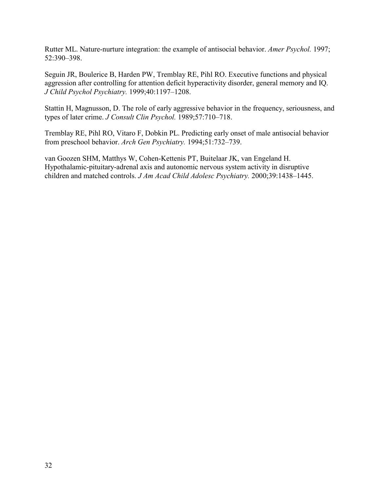Rutter ML. Nature-nurture integration: the example of antisocial behavior. *Amer Psychol.* 1997; 52:390–398.

Seguin JR, Boulerice B, Harden PW, Tremblay RE, Pihl RO. Executive functions and physical aggression after controlling for attention deficit hyperactivity disorder, general memory and IQ. *J Child Psychol Psychiatry.* 1999;40:1197–1208.

Stattin H, Magnusson, D. The role of early aggressive behavior in the frequency, seriousness, and types of later crime. *J Consult Clin Psychol.* 1989;57:710–718.

Tremblay RE, Pihl RO, Vitaro F, Dobkin PL. Predicting early onset of male antisocial behavior from preschool behavior. *Arch Gen Psychiatry.* 1994;51:732–739.

van Goozen SHM, Matthys W, Cohen-Kettenis PT, Buitelaar JK, van Engeland H. Hypothalamic-pituitary-adrenal axis and autonomic nervous system activity in disruptive children and matched controls. *J Am Acad Child Adolesc Psychiatry.* 2000;39:1438–1445.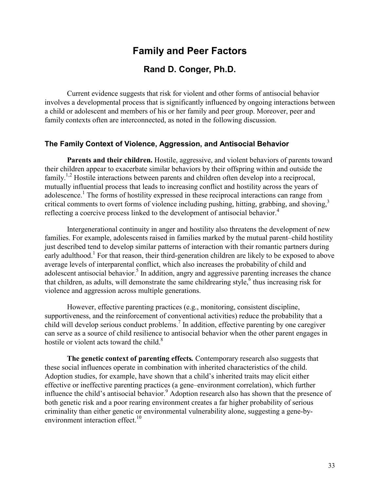# **Family and Peer Factors**

# **Rand D. Conger, Ph.D.**

Current evidence suggests that risk for violent and other forms of antisocial behavior involves a developmental process that is significantly influenced by ongoing interactions between a child or adolescent and members of his or her family and peer group. Moreover, peer and family contexts often are interconnected, as noted in the following discussion.

### **The Family Context of Violence, Aggression, and Antisocial Behavior**

**Parents and their children.** Hostile, aggressive, and violent behaviors of parents toward their children appear to exacerbate similar behaviors by their offspring within and outside the family.<sup>1,2</sup> Hostile interactions between parents and children often develop into a reciprocal, mutually influential process that leads to increasing conflict and hostility across the years of adolescence.<sup>1</sup> The forms of hostility expressed in these reciprocal interactions can range from critical comments to overt forms of violence including pushing, hitting, grabbing, and shoving,<sup>3</sup> reflecting a coercive process linked to the development of antisocial behavior.<sup>4</sup>

Intergenerational continuity in anger and hostility also threatens the development of new families. For example, adolescents raised in families marked by the mutual parent–child hostility just described tend to develop similar patterns of interaction with their romantic partners during early adulthood.<sup>1</sup> For that reason, their third-generation children are likely to be exposed to above average levels of interparental conflict, which also increases the probability of child and adolescent antisocial behavior.<sup>5</sup> In addition, angry and aggressive parenting increases the chance that children, as adults, will demonstrate the same childrearing style,<sup>6</sup> thus increasing risk for violence and aggression across multiple generations.

However, effective parenting practices (e.g., monitoring, consistent discipline, supportiveness, and the reinforcement of conventional activities) reduce the probability that a child will develop serious conduct problems.<sup>7</sup> In addition, effective parenting by one caregiver can serve as a source of child resilience to antisocial behavior when the other parent engages in hostile or violent acts toward the child. $8$ 

**The genetic context of parenting effects***.* Contemporary research also suggests that these social influences operate in combination with inherited characteristics of the child. Adoption studies, for example, have shown that a child's inherited traits may elicit either effective or ineffective parenting practices (a gene–environment correlation), which further influence the child's antisocial behavior.<sup>9</sup> Adoption research also has shown that the presence of both genetic risk and a poor rearing environment creates a far higher probability of serious criminality than either genetic or environmental vulnerability alone, suggesting a gene-byenvironment interaction effect. $10$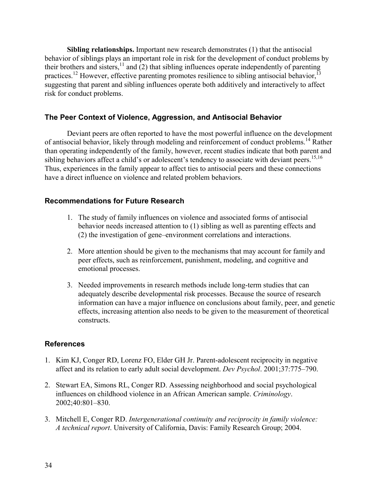**Sibling relationships.** Important new research demonstrates (1) that the antisocial behavior of siblings plays an important role in risk for the development of conduct problems by their brothers and sisters,  $\frac{11}{2}$  and (2) that sibling influences operate independently of parenting practices.<sup>12</sup> However, effective parenting promotes resilience to sibling antisocial behavior,<sup>13</sup> suggesting that parent and sibling influences operate both additively and interactively to affect risk for conduct problems.

## **The Peer Context of Violence, Aggression, and Antisocial Behavior**

Deviant peers are often reported to have the most powerful influence on the development of antisocial behavior, likely through modeling and reinforcement of conduct problems.<sup>14</sup> Rather than operating independently of the family, however, recent studies indicate that both parent and sibling behaviors affect a child's or adolescent's tendency to associate with deviant peers.<sup>15,16</sup> Thus, experiences in the family appear to affect ties to antisocial peers and these connections have a direct influence on violence and related problem behaviors.

## **Recommendations for Future Research**

- 1. The study of family influences on violence and associated forms of antisocial behavior needs increased attention to (1) sibling as well as parenting effects and (2) the investigation of gene–environment correlations and interactions.
- 2. More attention should be given to the mechanisms that may account for family and peer effects, such as reinforcement, punishment, modeling, and cognitive and emotional processes.
- 3. Needed improvements in research methods include long-term studies that can adequately describe developmental risk processes. Because the source of research information can have a major influence on conclusions about family, peer, and genetic effects, increasing attention also needs to be given to the measurement of theoretical constructs.

- 1. Kim KJ, Conger RD, Lorenz FO, Elder GH Jr. Parent-adolescent reciprocity in negative affect and its relation to early adult social development. *Dev Psychol*. 2001;37:775–790.
- 2. Stewart EA, Simons RL, Conger RD. Assessing neighborhood and social psychological influences on childhood violence in an African American sample. *Criminology*. 2002;40:801–830.
- 3. Mitchell E, Conger RD. *Intergenerational continuity and reciprocity in family violence: A technical report*. University of California, Davis: Family Research Group; 2004.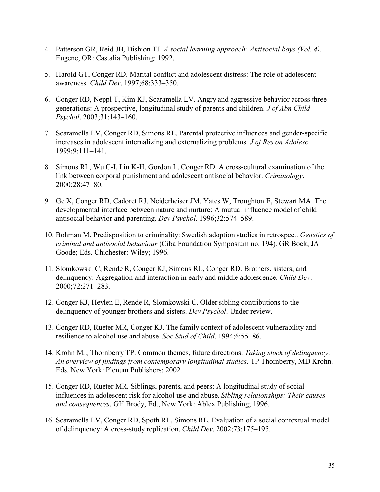- 4. Patterson GR, Reid JB, Dishion TJ. *A social learning approach: Antisocial boys (Vol. 4)*. Eugene, OR: Castalia Publishing: 1992.
- 5. Harold GT, Conger RD. Marital conflict and adolescent distress: The role of adolescent awareness. *Child Dev*. 1997;68:333–350.
- 6. Conger RD, Neppl T, Kim KJ, Scaramella LV. Angry and aggressive behavior across three generations: A prospective, longitudinal study of parents and children. *J of Abn Child Psychol*. 2003;31:143–160.
- 7. Scaramella LV, Conger RD, Simons RL. Parental protective influences and gender-specific increases in adolescent internalizing and externalizing problems. *J of Res on Adolesc*. 1999;9:111–141.
- 8. Simons RL, Wu C-I, Lin K-H, Gordon L, Conger RD. A cross-cultural examination of the link between corporal punishment and adolescent antisocial behavior. *Criminology*. 2000;28:47–80.
- 9. Ge X, Conger RD, Cadoret RJ, Neiderheiser JM, Yates W, Troughton E, Stewart MA. The developmental interface between nature and nurture: A mutual influence model of child antisocial behavior and parenting. *Dev Psychol*. 1996;32:574–589.
- 10. Bohman M. Predisposition to criminality: Swedish adoption studies in retrospect. *Genetics of criminal and antisocial behaviour* (Ciba Foundation Symposium no. 194). GR Bock, JA Goode; Eds. Chichester: Wiley; 1996.
- 11. Slomkowski C, Rende R, Conger KJ, Simons RL, Conger RD. Brothers, sisters, and delinquency: Aggregation and interaction in early and middle adolescence. *Child Dev*. 2000;72:271–283.
- 12. Conger KJ, Heylen E, Rende R, Slomkowski C. Older sibling contributions to the delinquency of younger brothers and sisters. *Dev Psychol*. Under review.
- 13. Conger RD, Rueter MR, Conger KJ. The family context of adolescent vulnerability and resilience to alcohol use and abuse. *Soc Stud of Child*. 1994;6:55–86.
- 14. Krohn MJ, Thornberry TP. Common themes, future directions. *Taking stock of delinquency: An overview of findings from contemporary longitudinal studies*. TP Thornberry, MD Krohn, Eds. New York: Plenum Publishers; 2002.
- 15. Conger RD, Rueter MR. Siblings, parents, and peers: A longitudinal study of social influences in adolescent risk for alcohol use and abuse. *Sibling relationships: Their causes and consequences*. GH Brody, Ed., New York: Ablex Publishing; 1996.
- 16. Scaramella LV, Conger RD, Spoth RL, Simons RL. Evaluation of a social contextual model of delinquency: A cross-study replication. *Child Dev*. 2002;73:175–195.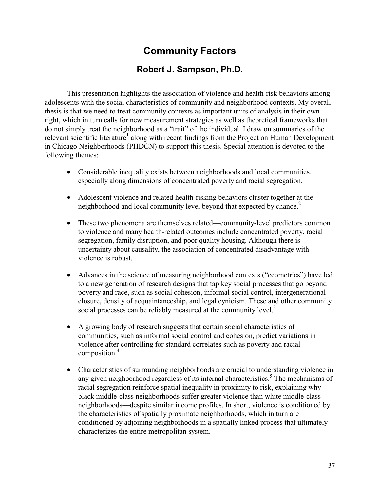# **Community Factors**

# **Robert J. Sampson, Ph.D.**

This presentation highlights the association of violence and health-risk behaviors among adolescents with the social characteristics of community and neighborhood contexts. My overall thesis is that we need to treat community contexts as important units of analysis in their own right, which in turn calls for new measurement strategies as well as theoretical frameworks that do not simply treat the neighborhood as a "trait" of the individual. I draw on summaries of the relevant scientific literature<sup>1</sup> along with recent findings from the Project on Human Development in Chicago Neighborhoods (PHDCN) to support this thesis. Special attention is devoted to the following themes:

- Considerable inequality exists between neighborhoods and local communities, especially along dimensions of concentrated poverty and racial segregation.
- Adolescent violence and related health-risking behaviors cluster together at the neighborhood and local community level beyond that expected by chance.<sup>2</sup>
- These two phenomena are themselves related—community-level predictors common to violence and many health-related outcomes include concentrated poverty, racial segregation, family disruption, and poor quality housing. Although there is uncertainty about causality, the association of concentrated disadvantage with violence is robust.
- Advances in the science of measuring neighborhood contexts ("ecometrics") have led to a new generation of research designs that tap key social processes that go beyond poverty and race, such as social cohesion, informal social control, intergenerational closure, density of acquaintanceship, and legal cynicism. These and other community social processes can be reliably measured at the community level.<sup>3</sup>
- A growing body of research suggests that certain social characteristics of communities, such as informal social control and cohesion, predict variations in violence after controlling for standard correlates such as poverty and racial composition.4
- Characteristics of surrounding neighborhoods are crucial to understanding violence in any given neighborhood regardless of its internal characteristics.<sup>5</sup> The mechanisms of racial segregation reinforce spatial inequality in proximity to risk, explaining why black middle-class neighborhoods suffer greater violence than white middle-class neighborhoods—despite similar income profiles. In short, violence is conditioned by the characteristics of spatially proximate neighborhoods, which in turn are conditioned by adjoining neighborhoods in a spatially linked process that ultimately characterizes the entire metropolitan system.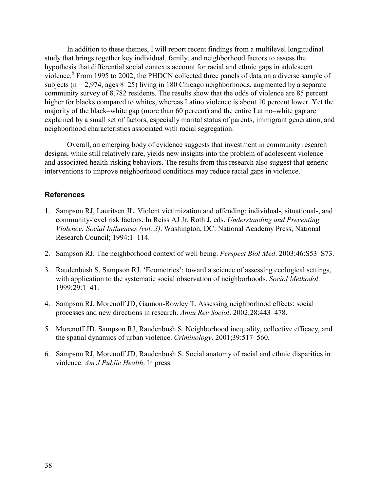In addition to these themes, I will report recent findings from a multilevel longitudinal study that brings together key individual, family, and neighborhood factors to assess the hypothesis that differential social contexts account for racial and ethnic gaps in adolescent violence.<sup>6</sup> From 1995 to 2002, the PHDCN collected three panels of data on a diverse sample of subjects ( $n = 2.974$ , ages 8–25) living in 180 Chicago neighborhoods, augmented by a separate community survey of 8,782 residents. The results show that the odds of violence are 85 percent higher for blacks compared to whites, whereas Latino violence is about 10 percent lower. Yet the majority of the black–white gap (more than 60 percent) and the entire Latino–white gap are explained by a small set of factors, especially marital status of parents, immigrant generation, and neighborhood characteristics associated with racial segregation.

Overall, an emerging body of evidence suggests that investment in community research designs, while still relatively rare, yields new insights into the problem of adolescent violence and associated health-risking behaviors. The results from this research also suggest that generic interventions to improve neighborhood conditions may reduce racial gaps in violence.

- 1. Sampson RJ, Lauritsen JL. Violent victimization and offending: individual-, situational-, and community-level risk factors. In Reiss AJ Jr, Roth J, eds. *Understanding and Preventing Violence: Social Influences (vol. 3)*. Washington, DC: National Academy Press, National Research Council; 1994:1–114.
- 2. Sampson RJ. The neighborhood context of well being. *Perspect Biol Med*. 2003;46:S53–S73.
- 3. Raudenbush S, Sampson RJ. 'Ecometrics': toward a science of assessing ecological settings, with application to the systematic social observation of neighborhoods. *Sociol Methodol*. 1999;29:1–41.
- 4. Sampson RJ, Morenoff JD, Gannon-Rowley T. Assessing neighborhood effects: social processes and new directions in research. *Annu Rev Sociol*. 2002;28:443–478.
- 5. Morenoff JD, Sampson RJ, Raudenbush S. Neighborhood inequality, collective efficacy, and the spatial dynamics of urban violence. *Criminology*. 2001;39:517–560.
- 6. Sampson RJ, Morenoff JD, Raudenbush S. Social anatomy of racial and ethnic disparities in violence. *Am J Public Health*. In press.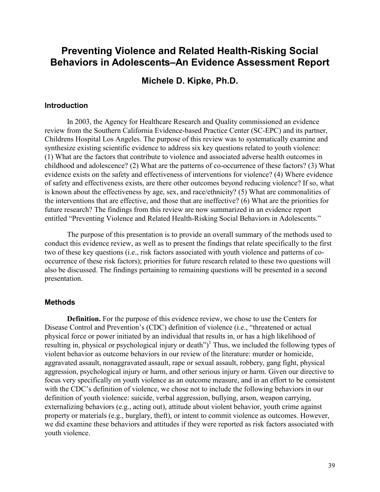# **Preventing Violence and Related Health-Risking Social Behaviors in Adolescents–An Evidence Assessment Report**

## **Michele D. Kipke, Ph.D.**

#### **Introduction**

In 2003, the Agency for Healthcare Research and Quality commissioned an evidence review from the Southern California Evidence-based Practice Center (SC-EPC) and its partner, Childrens Hospital Los Angeles. The purpose of this review was to systematically examine and synthesize existing scientific evidence to address six key questions related to youth violence: (1) What are the factors that contribute to violence and associated adverse health outcomes in childhood and adolescence? (2) What are the patterns of co-occurrence of these factors? (3) What evidence exists on the safety and effectiveness of interventions for violence? (4) Where evidence of safety and effectiveness exists, are there other outcomes beyond reducing violence? If so, what is known about the effectiveness by age, sex, and race/ethnicity? (5) What are commonalities of the interventions that are effective, and those that are ineffective? (6) What are the priorities for future research? The findings from this review are now summarized in an evidence report entitled "Preventing Violence and Related Health-Risking Social Behaviors in Adolescents."

The purpose of this presentation is to provide an overall summary of the methods used to conduct this evidence review, as well as to present the findings that relate specifically to the first two of these key questions (i.e., risk factors associated with youth violence and patterns of cooccurrence of these risk factors); priorities for future research related to these two questions will also be discussed. The findings pertaining to remaining questions will be presented in a second presentation.

#### **Methods**

**Definition.** For the purpose of this evidence review, we chose to use the Centers for Disease Control and Prevention's (CDC) definition of violence (i.e., "threatened or actual physical force or power initiated by an individual that results in, or has a high likelihood of resulting in, physical or psychological injury or death")<sup>1</sup> Thus, we included the following types of violent behavior as outcome behaviors in our review of the literature: murder or homicide, aggravated assault, nonaggravated assault, rape or sexual assault, robbery, gang fight, physical aggression, psychological injury or harm, and other serious injury or harm. Given our directive to focus very specifically on youth violence as an outcome measure, and in an effort to be consistent with the CDC's definition of violence, we chose not to include the following behaviors in our definition of youth violence: suicide, verbal aggression, bullying, arson, weapon carrying, externalizing behaviors (e.g., acting out), attitude about violent behavior, youth crime against property or materials (e.g., burglary, theft), or intent to commit violence as outcomes. However, we did examine these behaviors and attitudes if they were reported as risk factors associated with youth violence.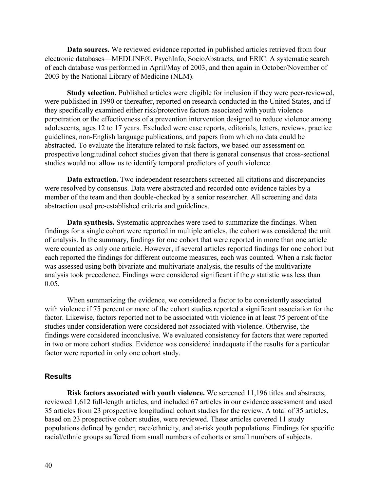**Data sources.** We reviewed evidence reported in published articles retrieved from four electronic databases—MEDLINE®, PsychInfo, SocioAbstracts, and ERIC. A systematic search of each database was performed in April/May of 2003, and then again in October/November of 2003 by the National Library of Medicine (NLM).

**Study selection.** Published articles were eligible for inclusion if they were peer-reviewed, were published in 1990 or thereafter, reported on research conducted in the United States, and if they specifically examined either risk/protective factors associated with youth violence perpetration or the effectiveness of a prevention intervention designed to reduce violence among adolescents, ages 12 to 17 years. Excluded were case reports, editorials, letters, reviews, practice guidelines, non-English language publications, and papers from which no data could be abstracted. To evaluate the literature related to risk factors, we based our assessment on prospective longitudinal cohort studies given that there is general consensus that cross-sectional studies would not allow us to identify temporal predictors of youth violence.

**Data extraction.** Two independent researchers screened all citations and discrepancies were resolved by consensus. Data were abstracted and recorded onto evidence tables by a member of the team and then double-checked by a senior researcher. All screening and data abstraction used pre-established criteria and guidelines.

**Data synthesis.** Systematic approaches were used to summarize the findings. When findings for a single cohort were reported in multiple articles, the cohort was considered the unit of analysis. In the summary, findings for one cohort that were reported in more than one article were counted as only one article. However, if several articles reported findings for one cohort but each reported the findings for different outcome measures, each was counted. When a risk factor was assessed using both bivariate and multivariate analysis, the results of the multivariate analysis took precedence. Findings were considered significant if the *p* statistic was less than 0.05.

When summarizing the evidence, we considered a factor to be consistently associated with violence if 75 percent or more of the cohort studies reported a significant association for the factor. Likewise, factors reported not to be associated with violence in at least 75 percent of the studies under consideration were considered not associated with violence. Otherwise, the findings were considered inconclusive. We evaluated consistency for factors that were reported in two or more cohort studies. Evidence was considered inadequate if the results for a particular factor were reported in only one cohort study.

#### **Results**

**Risk factors associated with youth violence.** We screened 11,196 titles and abstracts, reviewed 1,612 full-length articles, and included 67 articles in our evidence assessment and used 35 articles from 23 prospective longitudinal cohort studies for the review. A total of 35 articles, based on 23 prospective cohort studies, were reviewed. These articles covered 11 study populations defined by gender, race/ethnicity, and at-risk youth populations. Findings for specific racial/ethnic groups suffered from small numbers of cohorts or small numbers of subjects.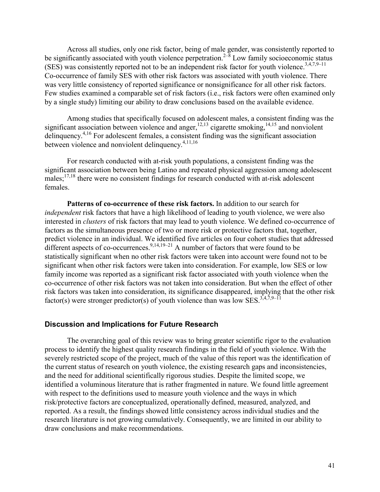Across all studies, only one risk factor, being of male gender, was consistently reported to be significantly associated with youth violence perpetration.<sup> $2-\frac{8}{9}$ </sup> Low family socioeconomic status (SES) was consistently reported not to be an independent risk factor for youth violence.<sup>3,4,7,9–11</sup> Co-occurrence of family SES with other risk factors was associated with youth violence. There was very little consistency of reported significance or nonsignificance for all other risk factors. Few studies examined a comparable set of risk factors (i.e., risk factors were often examined only by a single study) limiting our ability to draw conclusions based on the available evidence.

Among studies that specifically focused on adolescent males, a consistent finding was the significant association between violence and anger,<sup>12,13</sup> cigarette smoking,<sup>14,15</sup> and nonviolent delinquency.<sup>4,16</sup> For adolescent females, a consistent finding was the significant association between violence and nonviolent delinquency.<sup>4,11,16</sup>

For research conducted with at-risk youth populations, a consistent finding was the significant association between being Latino and repeated physical aggression among adolescent males;  $17,18$  there were no consistent findings for research conducted with at-risk adolescent females.

**Patterns of co-occurrence of these risk factors.** In addition to our search for *independent* risk factors that have a high likelihood of leading to youth violence, we were also interested in *clusters* of risk factors that may lead to youth violence. We defined co-occurrence of factors as the simultaneous presence of two or more risk or protective factors that, together, predict violence in an individual. We identified five articles on four cohort studies that addressed different aspects of co-occurrences.<sup>9,14,19–21</sup> A number of factors that were found to be statistically significant when no other risk factors were taken into account were found not to be significant when other risk factors were taken into consideration. For example, low SES or low family income was reported as a significant risk factor associated with youth violence when the co-occurrence of other risk factors was not taken into consideration. But when the effect of other risk factors was taken into consideration, its significance disappeared, implying that the other risk factor(s) were stronger predictor(s) of youth violence than was low SES.<sup>3,4,7,9–11</sup>

#### **Discussion and Implications for Future Research**

The overarching goal of this review was to bring greater scientific rigor to the evaluation process to identify the highest quality research findings in the field of youth violence. With the severely restricted scope of the project, much of the value of this report was the identification of the current status of research on youth violence, the existing research gaps and inconsistencies, and the need for additional scientifically rigorous studies. Despite the limited scope, we identified a voluminous literature that is rather fragmented in nature. We found little agreement with respect to the definitions used to measure youth violence and the ways in which risk/protective factors are conceptualized, operationally defined, measured, analyzed, and reported. As a result, the findings showed little consistency across individual studies and the research literature is not growing cumulatively. Consequently, we are limited in our ability to draw conclusions and make recommendations.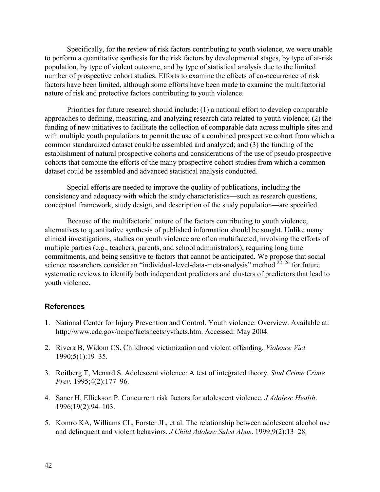Specifically, for the review of risk factors contributing to youth violence, we were unable to perform a quantitative synthesis for the risk factors by developmental stages, by type of at-risk population, by type of violent outcome, and by type of statistical analysis due to the limited number of prospective cohort studies. Efforts to examine the effects of co-occurrence of risk factors have been limited, although some efforts have been made to examine the multifactorial nature of risk and protective factors contributing to youth violence.

Priorities for future research should include: (1) a national effort to develop comparable approaches to defining, measuring, and analyzing research data related to youth violence; (2) the funding of new initiatives to facilitate the collection of comparable data across multiple sites and with multiple youth populations to permit the use of a combined prospective cohort from which a common standardized dataset could be assembled and analyzed; and (3) the funding of the establishment of natural prospective cohorts and considerations of the use of pseudo prospective cohorts that combine the efforts of the many prospective cohort studies from which a common dataset could be assembled and advanced statistical analysis conducted.

Special efforts are needed to improve the quality of publications, including the consistency and adequacy with which the study characteristics—such as research questions, conceptual framework, study design, and description of the study population—are specified.

Because of the multifactorial nature of the factors contributing to youth violence, alternatives to quantitative synthesis of published information should be sought. Unlike many clinical investigations, studies on youth violence are often multifaceted, involving the efforts of multiple parties (e.g., teachers, parents, and school administrators), requiring long time commitments, and being sensitive to factors that cannot be anticipated. We propose that social science researchers consider an "individual-level-data-meta-analysis" method  $2^{2-26}$  for future systematic reviews to identify both independent predictors and clusters of predictors that lead to youth violence.

- 1. National Center for Injury Prevention and Control. Youth violence: Overview. Available at: http://www.cdc.gov/ncipc/factsheets/yvfacts.htm. Accessed: May 2004.
- 2. Rivera B, Widom CS. Childhood victimization and violent offending. *Violence Vict.* 1990;5(1):19–35.
- 3. Roitberg T, Menard S. Adolescent violence: A test of integrated theory. *Stud Crime Crime Prev*. 1995;4(2):177–96.
- 4. Saner H, Ellickson P. Concurrent risk factors for adolescent violence. *J Adolesc Health*. 1996;19(2):94–103.
- 5. Komro KA, Williams CL, Forster JL, et al. The relationship between adolescent alcohol use and delinquent and violent behaviors. *J Child Adolesc Subst Abus*. 1999;9(2):13–28.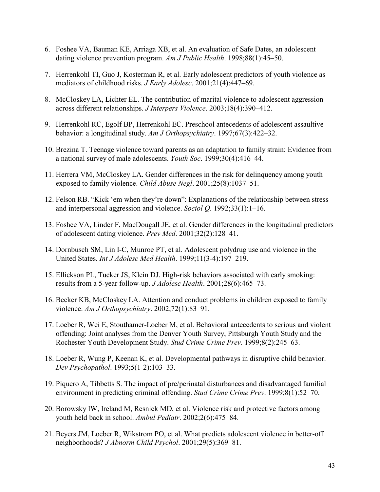- 6. Foshee VA, Bauman KE, Arriaga XB, et al. An evaluation of Safe Dates, an adolescent dating violence prevention program. *Am J Public Health*. 1998;88(1):45–50.
- 7. Herrenkohl TI, Guo J, Kosterman R, et al. Early adolescent predictors of youth violence as mediators of childhood risks. *J Early Adolesc*. 2001;21(4):447–69.
- 8. McCloskey LA, Lichter EL. The contribution of marital violence to adolescent aggression across different relationships. *J Interpers Violence*. 2003;18(4):390–412.
- 9. Herrenkohl RC, Egolf BP, Herrenkohl EC. Preschool antecedents of adolescent assaultive behavior: a longitudinal study. *Am J Orthopsychiatry*. 1997;67(3):422–32.
- 10. Brezina T. Teenage violence toward parents as an adaptation to family strain: Evidence from a national survey of male adolescents. *Youth Soc*. 1999;30(4):416–44.
- 11. Herrera VM, McCloskey LA. Gender differences in the risk for delinquency among youth exposed to family violence. *Child Abuse Negl*. 2001;25(8):1037–51.
- 12. Felson RB. "Kick 'em when they're down": Explanations of the relationship between stress and interpersonal aggression and violence. *Sociol Q*. 1992;33(1):1–16.
- 13. Foshee VA, Linder F, MacDougall JE, et al. Gender differences in the longitudinal predictors of adolescent dating violence. *Prev Med*. 2001;32(2):128–41.
- 14. Dornbusch SM, Lin I-C, Munroe PT, et al. Adolescent polydrug use and violence in the United States. *Int J Adolesc Med Health*. 1999;11(3-4):197–219.
- 15. Ellickson PL, Tucker JS, Klein DJ. High-risk behaviors associated with early smoking: results from a 5-year follow-up. *J Adolesc Health*. 2001;28(6):465–73.
- 16. Becker KB, McCloskey LA. Attention and conduct problems in children exposed to family violence. *Am J Orthopsychiatry*. 2002;72(1):83–91.
- 17. Loeber R, Wei E, Stouthamer-Loeber M, et al. Behavioral antecedents to serious and violent offending: Joint analyses from the Denver Youth Survey, Pittsburgh Youth Study and the Rochester Youth Development Study. *Stud Crime Crime Prev*. 1999;8(2):245–63.
- 18. Loeber R, Wung P, Keenan K, et al. Developmental pathways in disruptive child behavior. *Dev Psychopathol*. 1993;5(1-2):103–33.
- 19. Piquero A, Tibbetts S. The impact of pre/perinatal disturbances and disadvantaged familial environment in predicting criminal offending. *Stud Crime Crime Prev*. 1999;8(1):52–70.
- 20. Borowsky IW, Ireland M, Resnick MD, et al. Violence risk and protective factors among youth held back in school. *Ambul Pediatr*. 2002;2(6):475–84.
- 21. Beyers JM, Loeber R, Wikstrom PO, et al. What predicts adolescent violence in better-off neighborhoods? *J Abnorm Child Psychol*. 2001;29(5):369–81.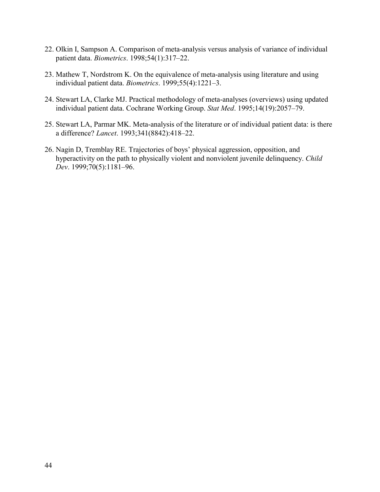- 22. Olkin I, Sampson A. Comparison of meta-analysis versus analysis of variance of individual patient data. *Biometrics*. 1998;54(1):317–22.
- 23. Mathew T, Nordstrom K. On the equivalence of meta-analysis using literature and using individual patient data. *Biometrics*. 1999;55(4):1221–3.
- 24. Stewart LA, Clarke MJ. Practical methodology of meta-analyses (overviews) using updated individual patient data. Cochrane Working Group. *Stat Med*. 1995;14(19):2057–79.
- 25. Stewart LA, Parmar MK. Meta-analysis of the literature or of individual patient data: is there a difference? *Lancet*. 1993;341(8842):418–22.
- 26. Nagin D, Tremblay RE. Trajectories of boys' physical aggression, opposition, and hyperactivity on the path to physically violent and nonviolent juvenile delinquency. *Child Dev*. 1999;70(5):1181–96.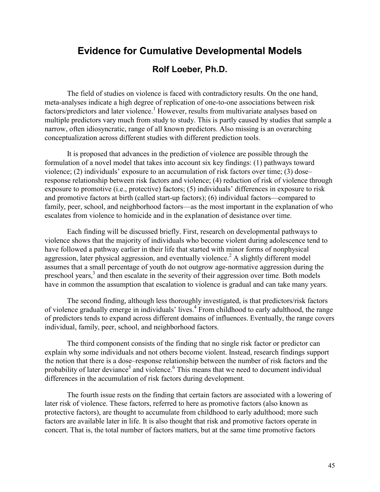# **Evidence for Cumulative Developmental Models**

## **Rolf Loeber, Ph.D.**

The field of studies on violence is faced with contradictory results. On the one hand, meta-analyses indicate a high degree of replication of one-to-one associations between risk factors/predictors and later violence.<sup>1</sup> However, results from multivariate analyses based on multiple predictors vary much from study to study. This is partly caused by studies that sample a narrow, often idiosyncratic, range of all known predictors. Also missing is an overarching conceptualization across different studies with different prediction tools.

It is proposed that advances in the prediction of violence are possible through the formulation of a novel model that takes into account six key findings: (1) pathways toward violence; (2) individuals' exposure to an accumulation of risk factors over time; (3) dose– response relationship between risk factors and violence; (4) reduction of risk of violence through exposure to promotive (i.e., protective) factors; (5) individuals' differences in exposure to risk and promotive factors at birth (called start-up factors); (6) individual factors—compared to family, peer, school, and neighborhood factors—as the most important in the explanation of who escalates from violence to homicide and in the explanation of desistance over time.

Each finding will be discussed briefly. First, research on developmental pathways to violence shows that the majority of individuals who become violent during adolescence tend to have followed a pathway earlier in their life that started with minor forms of nonphysical aggression, later physical aggression, and eventually violence.<sup>2</sup> A slightly different model assumes that a small percentage of youth do not outgrow age-normative aggression during the preschool years,<sup>3</sup> and then escalate in the severity of their aggression over time. Both models have in common the assumption that escalation to violence is gradual and can take many years.

The second finding, although less thoroughly investigated, is that predictors/risk factors of violence gradually emerge in individuals' lives.<sup>4</sup> From childhood to early adulthood, the range of predictors tends to expand across different domains of influences. Eventually, the range covers individual, family, peer, school, and neighborhood factors.

The third component consists of the finding that no single risk factor or predictor can explain why some individuals and not others become violent. Instead, research findings support the notion that there is a dose–response relationship between the number of risk factors and the probability of later deviance<sup>5</sup> and violence.<sup>6</sup> This means that we need to document individual differences in the accumulation of risk factors during development.

The fourth issue rests on the finding that certain factors are associated with a lowering of later risk of violence. These factors, referred to here as promotive factors (also known as protective factors), are thought to accumulate from childhood to early adulthood; more such factors are available later in life. It is also thought that risk and promotive factors operate in concert. That is, the total number of factors matters, but at the same time promotive factors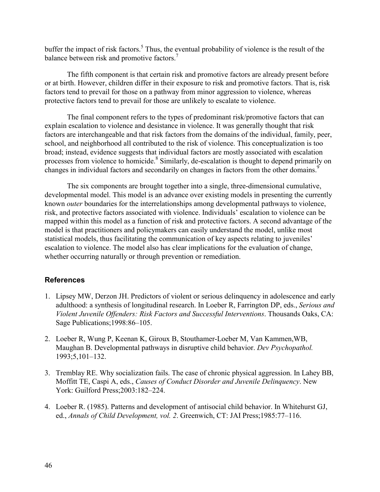buffer the impact of risk factors.<sup>5</sup> Thus, the eventual probability of violence is the result of the balance between risk and promotive factors.<sup>7</sup>

The fifth component is that certain risk and promotive factors are already present before or at birth. However, children differ in their exposure to risk and promotive factors. That is, risk factors tend to prevail for those on a pathway from minor aggression to violence, whereas protective factors tend to prevail for those are unlikely to escalate to violence.

The final component refers to the types of predominant risk/promotive factors that can explain escalation to violence and desistance in violence. It was generally thought that risk factors are interchangeable and that risk factors from the domains of the individual, family, peer, school, and neighborhood all contributed to the risk of violence. This conceptualization is too broad; instead, evidence suggests that individual factors are mostly associated with escalation processes from violence to homicide.<sup>8</sup> Similarly, de-escalation is thought to depend primarily on changes in individual factors and secondarily on changes in factors from the other domains.<sup>9</sup>

The six components are brought together into a single, three-dimensional cumulative, developmental model. This model is an advance over existing models in presenting the currently known *outer* boundaries for the interrelationships among developmental pathways to violence, risk, and protective factors associated with violence. Individuals' escalation to violence can be mapped within this model as a function of risk and protective factors. A second advantage of the model is that practitioners and policymakers can easily understand the model, unlike most statistical models, thus facilitating the communication of key aspects relating to juveniles' escalation to violence. The model also has clear implications for the evaluation of change, whether occurring naturally or through prevention or remediation.

- 1. Lipsey MW, Derzon JH. Predictors of violent or serious delinguency in adolescence and early adulthood: a synthesis of longitudinal research. In Loeber R, Farrington DP, eds., *Serious and Violent Juvenile Offenders: Risk Factors and Successful Interventions*. Thousands Oaks, CA: Sage Publications;1998:86–105.
- 2. Loeber R, Wung P, Keenan K, Giroux B, Stouthamer-Loeber M, Van Kammen, WB, Maughan B. Developmental pathways in disruptive child behavior. *Dev Psychopathol.*  1993;5,101–132.
- 3. Tremblay RE. Why socialization fails. The case of chronic physical aggression. In Lahey BB, Moffitt TE, Caspi A, eds., *Causes of Conduct Disorder and Juvenile Delinquency*. New York: Guilford Press;2003:182–224.
- 4. Loeber R. (1985). Patterns and development of antisocial child behavior. In Whitehurst GJ, ed., *Annals of Child Development, vol. 2*. Greenwich, CT: JAI Press;1985:77–116.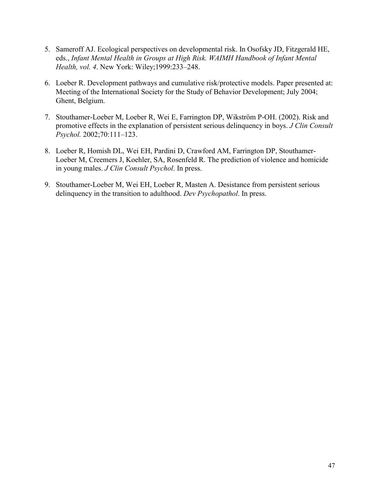- 5. Sameroff AJ. Ecological perspectives on developmental risk. In Osofsky JD, Fitzgerald HE, eds., *Infant Mental Health in Groups at High Risk. WAIMH Handbook of Infant Mental Health, vol. 4*. New York: Wiley;1999:233–248.
- 6. Loeber R. Development pathways and cumulative risk/protective models. Paper presented at: Meeting of the International Society for the Study of Behavior Development; July 2004; Ghent, Belgium.
- 7. Stouthamer-Loeber M, Loeber R, Wei E, Farrington DP, Wikström P-OH. (2002). Risk and promotive effects in the explanation of persistent serious delinquency in boys. *J Clin Consult Psychol.* 2002;70:111–123.
- 8. Loeber R, Homish DL, Wei EH, Pardini D, Crawford AM, Farrington DP, Stouthamer-Loeber M, Creemers J, Koehler, SA, Rosenfeld R. The prediction of violence and homicide in young males. *J Clin Consult Psychol*. In press.
- 9. Stouthamer-Loeber M, Wei EH, Loeber R, Masten A. Desistance from persistent serious delinquency in the transition to adulthood. *Dev Psychopathol*. In press.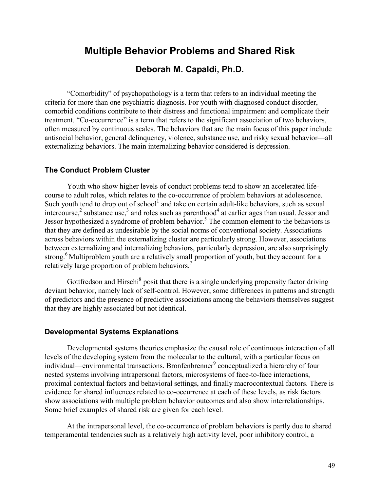# **Multiple Behavior Problems and Shared Risk**

## **Deborah M. Capaldi, Ph.D.**

"Comorbidity" of psychopathology is a term that refers to an individual meeting the criteria for more than one psychiatric diagnosis. For youth with diagnosed conduct disorder, comorbid conditions contribute to their distress and functional impairment and complicate their treatment. "Co-occurrence" is a term that refers to the significant association of two behaviors, often measured by continuous scales. The behaviors that are the main focus of this paper include antisocial behavior, general delinquency, violence, substance use, and risky sexual behavior—all externalizing behaviors. The main internalizing behavior considered is depression.

#### **The Conduct Problem Cluster**

Youth who show higher levels of conduct problems tend to show an accelerated lifecourse to adult roles, which relates to the co-occurrence of problem behaviors at adolescence. Such youth tend to drop out of school $<sup>1</sup>$  and take on certain adult-like behaviors, such as sexual</sup> intercourse,<sup>2</sup> substance use,<sup>3</sup> and roles such as parenthood<sup>4</sup> at earlier ages than usual. Jessor and Jessor hypothesized a syndrome of problem behavior.<sup>5</sup> The common element to the behaviors is that they are defined as undesirable by the social norms of conventional society. Associations across behaviors within the externalizing cluster are particularly strong. However, associations between externalizing and internalizing behaviors, particularly depression, are also surprisingly strong.<sup>6</sup> Multiproblem youth are a relatively small proportion of youth, but they account for a relatively large proportion of problem behaviors.<sup>7</sup>

Gottfredson and Hirschi<sup>8</sup> posit that there is a single underlying propensity factor driving deviant behavior, namely lack of self-control. However, some differences in patterns and strength of predictors and the presence of predictive associations among the behaviors themselves suggest that they are highly associated but not identical.

#### **Developmental Systems Explanations**

Developmental systems theories emphasize the causal role of continuous interaction of all levels of the developing system from the molecular to the cultural, with a particular focus on individual—environmental transactions. Bronfenbrenner<sup>9</sup> conceptualized a hierarchy of four nested systems involving intrapersonal factors, microsystems of face-to-face interactions, proximal contextual factors and behavioral settings, and finally macrocontextual factors. There is evidence for shared influences related to co-occurrence at each of these levels, as risk factors show associations with multiple problem behavior outcomes and also show interrelationships. Some brief examples of shared risk are given for each level.

At the intrapersonal level, the co-occurrence of problem behaviors is partly due to shared temperamental tendencies such as a relatively high activity level, poor inhibitory control, a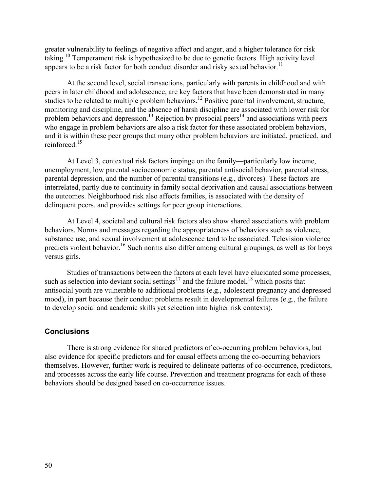greater vulnerability to feelings of negative affect and anger, and a higher tolerance for risk taking.<sup>10</sup> Temperament risk is hypothesized to be due to genetic factors. High activity level appears to be a risk factor for both conduct disorder and risky sexual behavior.<sup>11</sup>

At the second level, social transactions, particularly with parents in childhood and with peers in later childhood and adolescence, are key factors that have been demonstrated in many studies to be related to multiple problem behaviors.<sup>12</sup> Positive parental involvement, structure, monitoring and discipline, and the absence of harsh discipline are associated with lower risk for problem behaviors and depression.<sup>13</sup> Rejection by prosocial peers<sup>14</sup> and associations with peers who engage in problem behaviors are also a risk factor for these associated problem behaviors, and it is within these peer groups that many other problem behaviors are initiated, practiced, and reinforced<sup>15</sup>

At Level 3, contextual risk factors impinge on the family—particularly low income, unemployment, low parental socioeconomic status, parental antisocial behavior, parental stress, parental depression, and the number of parental transitions (e.g., divorces). These factors are interrelated, partly due to continuity in family social deprivation and causal associations between the outcomes. Neighborhood risk also affects families, is associated with the density of delinquent peers, and provides settings for peer group interactions.

At Level 4, societal and cultural risk factors also show shared associations with problem behaviors. Norms and messages regarding the appropriateness of behaviors such as violence, substance use, and sexual involvement at adolescence tend to be associated. Television violence predicts violent behavior.<sup>16</sup> Such norms also differ among cultural groupings, as well as for boys versus girls.

Studies of transactions between the factors at each level have elucidated some processes, such as selection into deviant social settings<sup>17</sup> and the failure model,<sup>18</sup> which posits that antisocial youth are vulnerable to additional problems (e.g., adolescent pregnancy and depressed mood), in part because their conduct problems result in developmental failures (e.g., the failure to develop social and academic skills yet selection into higher risk contexts).

#### **Conclusions**

There is strong evidence for shared predictors of co-occurring problem behaviors, but also evidence for specific predictors and for causal effects among the co-occurring behaviors themselves. However, further work is required to delineate patterns of co-occurrence, predictors, and processes across the early life course. Prevention and treatment programs for each of these behaviors should be designed based on co-occurrence issues.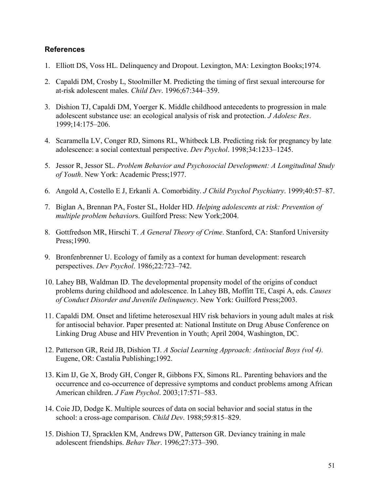- 1. Elliott DS, Voss HL. Delinquency and Dropout. Lexington, MA: Lexington Books;1974.
- 2. Capaldi DM, Crosby L, Stoolmiller M. Predicting the timing of first sexual intercourse for at-risk adolescent males. *Child Dev*. 1996;67:344–359.
- 3. Dishion TJ, Capaldi DM, Yoerger K. Middle childhood antecedents to progression in male adolescent substance use: an ecological analysis of risk and protection. *J Adolesc Res*. 1999;14:175–206.
- 4. Scaramella LV, Conger RD, Simons RL, Whitbeck LB. Predicting risk for pregnancy by late adolescence: a social contextual perspective. *Dev Psychol*. 1998;34:1233–1245.
- 5. Jessor R, Jessor SL. *Problem Behavior and Psychosocial Development: A Longitudinal Study of Youth*. New York: Academic Press;1977.
- 6. Angold A, Costello E J, Erkanli A. Comorbidity. *J Child Psychol Psychiatry*. 1999;40:57–87.
- 7. Biglan A, Brennan PA, Foster SL, Holder HD. *Helping adolescents at risk: Prevention of multiple problem behavior*s. Guilford Press: New York;2004.
- 8. Gottfredson MR, Hirschi T. *A General Theory of Crime*. Stanford, CA: Stanford University Press;1990.
- 9. Bronfenbrenner U. Ecology of family as a context for human development: research perspectives. *Dev Psychol*. 1986;22:723–742.
- 10. Lahey BB, Waldman ID. The developmental propensity model of the origins of conduct problems during childhood and adolescence. In Lahey BB, Moffitt TE, Caspi A, eds. *Causes of Conduct Disorder and Juvenile Delinquency*. New York: Guilford Press;2003.
- 11. Capaldi DM. Onset and lifetime heterosexual HIV risk behaviors in young adult males at risk for antisocial behavior. Paper presented at: National Institute on Drug Abuse Conference on Linking Drug Abuse and HIV Prevention in Youth; April 2004, Washington, DC.
- 12. Patterson GR, Reid JB, Dishion TJ. *A Social Learning Approach: Antisocial Boys (vol 4)*. Eugene, OR: Castalia Publishing;1992.
- 13. Kim IJ, Ge X, Brody GH, Conger R, Gibbons FX, Simons RL. Parenting behaviors and the occurrence and co-occurrence of depressive symptoms and conduct problems among African American children. *J Fam Psychol*. 2003;17:571–583.
- 14. Coie JD, Dodge K. Multiple sources of data on social behavior and social status in the school: a cross-age comparison. *Child Dev*. 1988;59:815–829.
- 15. Dishion TJ, Spracklen KM, Andrews DW, Patterson GR. Deviancy training in male adolescent friendships. *Behav Ther*. 1996;27:373–390.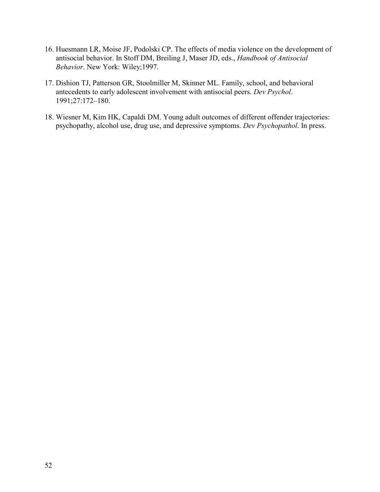- 16. Huesmann LR, Moise JF, Podolski CP. The effects of media violence on the development of antisocial behavior. In Stoff DM, Breiling J, Maser JD, eds., *Handbook of Antisocial Behavior*. New York: Wiley;1997.
- 17. Dishion TJ, Patterson GR, Stoolmiller M, Skinner ML. Family, school, and behavioral antecedents to early adolescent involvement with antisocial peers. *Dev Psychol*. 1991;27:172–180.
- 18. Wiesner M, Kim HK, Capaldi DM. Young adult outcomes of different offender trajectories: psychopathy, alcohol use, drug use, and depressive symptoms. *Dev Psychopathol*. In press.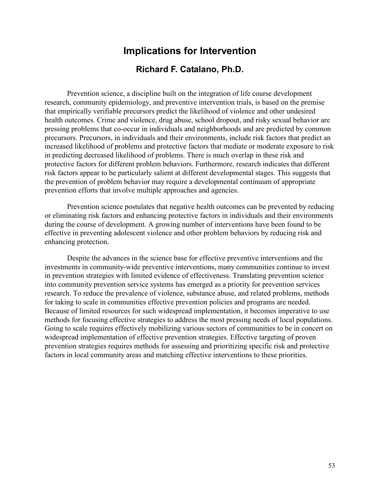# **Implications for Intervention**

# **Richard F. Catalano, Ph.D.**

Prevention science, a discipline built on the integration of life course development research, community epidemiology, and preventive intervention trials, is based on the premise that empirically verifiable precursors predict the likelihood of violence and other undesired health outcomes. Crime and violence, drug abuse, school dropout, and risky sexual behavior are pressing problems that co-occur in individuals and neighborhoods and are predicted by common precursors. Precursors, in individuals and their environments, include risk factors that predict an increased likelihood of problems and protective factors that mediate or moderate exposure to risk in predicting decreased likelihood of problems. There is much overlap in these risk and protective factors for different problem behaviors. Furthermore, research indicates that different risk factors appear to be particularly salient at different developmental stages. This suggests that the prevention of problem behavior may require a developmental continuum of appropriate prevention efforts that involve multiple approaches and agencies.

Prevention science postulates that negative health outcomes can be prevented by reducing or eliminating risk factors and enhancing protective factors in individuals and their environments during the course of development. A growing number of interventions have been found to be effective in preventing adolescent violence and other problem behaviors by reducing risk and enhancing protection.

Despite the advances in the science base for effective preventive interventions and the investments in community-wide preventive interventions, many communities continue to invest in prevention strategies with limited evidence of effectiveness. Translating prevention science into community prevention service systems has emerged as a priority for prevention services research. To reduce the prevalence of violence, substance abuse, and related problems, methods for taking to scale in communities effective prevention policies and programs are needed. Because of limited resources for such widespread implementation, it becomes imperative to use methods for focusing effective strategies to address the most pressing needs of local populations. Going to scale requires effectively mobilizing various sectors of communities to be in concert on widespread implementation of effective prevention strategies. Effective targeting of proven prevention strategies requires methods for assessing and prioritizing specific risk and protective factors in local community areas and matching effective interventions to these priorities.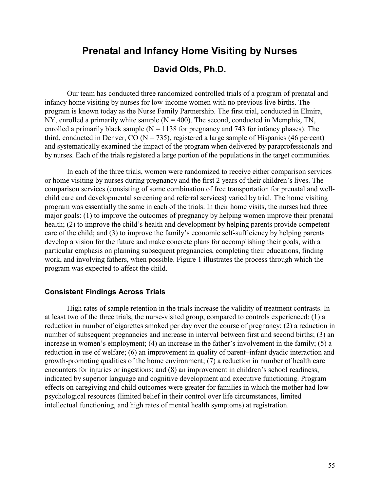# **Prenatal and Infancy Home Visiting by Nurses**

## **David Olds, Ph.D.**

Our team has conducted three randomized controlled trials of a program of prenatal and infancy home visiting by nurses for low-income women with no previous live births. The program is known today as the Nurse Family Partnership. The first trial, conducted in Elmira, NY, enrolled a primarily white sample  $(N = 400)$ . The second, conducted in Memphis, TN, enrolled a primarily black sample ( $N = 1138$  for pregnancy and 743 for infancy phases). The third, conducted in Denver, CO ( $N = 735$ ), registered a large sample of Hispanics (46 percent) and systematically examined the impact of the program when delivered by paraprofessionals and by nurses. Each of the trials registered a large portion of the populations in the target communities.

In each of the three trials, women were randomized to receive either comparison services or home visiting by nurses during pregnancy and the first 2 years of their children's lives. The comparison services (consisting of some combination of free transportation for prenatal and wellchild care and developmental screening and referral services) varied by trial. The home visiting program was essentially the same in each of the trials. In their home visits, the nurses had three major goals: (1) to improve the outcomes of pregnancy by helping women improve their prenatal health; (2) to improve the child's health and development by helping parents provide competent care of the child; and (3) to improve the family's economic self-sufficiency by helping parents develop a vision for the future and make concrete plans for accomplishing their goals, with a particular emphasis on planning subsequent pregnancies, completing their educations, finding work, and involving fathers, when possible. Figure 1 illustrates the process through which the program was expected to affect the child.

#### **Consistent Findings Across Trials**

High rates of sample retention in the trials increase the validity of treatment contrasts. In at least two of the three trials, the nurse-visited group, compared to controls experienced: (1) a reduction in number of cigarettes smoked per day over the course of pregnancy; (2) a reduction in number of subsequent pregnancies and increase in interval between first and second births; (3) an increase in women's employment; (4) an increase in the father's involvement in the family; (5) a reduction in use of welfare; (6) an improvement in quality of parent–infant dyadic interaction and growth-promoting qualities of the home environment; (7) a reduction in number of health care encounters for injuries or ingestions; and (8) an improvement in children's school readiness, indicated by superior language and cognitive development and executive functioning. Program effects on caregiving and child outcomes were greater for families in which the mother had low psychological resources (limited belief in their control over life circumstances, limited intellectual functioning, and high rates of mental health symptoms) at registration.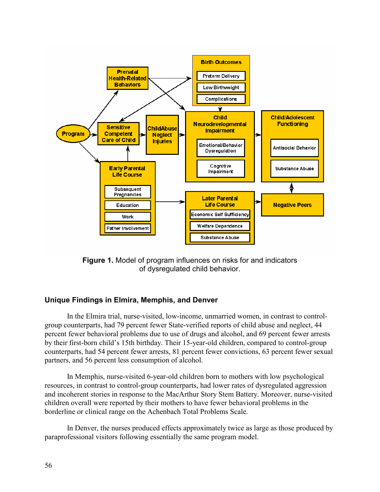

**Figure 1.** Model of program influences on risks for and indicators of dysregulated child behavior.

### **Unique Findings in Elmira, Memphis, and Denver**

In the Elmira trial, nurse-visited, low-income, unmarried women, in contrast to controlgroup counterparts, had 79 percent fewer State-verified reports of child abuse and neglect, 44 percent fewer behavioral problems due to use of drugs and alcohol, and 69 percent fewer arrests by their first-born child's 15th birthday. Their 15-year-old children, compared to control-group counterparts, had 54 percent fewer arrests, 81 percent fewer convictions, 63 percent fewer sexual partners, and 56 percent less consumption of alcohol.

In Memphis, nurse-visited 6-year-old children born to mothers with low psychological resources, in contrast to control-group counterparts, had lower rates of dysregulated aggression and incoherent stories in response to the MacArthur Story Stem Battery. Moreover, nurse-visited children overall were reported by their mothers to have fewer behavioral problems in the borderline or clinical range on the Achenbach Total Problems Scale.

In Denver, the nurses produced effects approximately twice as large as those produced by paraprofessional visitors following essentially the same program model.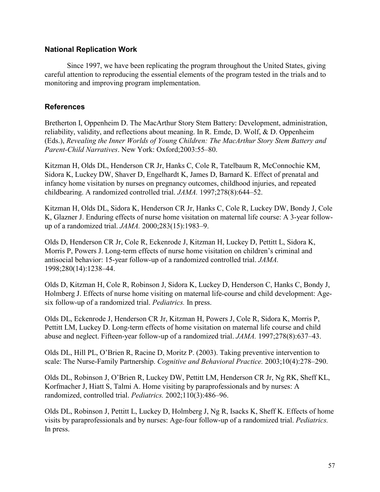## **National Replication Work**

Since 1997, we have been replicating the program throughout the United States, giving careful attention to reproducing the essential elements of the program tested in the trials and to monitoring and improving program implementation.

## **References**

Bretherton I, Oppenheim D. The MacArthur Story Stem Battery: Development, administration, reliability, validity, and reflections about meaning. In R. Emde, D. Wolf, & D. Oppenheim (Eds.), *Revealing the Inner Worlds of Young Children: The MacArthur Story Stem Battery and Parent-Child Narratives*. New York: Oxford;2003:55–80.

Kitzman H, Olds DL, Henderson CR Jr, Hanks C, Cole R, Tatelbaum R, McConnochie KM, Sidora K, Luckey DW, Shaver D, Engelhardt K, James D, Barnard K. Effect of prenatal and infancy home visitation by nurses on pregnancy outcomes, childhood injuries, and repeated childbearing. A randomized controlled trial. *JAMA.* 1997;278(8):644–52.

Kitzman H, Olds DL, Sidora K, Henderson CR Jr, Hanks C, Cole R, Luckey DW, Bondy J, Cole K, Glazner J. Enduring effects of nurse home visitation on maternal life course: A 3-year followup of a randomized trial. *JAMA.* 2000;283(15):1983–9.

Olds D, Henderson CR Jr, Cole R, Eckenrode J, Kitzman H, Luckey D, Pettitt L, Sidora K, Morris P, Powers J. Long-term effects of nurse home visitation on children's criminal and antisocial behavior: 15-year follow-up of a randomized controlled trial. *JAMA.*  1998;280(14):1238–44.

Olds D, Kitzman H, Cole R, Robinson J, Sidora K, Luckey D, Henderson C, Hanks C, Bondy J, Holmberg J. Effects of nurse home visiting on maternal life-course and child development: Agesix follow-up of a randomized trial. *Pediatrics.* In press.

Olds DL, Eckenrode J, Henderson CR Jr, Kitzman H, Powers J, Cole R, Sidora K, Morris P, Pettitt LM, Luckey D. Long-term effects of home visitation on maternal life course and child abuse and neglect. Fifteen-year follow-up of a randomized trial. *JAMA.* 1997;278(8):637–43.

Olds DL, Hill PL, O'Brien R, Racine D, Moritz P. (2003). Taking preventive intervention to scale: The Nurse-Family Partnership. *Cognitive and Behavioral Practice.* 2003;10(4):278–290.

Olds DL, Robinson J, O'Brien R, Luckey DW, Pettitt LM, Henderson CR Jr, Ng RK, Sheff KL, Korfmacher J, Hiatt S, Talmi A. Home visiting by paraprofessionals and by nurses: A randomized, controlled trial. *Pediatrics.* 2002;110(3):486–96.

Olds DL, Robinson J, Pettitt L, Luckey D, Holmberg J, Ng R, Isacks K, Sheff K. Effects of home visits by paraprofessionals and by nurses: Age-four follow-up of a randomized trial. *Pediatrics.*  In press.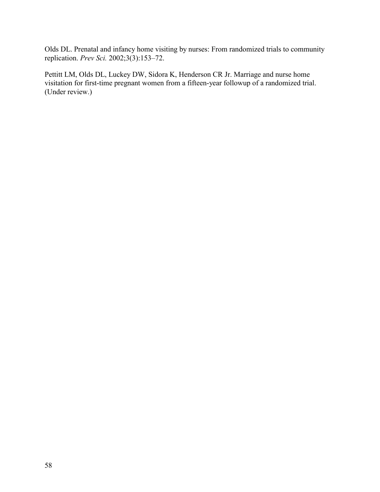Olds DL. Prenatal and infancy home visiting by nurses: From randomized trials to community replication. *Prev Sci.* 2002;3(3):153–72.

Pettitt LM, Olds DL, Luckey DW, Sidora K, Henderson CR Jr. Marriage and nurse home visitation for first-time pregnant women from a fifteen-year followup of a randomized trial. (Under review.)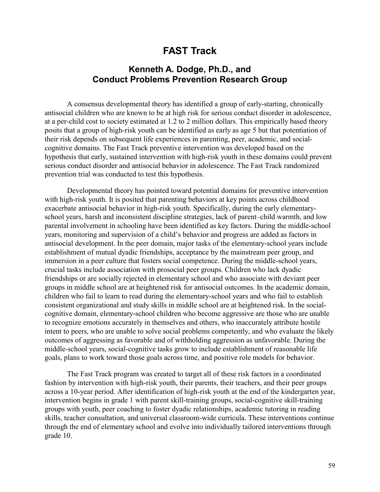# **FAST Track**

## **Kenneth A. Dodge, Ph.D., and Conduct Problems Prevention Research Group**

A consensus developmental theory has identified a group of early-starting, chronically antisocial children who are known to be at high risk for serious conduct disorder in adolescence, at a per-child cost to society estimated at 1.2 to 2 million dollars. This empirically based theory posits that a group of high-risk youth can be identified as early as age 5 but that potentiation of their risk depends on subsequent life experiences in parenting, peer, academic, and socialcognitive domains. The Fast Track preventive intervention was developed based on the hypothesis that early, sustained intervention with high-risk youth in these domains could prevent serious conduct disorder and antisocial behavior in adolescence. The Fast Track randomized prevention trial was conducted to test this hypothesis.

Developmental theory has pointed toward potential domains for preventive intervention with high-risk youth. It is posited that parenting behaviors at key points across childhood exacerbate antisocial behavior in high-risk youth. Specifically, during the early elementaryschool years, harsh and inconsistent discipline strategies, lack of parent–child warmth, and low parental involvement in schooling have been identified as key factors. During the middle-school years, monitoring and supervision of a child's behavior and progress are added as factors in antisocial development. In the peer domain, major tasks of the elementary-school years include establishment of mutual dyadic friendships, acceptance by the mainstream peer group, and immersion in a peer culture that fosters social competence. During the middle-school years, crucial tasks include association with prosocial peer groups. Children who lack dyadic friendships or are socially rejected in elementary school and who associate with deviant peer groups in middle school are at heightened risk for antisocial outcomes. In the academic domain, children who fail to learn to read during the elementary-school years and who fail to establish consistent organizational and study skills in middle school are at heightened risk. In the socialcognitive domain, elementary-school children who become aggressive are those who are unable to recognize emotions accurately in themselves and others, who inaccurately attribute hostile intent to peers, who are unable to solve social problems competently, and who evaluate the likely outcomes of aggressing as favorable and of withholding aggression as unfavorable. During the middle-school years, social-cognitive tasks grow to include establishment of reasonable life goals, plans to work toward those goals across time, and positive role models for behavior.

The Fast Track program was created to target all of these risk factors in a coordinated fashion by intervention with high-risk youth, their parents, their teachers, and their peer groups across a 10-year period. After identification of high-risk youth at the end of the kindergarten year, intervention begins in grade 1 with parent skill-training groups, social-cognitive skill-training groups with youth, peer coaching to foster dyadic relationships, academic tutoring in reading skills, teacher consultation, and universal classroom-wide curricula. These interventions continue through the end of elementary school and evolve into individually tailored interventions through grade 10.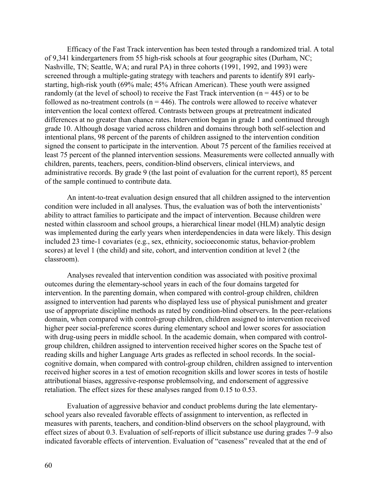Efficacy of the Fast Track intervention has been tested through a randomized trial. A total of 9,341 kindergarteners from 55 high-risk schools at four geographic sites (Durham, NC; Nashville, TN; Seattle, WA; and rural PA) in three cohorts (1991, 1992, and 1993) were screened through a multiple-gating strategy with teachers and parents to identify 891 earlystarting, high-risk youth (69% male; 45% African American). These youth were assigned randomly (at the level of school) to receive the Fast Track intervention ( $n = 445$ ) or to be followed as no-treatment controls ( $n = 446$ ). The controls were allowed to receive whatever intervention the local context offered. Contrasts between groups at pretreatment indicated differences at no greater than chance rates. Intervention began in grade 1 and continued through grade 10. Although dosage varied across children and domains through both self-selection and intentional plans, 98 percent of the parents of children assigned to the intervention condition signed the consent to participate in the intervention. About 75 percent of the families received at least 75 percent of the planned intervention sessions. Measurements were collected annually with children, parents, teachers, peers, condition-blind observers, clinical interviews, and administrative records. By grade 9 (the last point of evaluation for the current report), 85 percent of the sample continued to contribute data.

An intent-to-treat evaluation design ensured that all children assigned to the intervention condition were included in all analyses. Thus, the evaluation was of both the interventionists' ability to attract families to participate and the impact of intervention. Because children were nested within classroom and school groups, a hierarchical linear model (HLM) analytic design was implemented during the early years when interdependencies in data were likely. This design included 23 time-1 covariates (e.g., sex, ethnicity, socioeconomic status, behavior-problem scores) at level 1 (the child) and site, cohort, and intervention condition at level 2 (the classroom).

Analyses revealed that intervention condition was associated with positive proximal outcomes during the elementary-school years in each of the four domains targeted for intervention. In the parenting domain, when compared with control-group children, children assigned to intervention had parents who displayed less use of physical punishment and greater use of appropriate discipline methods as rated by condition-blind observers. In the peer-relations domain, when compared with control-group children, children assigned to intervention received higher peer social-preference scores during elementary school and lower scores for association with drug-using peers in middle school. In the academic domain, when compared with controlgroup children, children assigned to intervention received higher scores on the Spache test of reading skills and higher Language Arts grades as reflected in school records. In the socialcognitive domain, when compared with control-group children, children assigned to intervention received higher scores in a test of emotion recognition skills and lower scores in tests of hostile attributional biases, aggressive-response problemsolving, and endorsement of aggressive retaliation. The effect sizes for these analyses ranged from 0.15 to 0.53.

Evaluation of aggressive behavior and conduct problems during the late elementaryschool years also revealed favorable effects of assignment to intervention, as reflected in measures with parents, teachers, and condition-blind observers on the school playground, with effect sizes of about 0.3. Evaluation of self-reports of illicit substance use during grades 7–9 also indicated favorable effects of intervention. Evaluation of "caseness" revealed that at the end of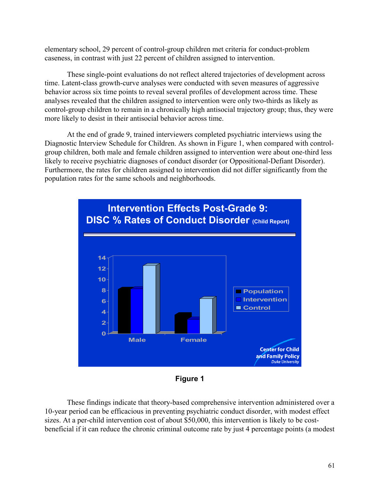elementary school, 29 percent of control-group children met criteria for conduct-problem caseness, in contrast with just 22 percent of children assigned to intervention.

These single-point evaluations do not reflect altered trajectories of development across time. Latent-class growth-curve analyses were conducted with seven measures of aggressive behavior across six time points to reveal several profiles of development across time. These analyses revealed that the children assigned to intervention were only two-thirds as likely as control-group children to remain in a chronically high antisocial trajectory group; thus, they were more likely to desist in their antisocial behavior across time.

At the end of grade 9, trained interviewers completed psychiatric interviews using the Diagnostic Interview Schedule for Children. As shown in Figure 1, when compared with controlgroup children, both male and female children assigned to intervention were about one-third less likely to receive psychiatric diagnoses of conduct disorder (or Oppositional-Defiant Disorder). Furthermore, the rates for children assigned to intervention did not differ significantly from the population rates for the same schools and neighborhoods.



**Figure 1** 

These findings indicate that theory-based comprehensive intervention administered over a 10-year period can be efficacious in preventing psychiatric conduct disorder, with modest effect sizes. At a per-child intervention cost of about \$50,000, this intervention is likely to be costbeneficial if it can reduce the chronic criminal outcome rate by just 4 percentage points (a modest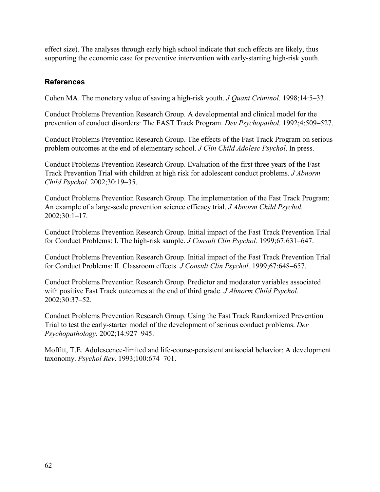effect size). The analyses through early high school indicate that such effects are likely, thus supporting the economic case for preventive intervention with early-starting high-risk youth.

## **References**

Cohen MA. The monetary value of saving a high-risk youth. *J Quant Criminol*. 1998;14:5–33.

Conduct Problems Prevention Research Group. A developmental and clinical model for the prevention of conduct disorders: The FAST Track Program. *Dev Psychopathol.* 1992;4:509–527.

Conduct Problems Prevention Research Group. The effects of the Fast Track Program on serious problem outcomes at the end of elementary school. *J Clin Child Adolesc Psychol*. In press.

Conduct Problems Prevention Research Group. Evaluation of the first three years of the Fast Track Prevention Trial with children at high risk for adolescent conduct problems. *J Abnorm Child Psychol.* 2002;30:19–35.

Conduct Problems Prevention Research Group. The implementation of the Fast Track Program: An example of a large-scale prevention science efficacy trial. *J Abnorm Child Psychol.*  2002;30:1–17.

Conduct Problems Prevention Research Group. Initial impact of the Fast Track Prevention Trial for Conduct Problems: I. The high-risk sample. *J Consult Clin Psychol.* 1999;67:631–647.

Conduct Problems Prevention Research Group. Initial impact of the Fast Track Prevention Trial for Conduct Problems: II. Classroom effects. *J Consult Clin Psychol*. 1999;67:648–657.

Conduct Problems Prevention Research Group. Predictor and moderator variables associated with positive Fast Track outcomes at the end of third grade. *J Abnorm Child Psychol.*  2002;30:37–52.

Conduct Problems Prevention Research Group. Using the Fast Track Randomized Prevention Trial to test the early-starter model of the development of serious conduct problems. *Dev Psychopathology.* 2002;14:927–945.

Moffitt, T.E. Adolescence-limited and life-course-persistent antisocial behavior: A development taxonomy. *Psychol Rev*. 1993;100:674–701.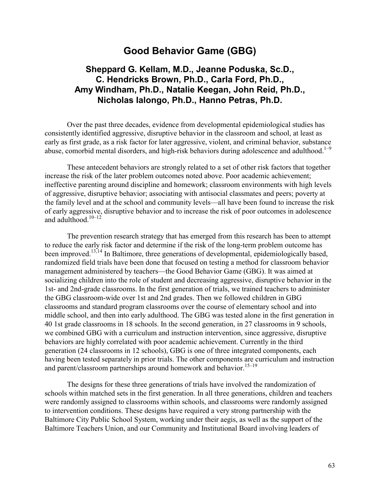# **Good Behavior Game (GBG)**

# **Amy Windham, Ph.D., Natalie Keegan, John Reid, Ph.D., Sheppard G. Kellam, M.D., Jeanne Poduska, Sc.D., C. Hendricks Brown, Ph.D., Carla Ford, Ph.D., Nicholas Ialongo, Ph.D., Hanno Petras, Ph.D.**

Over the past three decades, evidence from developmental epidemiological studies has consistently identified aggressive, disruptive behavior in the classroom and school, at least as early as first grade, as a risk factor for later aggressive, violent, and criminal behavior, substance abuse, comorbid mental disorders, and high-risk behaviors during adolescence and adulthood.<sup>1–9</sup>

These antecedent behaviors are strongly related to a set of other risk factors that together increase the risk of the later problem outcomes noted above. Poor academic achievement; ineffective parenting around discipline and homework; classroom environments with high levels of aggressive, disruptive behavior; associating with antisocial classmates and peers; poverty at the family level and at the school and community levels—all have been found to increase the risk of early aggressive, disruptive behavior and to increase the risk of poor outcomes in adolescence and adulthood  $10-12$ 

The prevention research strategy that has emerged from this research has been to attempt to reduce the early risk factor and determine if the risk of the long-term problem outcome has been improved.<sup>13,14</sup> In Baltimore, three generations of developmental, epidemiologically based, randomized field trials have been done that focused on testing a method for classroom behavior management administered by teachers—the Good Behavior Game (GBG). It was aimed at socializing children into the role of student and decreasing aggressive, disruptive behavior in the 1st- and 2nd-grade classrooms. In the first generation of trials, we trained teachers to administer the GBG classroom-wide over 1st and 2nd grades. Then we followed children in GBG classrooms and standard program classrooms over the course of elementary school and into middle school, and then into early adulthood. The GBG was tested alone in the first generation in 40 1st grade classrooms in 18 schools. In the second generation, in 27 classrooms in 9 schools, we combined GBG with a curriculum and instruction intervention, since aggressive, disruptive behaviors are highly correlated with poor academic achievement. Currently in the third generation (24 classrooms in 12 schools), GBG is one of three integrated components, each having been tested separately in prior trials. The other components are curriculum and instruction and parent/classroom partnerships around homework and behavior.<sup>15–19</sup>

The designs for these three generations of trials have involved the randomization of schools within matched sets in the first generation. In all three generations, children and teachers were randomly assigned to classrooms within schools, and classrooms were randomly assigned to intervention conditions. These designs have required a very strong partnership with the Baltimore City Public School System, working under their aegis, as well as the support of the Baltimore Teachers Union, and our Community and Institutional Board involving leaders of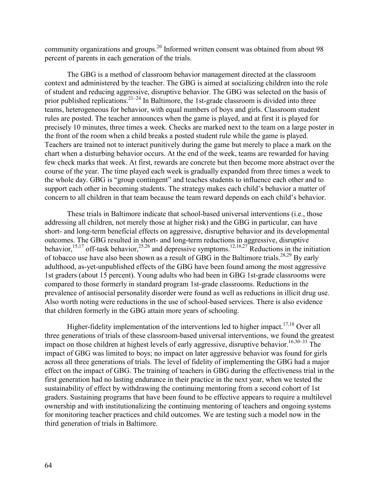community organizations and groups.<sup>20</sup> Informed written consent was obtained from about 98 percent of parents in each generation of the trials.

The GBG is a method of classroom behavior management directed at the classroom context and administered by the teacher. The GBG is aimed at socializing children into the role of student and reducing aggressive, disruptive behavior. The GBG was selected on the basis of prior published replications.<sup>21–24</sup> In Baltimore, the 1st-grade classroom is divided into three teams, heterogeneous for behavior, with equal numbers of boys and girls. Classroom student rules are posted. The teacher announces when the game is played, and at first it is played for precisely 10 minutes, three times a week. Checks are marked next to the team on a large poster in the front of the room when a child breaks a posted student rule while the game is played. Teachers are trained not to interact punitively during the game but merely to place a mark on the chart when a disturbing behavior occurs. At the end of the week, teams are rewarded for having few check marks that week. At first, rewards are concrete but then become more abstract over the course of the year. The time played each week is gradually expanded from three times a week to the whole day. GBG is "group contingent" and teaches students to influence each other and to support each other in becoming students. The strategy makes each child's behavior a matter of concern to all children in that team because the team reward depends on each child's behavior.

These trials in Baltimore indicate that school-based universal interventions (i.e., those addressing all children, not merely those at higher risk) and the GBG in particular, can have short- and long-term beneficial effects on aggressive, disruptive behavior and its developmental outcomes. The GBG resulted in short- and long-term reductions in aggressive, disruptive behavior,<sup>15,17</sup> off-task behavior,<sup>25,26</sup> and depressive symptoms.<sup>12,16,27</sup> Reductions in the initiation of tobacco use have also been shown as a result of GBG in the Baltimore trials.<sup>28,29</sup> By early adulthood, as-yet-unpublished effects of the GBG have been found among the most aggressive 1st graders (about 15 percent). Young adults who had been in GBG 1st-grade classrooms were compared to those formerly in standard program 1st-grade classrooms. Reductions in the prevalence of antisocial personality disorder were found as well as reductions in illicit drug use. Also worth noting were reductions in the use of school-based services. There is also evidence that children formerly in the GBG attain more years of schooling.

Higher-fidelity implementation of the interventions led to higher impact.<sup>17,18</sup> Over all three generations of trials of these classroom-based universal interventions, we found the greatest impact on those children at highest levels of early aggressive, disruptive behavior.<sup>16,30–33</sup> The impact of GBG was limited to boys; no impact on later aggressive behavior was found for girls across all three generations of trials. The level of fidelity of implementing the GBG had a major effect on the impact of GBG. The training of teachers in GBG during the effectiveness trial in the first generation had no lasting endurance in their practice in the next year, when we tested the sustainability of effect by withdrawing the continuing mentoring from a second cohort of 1st graders. Sustaining programs that have been found to be effective appears to require a multilevel ownership and with institutionalizing the continuing mentoring of teachers and ongoing systems for monitoring teacher practices and child outcomes. We are testing such a model now in the third generation of trials in Baltimore.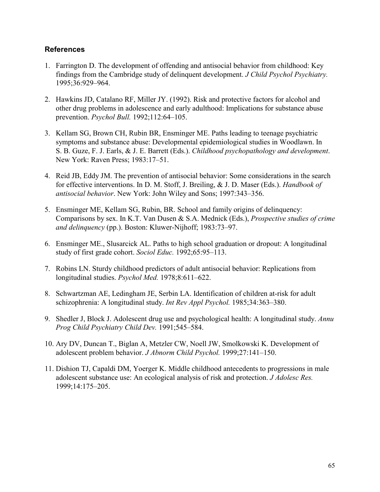- 1. Farrington D. The development of offending and antisocial behavior from childhood: Key findings from the Cambridge study of delinquent development. *J Child Psychol Psychiatry.*  1995;36:929–964.
- 2. Hawkins JD, Catalano RF, Miller JY. (1992). Risk and protective factors for alcohol and other drug problems in adolescence and early adulthood: Implications for substance abuse prevention. *Psychol Bull.* 1992;112:64–105.
- 3. Kellam SG, Brown CH, Rubin BR, Ensminger ME. Paths leading to teenage psychiatric symptoms and substance abuse: Developmental epidemiological studies in Woodlawn. In S. B. Guze, F. J. Earls, & J. E. Barrett (Eds.). *Childhood psychopathology and development*. New York: Raven Press; 1983:17–51.
- 4. Reid JB, Eddy JM. The prevention of antisocial behavior: Some considerations in the search for effective interventions. In D. M. Stoff, J. Breiling, & J. D. Maser (Eds.). *Handbook of antisocial behavior*. New York: John Wiley and Sons; 1997:343–356.
- 5. Ensminger ME, Kellam SG, Rubin, BR. School and family origins of delinquency: Comparisons by sex. In K.T. Van Dusen & S.A. Mednick (Eds.), *Prospective studies of crime and delinquency* (pp.). Boston: Kluwer-Nijhoff; 1983:73–97.
- 6. Ensminger ME., Slusarcick AL. Paths to high school graduation or dropout: A longitudinal study of first grade cohort. *Sociol Educ.* 1992;65:95–113.
- 7. Robins LN. Sturdy childhood predictors of adult antisocial behavior: Replications from longitudinal studies. *Psychol Med.* 1978;8:611–622.
- 8. Schwartzman AE, Ledingham JE, Serbin LA. Identification of children at-risk for adult schizophrenia: A longitudinal study. *Int Rev Appl Psychol.* 1985;34:363–380.
- 9. Shedler J, Block J. Adolescent drug use and psychological health: A longitudinal study. *Annu Prog Child Psychiatry Child Dev.* 1991;545–584.
- 10. Ary DV, Duncan T., Biglan A, Metzler CW, Noell JW, Smolkowski K. Development of adolescent problem behavior. *J Abnorm Child Psychol.* 1999;27:141–150.
- 11. Dishion TJ, Capaldi DM, Yoerger K. Middle childhood antecedents to progressions in male adolescent substance use: An ecological analysis of risk and protection. *J Adolesc Res.*  1999;14:175–205.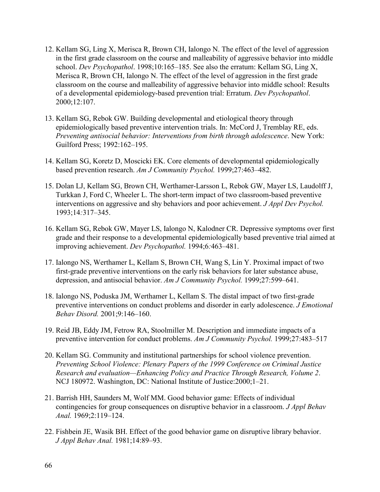- 12. Kellam SG, Ling X, Merisca R, Brown CH, Ialongo N. The effect of the level of aggression in the first grade classroom on the course and malleability of aggressive behavior into middle school. *Dev Psychopathol*. 1998;10:165–185. See also the erratum: Kellam SG, Ling X, Merisca R, Brown CH, Ialongo N. The effect of the level of aggression in the first grade classroom on the course and malleability of aggressive behavior into middle school: Results of a developmental epidemiology-based prevention trial: Erratum. *Dev Psychopathol*. 2000;12:107.
- 13. Kellam SG, Rebok GW. Building developmental and etiological theory through epidemiologically based preventive intervention trials. In: McCord J, Tremblay RE, eds. *Preventing antisocial behavior: Interventions from birth through adolescence*. New York: Guilford Press; 1992:162–195.
- 14. Kellam SG, Koretz D, Moscicki EK. Core elements of developmental epidemiologically based prevention research. *Am J Community Psychol.* 1999;27:463–482.
- 15. Dolan LJ, Kellam SG, Brown CH, Werthamer-Larsson L, Rebok GW, Mayer LS, Laudolff J, Turkkan J, Ford C, Wheeler L. The short-term impact of two classroom-based preventive interventions on aggressive and shy behaviors and poor achievement. *J Appl Dev Psychol.*  1993;14*:*317–345.
- 16. Kellam SG, Rebok GW, Mayer LS, Ialongo N, Kalodner CR. Depressive symptoms over first grade and their response to a developmental epidemiologically based preventive trial aimed at improving achievement. *Dev Psychopathol.* 1994;6*:*463–481.
- 17. Ialongo NS, Werthamer L, Kellam S, Brown CH, Wang S, Lin Y. Proximal impact of two first-grade preventive interventions on the early risk behaviors for later substance abuse, depression, and antisocial behavior. *Am J Community Psychol.* 1999;27:599–641.
- 18. Ialongo NS, Poduska JM, Werthamer L, Kellam S. The distal impact of two first-grade preventive interventions on conduct problems and disorder in early adolescence. *J Emotional Behav Disord.* 2001;9:146–160.
- 19. Reid JB, Eddy JM, Fetrow RA, Stoolmiller M. Description and immediate impacts of a preventive intervention for conduct problems. *Am J Community Psychol.* 1999;27:483–517
- 20. Kellam SG. Community and institutional partnerships for school violence prevention. *Preventing School Violence: Plenary Papers of the 1999 Conference on Criminal Justice Research and evaluation—Enhancing Policy and Practice Through Research, Volume 2*. NCJ 180972. Washington, DC: National Institute of Justice:2000;1–21.
- 21. Barrish HH, Saunders M, Wolf MM. Good behavior game: Effects of individual contingencies for group consequences on disruptive behavior in a classroom. *J Appl Behav Anal.* 1969;2:119–124.
- 22. Fishbein JE, Wasik BH. Effect of the good behavior game on disruptive library behavior. *J Appl Behav Anal.* 1981;14:89–93.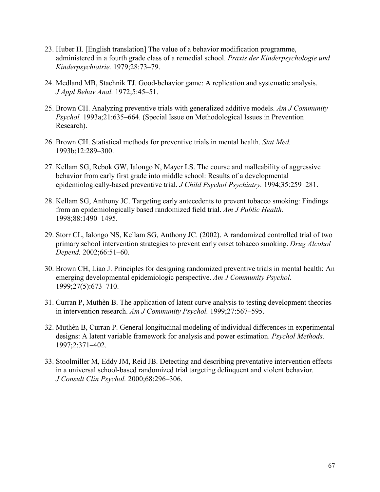- 23. Huber H. [English translation] The value of a behavior modification programme, administered in a fourth grade class of a remedial school. *Praxis der Kinderpsychologie und Kinderpsychiatrie.* 1979;28:73–79.
- 24. Medland MB, Stachnik TJ. Good-behavior game: A replication and systematic analysis. *J Appl Behav Anal.* 1972;5:45–51.
- 25. Brown CH. Analyzing preventive trials with generalized additive models. *Am J Community Psychol.* 1993a;21:635–664. (Special Issue on Methodological Issues in Prevention Research).
- 26. Brown CH. Statistical methods for preventive trials in mental health. *Stat Med.*  1993b;12:289–300.
- 27. Kellam SG, Rebok GW, Ialongo N, Mayer LS. The course and malleability of aggressive behavior from early first grade into middle school: Results of a developmental epidemiologically-based preventive trial. *J Child Psychol Psychiatry.* 1994;35:259–281.
- 28. Kellam SG, Anthony JC. Targeting early antecedents to prevent tobacco smoking: Findings from an epidemiologically based randomized field trial. *Am J Public Health.*  1998;88:1490–1495.
- 29. Storr CL, Ialongo NS, Kellam SG, Anthony JC. (2002). A randomized controlled trial of two primary school intervention strategies to prevent early onset tobacco smoking. *Drug Alcohol Depend.* 2002;66:51–60.
- 30. Brown CH, Liao J. Principles for designing randomized preventive trials in mental health: An emerging developmental epidemiologic perspective. *Am J Community Psychol.*  1999;27(5):673–710.
- 31. Curran P, Muthèn B. The application of latent curve analysis to testing development theories in intervention research. *Am J Community Psychol.* 1999;27:567–595.
- 32. Muthèn B, Curran P. General longitudinal modeling of individual differences in experimental designs: A latent variable framework for analysis and power estimation. *Psychol Methods.*  1997;2:371–402.
- 33. Stoolmiller M, Eddy JM, Reid JB. Detecting and describing preventative intervention effects in a universal school-based randomized trial targeting delinquent and violent behavior. *J Consult Clin Psychol.* 2000;68:296–306.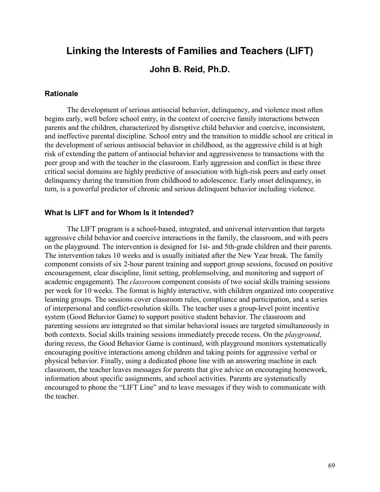# **Linking the Interests of Families and Teachers (LIFT)**

## **John B. Reid, Ph.D.**

#### **Rationale**

The development of serious antisocial behavior, delinquency, and violence most often begins early, well before school entry, in the context of coercive family interactions between parents and the children, characterized by disruptive child behavior and coercive, inconsistent, and ineffective parental discipline. School entry and the transition to middle school are critical in the development of serious antisocial behavior in childhood, as the aggressive child is at high risk of extending the pattern of antisocial behavior and aggressiveness to transactions with the peer group and with the teacher in the classroom. Early aggression and conflict in these three critical social domains are highly predictive of association with high-risk peers and early onset delinquency during the transition from childhood to adolescence. Early onset delinquency, in turn, is a powerful predictor of chronic and serious delinquent behavior including violence.

#### **What Is LIFT and for Whom Is it Intended?**

The LIFT program is a school-based, integrated, and universal intervention that targets aggressive child behavior and coercive interactions in the family, the classroom, and with peers on the playground. The intervention is designed for 1st- and 5th-grade children and their parents. The intervention takes 10 weeks and is usually initiated after the New Year break. The family component consists of six 2-hour parent training and support group sessions, focused on positive encouragement, clear discipline, limit setting, problemsolving, and monitoring and support of academic engagement). The *classroom* component consists of two social skills training sessions per week for 10 weeks. The format is highly interactive, with children organized into cooperative learning groups. The sessions cover classroom rules, compliance and participation, and a series of interpersonal and conflict-resolution skills. The teacher uses a group-level point incentive system (Good Behavior Game) to support positive student behavior. The classroom and parenting sessions are integrated so that similar behavioral issues are targeted simultaneously in both contexts. Social skills training sessions immediately precede recess. On the *playground*, during recess, the Good Behavior Game is continued, with playground monitors systematically encouraging positive interactions among children and taking points for aggressive verbal or physical behavior. Finally, using a dedicated phone line with an answering machine in each classroom, the teacher leaves messages for parents that give advice on encouraging homework, information about specific assignments, and school activities. Parents are systematically encouraged to phone the "LIFT Line" and to leave messages if they wish to communicate with the teacher.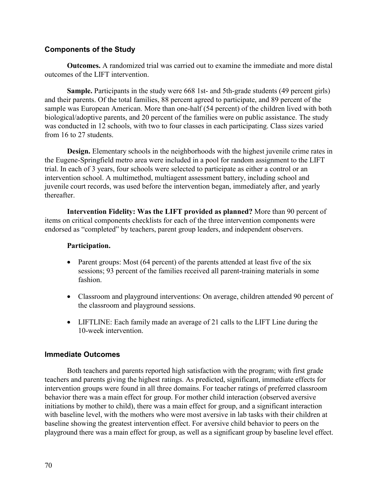## **Components of the Study**

**Outcomes.** A randomized trial was carried out to examine the immediate and more distal outcomes of the LIFT intervention.

**Sample.** Participants in the study were 668 1st- and 5th-grade students (49 percent girls) and their parents. Of the total families, 88 percent agreed to participate, and 89 percent of the sample was European American. More than one-half (54 percent) of the children lived with both biological/adoptive parents, and 20 percent of the families were on public assistance. The study was conducted in 12 schools, with two to four classes in each participating. Class sizes varied from 16 to 27 students.

**Design.** Elementary schools in the neighborhoods with the highest juvenile crime rates in the Eugene-Springfield metro area were included in a pool for random assignment to the LIFT trial. In each of 3 years, four schools were selected to participate as either a control or an intervention school. A multimethod, multiagent assessment battery, including school and juvenile court records, was used before the intervention began, immediately after, and yearly thereafter.

**Intervention Fidelity: Was the LIFT provided as planned?** More than 90 percent of items on critical components checklists for each of the three intervention components were endorsed as "completed" by teachers, parent group leaders, and independent observers.

#### **Participation.**

- Parent groups: Most (64 percent) of the parents attended at least five of the six sessions; 93 percent of the families received all parent-training materials in some fashion.
- Classroom and playground interventions: On average, children attended 90 percent of the classroom and playground sessions.
- LIFTLINE: Each family made an average of 21 calls to the LIFT Line during the 10-week intervention.

#### **Immediate Outcomes**

Both teachers and parents reported high satisfaction with the program; with first grade teachers and parents giving the highest ratings. As predicted, significant, immediate effects for intervention groups were found in all three domains. For teacher ratings of preferred classroom behavior there was a main effect for group. For mother child interaction (observed aversive initiations by mother to child), there was a main effect for group, and a significant interaction with baseline level, with the mothers who were most aversive in lab tasks with their children at baseline showing the greatest intervention effect. For aversive child behavior to peers on the playground there was a main effect for group, as well as a significant group by baseline level effect.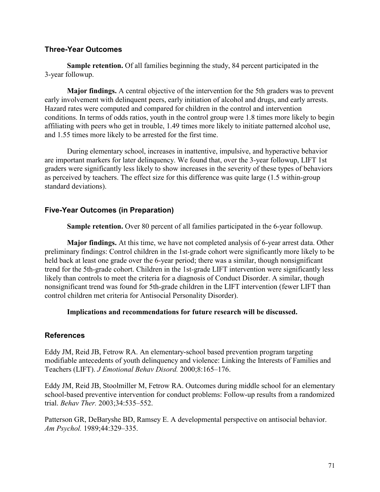## **Three-Year Outcomes**

**Sample retention.** Of all families beginning the study, 84 percent participated in the 3-year followup.

**Major findings.** A central objective of the intervention for the 5th graders was to prevent early involvement with delinquent peers, early initiation of alcohol and drugs, and early arrests. Hazard rates were computed and compared for children in the control and intervention conditions. In terms of odds ratios, youth in the control group were 1.8 times more likely to begin affiliating with peers who get in trouble, 1.49 times more likely to initiate patterned alcohol use, and 1.55 times more likely to be arrested for the first time.

During elementary school, increases in inattentive, impulsive, and hyperactive behavior are important markers for later delinquency. We found that, over the 3-year followup, LIFT 1st graders were significantly less likely to show increases in the severity of these types of behaviors as perceived by teachers. The effect size for this difference was quite large (1.5 within-group standard deviations).

## **Five-Year Outcomes (in Preparation)**

**Sample retention.** Over 80 percent of all families participated in the 6-year followup.

**Major findings.** At this time, we have not completed analysis of 6-year arrest data. Other preliminary findings: Control children in the 1st-grade cohort were significantly more likely to be held back at least one grade over the 6-year period; there was a similar, though nonsignificant trend for the 5th-grade cohort. Children in the 1st-grade LIFT intervention were significantly less likely than controls to meet the criteria for a diagnosis of Conduct Disorder. A similar, though nonsignificant trend was found for 5th-grade children in the LIFT intervention (fewer LIFT than control children met criteria for Antisocial Personality Disorder).

#### **Implications and recommendations for future research will be discussed.**

#### **References**

Eddy JM, Reid JB, Fetrow RA. An elementary-school based prevention program targeting modifiable antecedents of youth delinquency and violence: Linking the Interests of Families and Teachers (LIFT). *J Emotional Behav Disord.* 2000;8:165–176.

Eddy JM, Reid JB, Stoolmiller M, Fetrow RA. Outcomes during middle school for an elementary school-based preventive intervention for conduct problems: Follow-up results from a randomized trial. *Behav Ther.* 2003;34:535–552.

Patterson GR, DeBaryshe BD, Ramsey E. A developmental perspective on antisocial behavior. *Am Psychol.* 1989;44:329–335.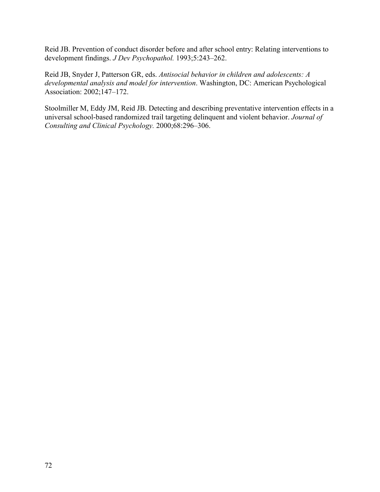Reid JB. Prevention of conduct disorder before and after school entry: Relating interventions to development findings. *J Dev Psychopathol.* 1993;5:243–262.

Reid JB, Snyder J, Patterson GR, eds. *Antisocial behavior in children and adolescents: A developmental analysis and model for intervention*. Washington, DC: American Psychological Association: 2002;147–172.

Stoolmiller M, Eddy JM, Reid JB. Detecting and describing preventative intervention effects in a universal school-based randomized trail targeting delinquent and violent behavior. *Journal of Consulting and Clinical Psychology.* 2000;68:296–306.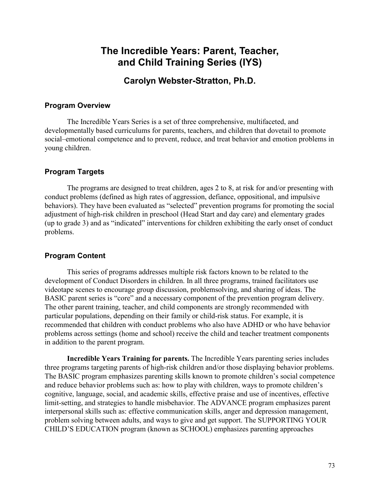# **The Incredible Years: Parent, Teacher, and Child Training Series (IYS)**

## **Carolyn Webster-Stratton, Ph.D.**

#### **Program Overview**

The Incredible Years Series is a set of three comprehensive, multifaceted, and developmentally based curriculums for parents, teachers, and children that dovetail to promote social–emotional competence and to prevent, reduce, and treat behavior and emotion problems in young children.

## **Program Targets**

The programs are designed to treat children, ages 2 to 8, at risk for and/or presenting with conduct problems (defined as high rates of aggression, defiance, oppositional, and impulsive behaviors). They have been evaluated as "selected" prevention programs for promoting the social adjustment of high-risk children in preschool (Head Start and day care) and elementary grades (up to grade 3) and as "indicated" interventions for children exhibiting the early onset of conduct problems.

## **Program Content**

This series of programs addresses multiple risk factors known to be related to the development of Conduct Disorders in children. In all three programs, trained facilitators use videotape scenes to encourage group discussion, problemsolving, and sharing of ideas. The BASIC parent series is "core" and a necessary component of the prevention program delivery. The other parent training, teacher, and child components are strongly recommended with particular populations, depending on their family or child-risk status. For example, it is recommended that children with conduct problems who also have ADHD or who have behavior problems across settings (home and school) receive the child and teacher treatment components in addition to the parent program.

**Incredible Years Training for parents.** The Incredible Years parenting series includes three programs targeting parents of high-risk children and/or those displaying behavior problems. The BASIC program emphasizes parenting skills known to promote children's social competence and reduce behavior problems such as: how to play with children, ways to promote children's cognitive, language, social, and academic skills, effective praise and use of incentives, effective limit-setting, and strategies to handle misbehavior. The ADVANCE program emphasizes parent interpersonal skills such as: effective communication skills, anger and depression management, problem solving between adults, and ways to give and get support. The SUPPORTING YOUR CHILD'S EDUCATION program (known as SCHOOL) emphasizes parenting approaches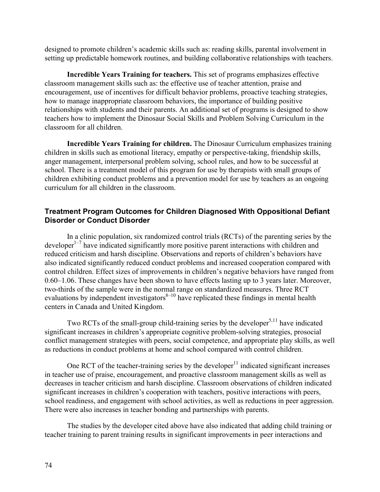designed to promote children's academic skills such as: reading skills, parental involvement in setting up predictable homework routines, and building collaborative relationships with teachers.

**Incredible Years Training for teachers.** This set of programs emphasizes effective classroom management skills such as: the effective use of teacher attention, praise and encouragement, use of incentives for difficult behavior problems, proactive teaching strategies, how to manage inappropriate classroom behaviors, the importance of building positive relationships with students and their parents. An additional set of programs is designed to show teachers how to implement the Dinosaur Social Skills and Problem Solving Curriculum in the classroom for all children.

**Incredible Years Training for children.** The Dinosaur Curriculum emphasizes training children in skills such as emotional literacy, empathy or perspective-taking, friendship skills, anger management, interpersonal problem solving, school rules, and how to be successful at school. There is a treatment model of this program for use by therapists with small groups of children exhibiting conduct problems and a prevention model for use by teachers as an ongoing curriculum for all children in the classroom.

## **Treatment Program Outcomes for Children Diagnosed With Oppositional Defiant Disorder or Conduct Disorder**

In a clinic population, six randomized control trials (RCTs) of the parenting series by the developer $1-7$  have indicated significantly more positive parent interactions with children and reduced criticism and harsh discipline. Observations and reports of children's behaviors have also indicated significantly reduced conduct problems and increased cooperation compared with control children. Effect sizes of improvements in children's negative behaviors have ranged from 0.60–1.06. These changes have been shown to have effects lasting up to 3 years later. Moreover, two-thirds of the sample were in the normal range on standardized measures. Three RCT evaluations by independent investigators $8-10$  have replicated these findings in mental health centers in Canada and United Kingdom.

Two RCTs of the small-group child-training series by the developer<sup>5,11</sup> have indicated significant increases in children's appropriate cognitive problem-solving strategies, prosocial conflict management strategies with peers, social competence, and appropriate play skills, as well as reductions in conduct problems at home and school compared with control children.

One RCT of the teacher-training series by the developer $11$  indicated significant increases in teacher use of praise, encouragement, and proactive classroom management skills as well as decreases in teacher criticism and harsh discipline. Classroom observations of children indicated significant increases in children's cooperation with teachers, positive interactions with peers, school readiness, and engagement with school activities, as well as reductions in peer aggression. There were also increases in teacher bonding and partnerships with parents.

The studies by the developer cited above have also indicated that adding child training or teacher training to parent training results in significant improvements in peer interactions and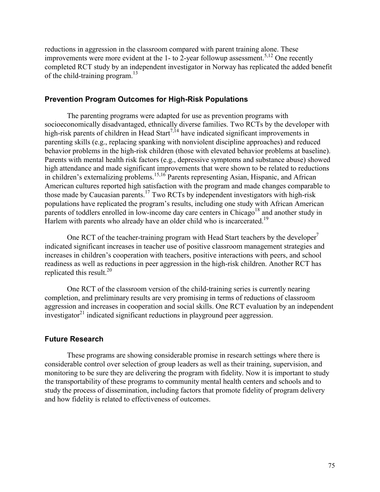reductions in aggression in the classroom compared with parent training alone. These improvements were more evident at the 1- to 2-year followup assessment.<sup>5,12</sup> One recently completed RCT study by an independent investigator in Norway has replicated the added benefit of the child-training program. $^{13}$ 

#### **Prevention Program Outcomes for High-Risk Populations**

The parenting programs were adapted for use as prevention programs with socioeconomically disadvantaged, ethnically diverse families. Two RCTs by the developer with high-risk parents of children in Head Start<sup>7,14</sup> have indicated significant improvements in parenting skills (e.g., replacing spanking with nonviolent discipline approaches) and reduced behavior problems in the high-risk children (those with elevated behavior problems at baseline). Parents with mental health risk factors (e.g., depressive symptoms and substance abuse) showed high attendance and made significant improvements that were shown to be related to reductions in children's externalizing problems.<sup>15,16</sup> Parents representing Asian, Hispanic, and African American cultures reported high satisfaction with the program and made changes comparable to those made by Caucasian parents.<sup>17</sup> Two RCTs by independent investigators with high-risk populations have replicated the program's results, including one study with African American parents of toddlers enrolled in low-income day care centers in Chicago<sup>18</sup> and another study in Harlem with parents who already have an older child who is incarcerated.<sup>19</sup>

replicated this result.<sup>20</sup> One RCT of the teacher-training program with Head Start teachers by the developer<sup>'</sup> indicated significant increases in teacher use of positive classroom management strategies and increases in children's cooperation with teachers, positive interactions with peers, and school readiness as well as reductions in peer aggression in the high-risk children. Another RCT has

One RCT of the classroom version of the child-training series is currently nearing completion, and preliminary results are very promising in terms of reductions of classroom aggression and increases in cooperation and social skills. One RCT evaluation by an independent  $i$ nvestigator<sup>21</sup> indicated significant reductions in playground peer aggression.

#### **Future Research**

These programs are showing considerable promise in research settings where there is considerable control over selection of group leaders as well as their training, supervision, and monitoring to be sure they are delivering the program with fidelity. Now it is important to study the transportability of these programs to community mental health centers and schools and to study the process of dissemination, including factors that promote fidelity of program delivery and how fidelity is related to effectiveness of outcomes.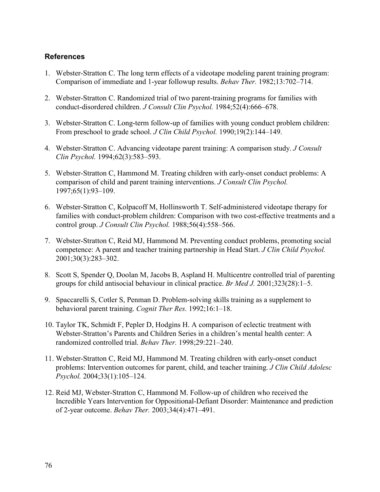## **References**

- 1. Webster-Stratton C. The long term effects of a videotape modeling parent training program: Comparison of immediate and 1-year followup results. *Behav Ther.* 1982;13:702–714.
- 2. Webster-Stratton C. Randomized trial of two parent-training programs for families with conduct-disordered children. *J Consult Clin Psychol.* 1984;52(4):666–678.
- 3. Webster-Stratton C. Long-term follow-up of families with young conduct problem children: From preschool to grade school. *J Clin Child Psychol.* 1990;19(2):144–149.
- 4. Webster-Stratton C. Advancing videotape parent training: A comparison study. *J Consult Clin Psychol.* 1994;62(3):583–593.
- 5. Webster-Stratton C, Hammond M. Treating children with early-onset conduct problems: A comparison of child and parent training interventions. *J Consult Clin Psychol.*  1997;65(1):93–109.
- 6. Webster-Stratton C, Kolpacoff M, Hollinsworth T. Self-administered videotape therapy for families with conduct-problem children: Comparison with two cost-effective treatments and a control group. *J Consult Clin Psychol.* 1988;56(4):558–566.
- 7. Webster-Stratton C, Reid MJ, Hammond M. Preventing conduct problems, promoting social competence: A parent and teacher training partnership in Head Start. *J Clin Child Psychol.*  2001;30(3):283–302.
- 8. Scott S, Spender Q, Doolan M, Jacobs B, Aspland H. Multicentre controlled trial of parenting groups for child antisocial behaviour in clinical practice. *Br Med J.* 2001;323(28):1–5.
- 9. Spaccarelli S, Cotler S, Penman D. Problem-solving skills training as a supplement to behavioral parent training. *Cognit Ther Res.* 1992;16:1–18.
- 10. Taylor TK, Schmidt F, Pepler D, Hodgins H. A comparison of eclectic treatment with Webster-Stratton's Parents and Children Series in a children's mental health center: A randomized controlled trial. *Behav Ther.* 1998;29:221–240.
- 11. Webster-Stratton C, Reid MJ, Hammond M. Treating children with early-onset conduct problems: Intervention outcomes for parent, child, and teacher training. *J Clin Child Adolesc Psychol.* 2004;33(1):105–124.
- 12. Reid MJ, Webster-Stratton C, Hammond M. Follow-up of children who received the Incredible Years Intervention for Oppositional-Defiant Disorder: Maintenance and prediction of 2-year outcome. *Behav Ther.* 2003;34(4):471–491.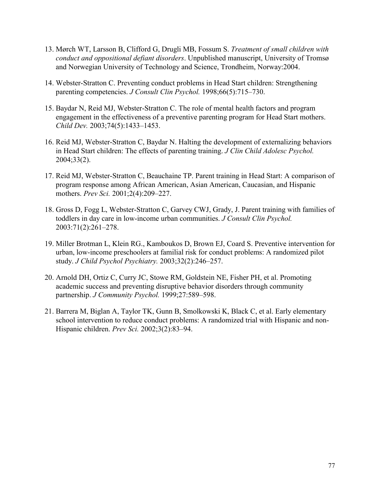- 13. Mørch WT, Larsson B, Clifford G, Drugli MB, Fossum S. *Treatment of small children with conduct and oppositional defiant disorders*. Unpublished manuscript, University of Tromsø and Norwegian University of Technology and Science, Trondheim, Norway:2004.
- 14. Webster-Stratton C. Preventing conduct problems in Head Start children: Strengthening parenting competencies. *J Consult Clin Psychol.* 1998;66(5):715–730.
- 15. Baydar N, Reid MJ, Webster-Stratton C. The role of mental health factors and program engagement in the effectiveness of a preventive parenting program for Head Start mothers. *Child Dev.* 2003;74(5):1433–1453.
- 16. Reid MJ, Webster-Stratton C, Baydar N. Halting the development of externalizing behaviors in Head Start children: The effects of parenting training. *J Clin Child Adolesc Psychol.*  2004;33(2).
- 17. Reid MJ, Webster-Stratton C, Beauchaine TP. Parent training in Head Start: A comparison of program response among African American, Asian American, Caucasian, and Hispanic mothers. *Prev Sci.* 2001;2(4):209–227.
- 18. Gross D, Fogg L, Webster-Stratton C, Garvey CWJ, Grady, J. Parent training with families of toddlers in day care in low-income urban communities. *J Consult Clin Psychol.*  2003:71(2):261–278.
- 19. Miller Brotman L, Klein RG., Kamboukos D, Brown EJ, Coard S. Preventive intervention for urban, low-income preschoolers at familial risk for conduct problems: A randomized pilot study. *J Child Psychol Psychiatry.* 2003;32(2):246–257.
- 20. Arnold DH, Ortiz C, Curry JC, Stowe RM, Goldstein NE, Fisher PH, et al. Promoting academic success and preventing disruptive behavior disorders through community partnership. *J Community Psychol.* 1999;27:589-598.
- 21. Barrera M, Biglan A, Taylor TK, Gunn B, Smolkowski K, Black C, et al. Early elementary school intervention to reduce conduct problems: A randomized trial with Hispanic and non-Hispanic children. *Prev Sci.* 2002;3(2):83–94.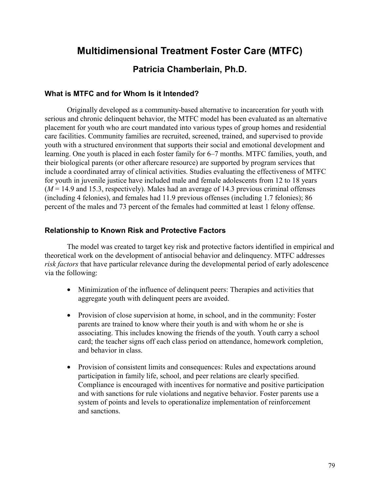# **Multidimensional Treatment Foster Care (MTFC)**

## **Patricia Chamberlain, Ph.D.**

#### **What is MTFC and for Whom Is it Intended?**

Originally developed as a community-based alternative to incarceration for youth with serious and chronic delinquent behavior, the MTFC model has been evaluated as an alternative placement for youth who are court mandated into various types of group homes and residential care facilities. Community families are recruited, screened, trained, and supervised to provide youth with a structured environment that supports their social and emotional development and learning. One youth is placed in each foster family for 6–7 months. MTFC families, youth, and their biological parents (or other aftercare resource) are supported by program services that include a coordinated array of clinical activities. Studies evaluating the effectiveness of MTFC for youth in juvenile justice have included male and female adolescents from 12 to 18 years (*M* = 14.9 and 15.3, respectively). Males had an average of 14.3 previous criminal offenses (including 4 felonies), and females had 11.9 previous offenses (including 1.7 felonies); 86 percent of the males and 73 percent of the females had committed at least 1 felony offense.

#### **Relationship to Known Risk and Protective Factors**

The model was created to target key risk and protective factors identified in empirical and theoretical work on the development of antisocial behavior and delinquency. MTFC addresses *risk factors* that have particular relevance during the developmental period of early adolescence via the following:

- Minimization of the influence of delinquent peers: Therapies and activities that aggregate youth with delinquent peers are avoided.
- Provision of close supervision at home, in school, and in the community: Foster parents are trained to know where their youth is and with whom he or she is associating. This includes knowing the friends of the youth. Youth carry a school card; the teacher signs off each class period on attendance, homework completion, and behavior in class.
- Provision of consistent limits and consequences: Rules and expectations around participation in family life, school, and peer relations are clearly specified. Compliance is encouraged with incentives for normative and positive participation and with sanctions for rule violations and negative behavior. Foster parents use a system of points and levels to operationalize implementation of reinforcement and sanctions.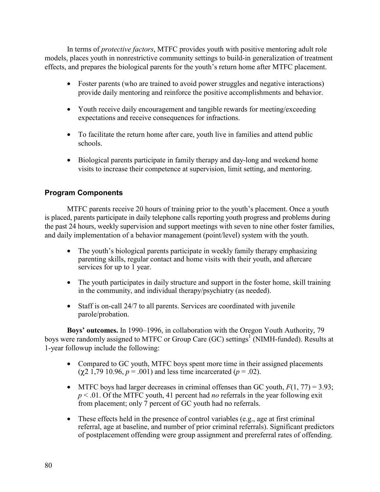In terms of *protective factors*, MTFC provides youth with positive mentoring adult role models, places youth in nonrestrictive community settings to build-in generalization of treatment effects, and prepares the biological parents for the youth's return home after MTFC placement.

- Foster parents (who are trained to avoid power struggles and negative interactions) provide daily mentoring and reinforce the positive accomplishments and behavior.
- Youth receive daily encouragement and tangible rewards for meeting/exceeding expectations and receive consequences for infractions.
- To facilitate the return home after care, youth live in families and attend public schools.
- Biological parents participate in family therapy and day-long and weekend home visits to increase their competence at supervision, limit setting, and mentoring.

## **Program Components**

MTFC parents receive 20 hours of training prior to the youth's placement. Once a youth is placed, parents participate in daily telephone calls reporting youth progress and problems during the past 24 hours, weekly supervision and support meetings with seven to nine other foster families, and daily implementation of a behavior management (point/level) system with the youth.

- The youth's biological parents participate in weekly family therapy emphasizing parenting skills, regular contact and home visits with their youth, and aftercare services for up to 1 year.
- The youth participates in daily structure and support in the foster home, skill training in the community, and individual therapy/psychiatry (as needed).
- Staff is on-call 24/7 to all parents. Services are coordinated with juvenile parole/probation.

**Boys' outcomes.** In 1990–1996, in collaboration with the Oregon Youth Authority, 79 boys were randomly assigned to MTFC or Group Care (GC) settings<sup>1</sup> (NIMH-funded). Results at 1-year followup include the following:

- Compared to GC youth, MTFC boys spent more time in their assigned placements (χ2 1,79 10.96, *p* = .001) and less time incarcerated (*p* = .02).
- MTFC boys had larger decreases in criminal offenses than GC youth,  $F(1, 77) = 3.93$ ; *p* < .01. Of the MTFC youth, 41 percent had *no* referrals in the year following exit from placement; only 7 percent of GC youth had no referrals.
- These effects held in the presence of control variables (e.g., age at first criminal referral, age at baseline, and number of prior criminal referrals). Significant predictors of postplacement offending were group assignment and prereferral rates of offending.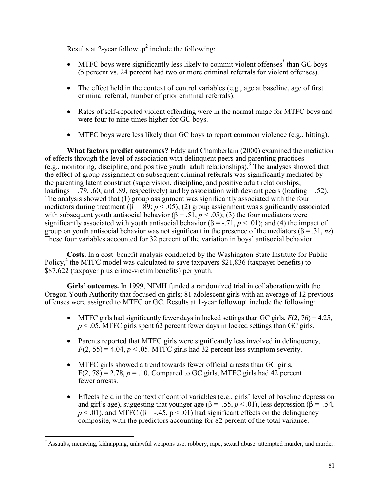Results at 2-year followup<sup>2</sup> include the following:

- MTFC boys were significantly less likely to commit violent offenses<sup>\*</sup> than GC boys (5 percent vs. 24 percent had two or more criminal referrals for violent offenses).
- criminal referral, number of prior criminal referrals). • The effect held in the context of control variables (e.g., age at baseline, age of first
- Rates of self-reported violent offending were in the normal range for MTFC boys and were four to nine times higher for GC boys.
- MTFC boys were less likely than GC boys to report common violence  $(e.g.,$  hitting).

 the effect of group assignment on subsequent criminal referrals was significantly mediated by **What factors predict outcomes?** Eddy and Chamberlain (2000) examined the mediation of effects through the level of association with delinquent peers and parenting practices (e.g., monitoring, discipline, and positive youth–adult relationships).<sup>3</sup> The analyses showed that the parenting latent construct (supervision, discipline, and positive adult relationships; loadings = .79, .60, and .89, respectively) and by association with deviant peers (loading = .52). The analysis showed that (1) group assignment was significantly associated with the four mediators during treatment ( $\beta$  = .89; *p* < .05); (2) group assignment was significantly associated with subsequent youth antisocial behavior ( $\beta$  = .51,  $p$  < .05); (3) the four mediators were significantly associated with youth antisocial behavior ( $\beta = -.71$ ,  $p < .01$ ); and (4) the impact of group on youth antisocial behavior was not significant in the presence of the mediators (β = .31, *ns*). These four variables accounted for 32 percent of the variation in boys' antisocial behavior.

**Costs.** In a cost–benefit analysis conducted by the Washington State Institute for Public Policy,<sup>4</sup> the MTFC model was calculated to save taxpayers \$21,836 (taxpayer benefits) to \$87,622 (taxpayer plus crime-victim benefits) per youth.

**Girls' outcomes.** In 1999, NIMH funded a randomized trial in collaboration with the Oregon Youth Authority that focused on girls; 81 adolescent girls with an average of 12 previous offenses were assigned to MTFC or GC. Results at 1-year followup<sup>5</sup> include the following:

- MTFC girls had significantly fewer days in locked settings than GC girls,  $F(2, 76) = 4.25$ , *p* < .05. MTFC girls spent 62 percent fewer days in locked settings than GC girls.
- Parents reported that MTFC girls were significantly less involved in delinquency,  $F(2, 55) = 4.04$ ,  $p < .05$ . MTFC girls had 32 percent less symptom severity.
- MTFC girls showed a trend towards fewer official arrests than GC girls,  $F(2, 78) = 2.78$ ,  $p = .10$ . Compared to GC girls, MTFC girls had 42 percent fewer arrests.
- Effects held in the context of control variables (e.g., girls' level of baseline depression and girl's age), suggesting that younger age  $(\beta = -0.55, p < 0.01)$ , less depression ( $\beta = -0.54$ ,  $p < .01$ ), and MTFC ( $\beta = -.45$ ,  $p < .01$ ) had significant effects on the delinquency composite, with the predictors accounting for 82 percent of the total variance.

<u>.</u>

<sup>\*</sup> Assaults, menacing, kidnapping, unlawful weapons use, robbery, rape, sexual abuse, attempted murder, and murder.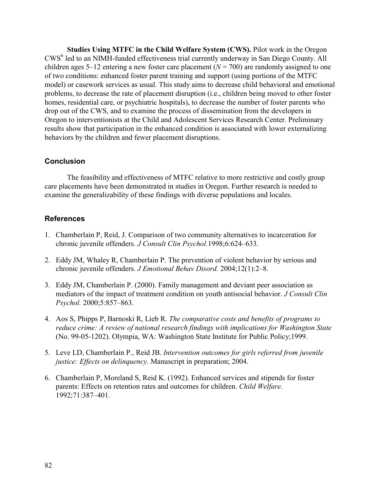**Studies Using MTFC in the Child Welfare System (CWS).** Pilot work in the Oregon CWS<sup>6</sup> led to an NIMH-funded effectiveness trial currently underway in San Diego County. All children ages 5–12 entering a new foster care placement  $(N = 700)$  are randomly assigned to one of two conditions: enhanced foster parent training and support (using portions of the MTFC model) or casework services as usual. This study aims to decrease child behavioral and emotional problems, to decrease the rate of placement disruption (i.e., children being moved to other foster homes, residential care, or psychiatric hospitals), to decrease the number of foster parents who drop out of the CWS, and to examine the process of dissemination from the developers in Oregon to interventionists at the Child and Adolescent Services Research Center. Preliminary results show that participation in the enhanced condition is associated with lower externalizing behaviors by the children and fewer placement disruptions.

#### **Conclusion**

The feasibility and effectiveness of MTFC relative to more restrictive and costly group care placements have been demonstrated in studies in Oregon. Further research is needed to examine the generalizability of these findings with diverse populations and locales.

## **References**

- 1. Chamberlain P, Reid, J. Comparison of two community alternatives to incarceration for chronic juvenile offenders. *J Consult Clin Psychol.*1998;6:624–633.
- 2. Eddy JM, Whaley R, Chamberlain P. The prevention of violent behavior by serious and chronic juvenile offenders. *J Emotional Behav Disord.* 2004;12(1):2–8.
- 3. Eddy JM, Chamberlain P. (2000). Family management and deviant peer association as mediators of the impact of treatment condition on youth antisocial behavior. *J Consult Clin Psychol.* 2000;5:857–863.
- 4. Aos S, Phipps P, Barnoski R, Lieb R. *The comparative costs and benefits of programs to reduce crime: A review of national research findings with implications for Washington State*  (No. 99-05-1202). Olympia, WA: Washington State Institute for Public Policy;1999.
- 5. Leve LD, Chamberlain P., Reid JB. *Intervention outcomes for girls referred from juvenile justice: Effects on delinquency*. Manuscript in preparation; 2004.
- 6. Chamberlain P, Moreland S, Reid K. (1992). Enhanced services and stipends for foster parents: Effects on retention rates and outcomes for children. *Child Welfare*. 1992;71:387–401.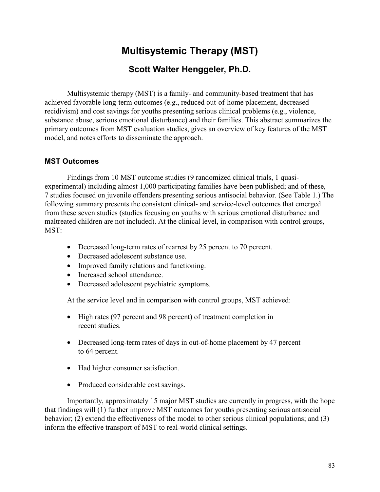# **Multisystemic Therapy (MST)**

# **Scott Walter Henggeler, Ph.D.**

Multisystemic therapy (MST) is a family- and community-based treatment that has achieved favorable long-term outcomes (e.g., reduced out-of-home placement, decreased recidivism) and cost savings for youths presenting serious clinical problems (e.g., violence, substance abuse, serious emotional disturbance) and their families. This abstract summarizes the primary outcomes from MST evaluation studies, gives an overview of key features of the MST model, and notes efforts to disseminate the approach.

## **MST Outcomes**

Findings from 10 MST outcome studies (9 randomized clinical trials, 1 quasiexperimental) including almost 1,000 participating families have been published; and of these, 7 studies focused on juvenile offenders presenting serious antisocial behavior. (See Table 1.) The following summary presents the consistent clinical- and service-level outcomes that emerged from these seven studies (studies focusing on youths with serious emotional disturbance and maltreated children are not included). At the clinical level, in comparison with control groups, MST:

- Decreased long-term rates of rearrest by 25 percent to 70 percent.
- Decreased adolescent substance use.
- Improved family relations and functioning.
- Increased school attendance.
- Decreased adolescent psychiatric symptoms.

At the service level and in comparison with control groups, MST achieved:

- High rates (97 percent and 98 percent) of treatment completion in recent studies.
- • Decreased long-term rates of days in out-of-home placement by 47 percent to 64 percent.
- Had higher consumer satisfaction.
- Produced considerable cost savings.

Importantly, approximately 15 major MST studies are currently in progress, with the hope that findings will (1) further improve MST outcomes for youths presenting serious antisocial behavior; (2) extend the effectiveness of the model to other serious clinical populations; and (3) inform the effective transport of MST to real-world clinical settings.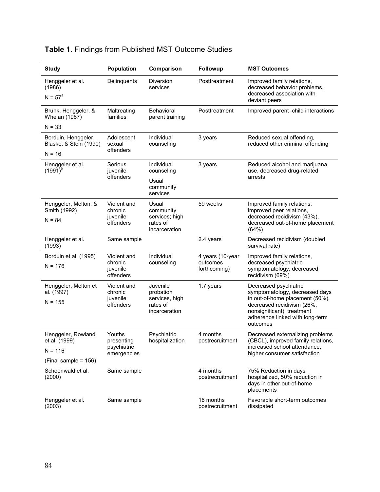| <b>Study</b>                                  | <b>Population</b>                 | Comparison                                  | <b>Followup</b>              | <b>MST Outcomes</b>                                                                                                                        |  |
|-----------------------------------------------|-----------------------------------|---------------------------------------------|------------------------------|--------------------------------------------------------------------------------------------------------------------------------------------|--|
| Henggeler et al.<br>(1986)                    | Delinquents                       | Diversion<br>services                       | Posttreatment                | Improved family relations,<br>decreased behavior problems,<br>decreased association with                                                   |  |
| $N = 57^{\circ}$                              |                                   |                                             |                              | deviant peers                                                                                                                              |  |
| Brunk, Henggeler, &<br>Whelan (1987)          | Maltreating<br>families           | <b>Behavioral</b><br>parent training        | Posttreatment                | Improved parent-child interactions                                                                                                         |  |
| $N = 33$                                      |                                   |                                             |                              |                                                                                                                                            |  |
| Borduin, Henggeler,<br>Blaske, & Stein (1990) | Adolescent<br>sexual<br>offenders | Individual<br>counseling                    | 3 years                      | Reduced sexual offending,<br>reduced other criminal offending                                                                              |  |
| $N = 16$                                      |                                   |                                             |                              |                                                                                                                                            |  |
| Henggeler et al.<br>$(1991)^{p}$              | Serious<br>juvenile               | Individual<br>counseling                    | 3 years                      | Reduced alcohol and marijuana<br>use, decreased drug-related                                                                               |  |
|                                               | offenders                         | Usual<br>community<br>services              |                              | arrests                                                                                                                                    |  |
| Henggeler, Melton, &<br>Smith (1992)          | Violent and<br>chronic            | Usual<br>community                          | 59 weeks                     | Improved family relations,<br>improved peer relations,                                                                                     |  |
| $N = 84$                                      | juvenile<br>offenders             | services; high<br>rates of<br>incarceration |                              | decreased recidivism (43%),<br>decreased out-of-home placement<br>(64%)                                                                    |  |
| Henggeler et al.<br>(1993)                    | Same sample                       |                                             | 2.4 years                    | Decreased recidivism (doubled<br>survival rate)                                                                                            |  |
| Borduin et al. (1995)                         | Violent and                       | Individual                                  | 4 years (10-year             | Improved family relations,                                                                                                                 |  |
| $N = 176$                                     | chronic<br>juvenile<br>offenders  | counseling                                  | outcomes<br>forthcoming)     | decreased psychiatric<br>symptomatology, decreased<br>recidivism (69%)                                                                     |  |
| Henggeler, Melton et<br>al. (1997)            | Violent and<br>chronic            | Juvenile<br>probation                       | 1.7 years                    | Decreased psychiatric<br>symptomatology, decreased days                                                                                    |  |
| $N = 155$                                     | juvenile<br>offenders             | services, high<br>rates of<br>incarceration |                              | in out-of-home placement (50%),<br>decreased recidivism (26%,<br>nonsignificant), treatment<br>adherence linked with long-term<br>outcomes |  |
| Henggeler, Rowland<br>et al. (1999)           | Youths<br>presenting              | Psychiatric<br>hospitalization              | 4 months<br>postrecruitment  | Decreased externalizing problems<br>(CBCL), improved family relations,<br>increased school attendance,<br>higher consumer satisfaction     |  |
| $N = 116$                                     | psychiatric<br>emergencies        |                                             |                              |                                                                                                                                            |  |
| (Final sample = $156$ )                       |                                   |                                             |                              |                                                                                                                                            |  |
| Schoenwald et al.<br>(2000)                   | Same sample                       |                                             | 4 months<br>postrecruitment  | 75% Reduction in days<br>hospitalized, 50% reduction in<br>days in other out-of-home<br>placements                                         |  |
| Henggeler et al.<br>(2003)                    | Same sample                       |                                             | 16 months<br>postrecruitment | Favorable short-term outcomes<br>dissipated                                                                                                |  |

# **Table 1.** Findings from Published MST Outcome Studies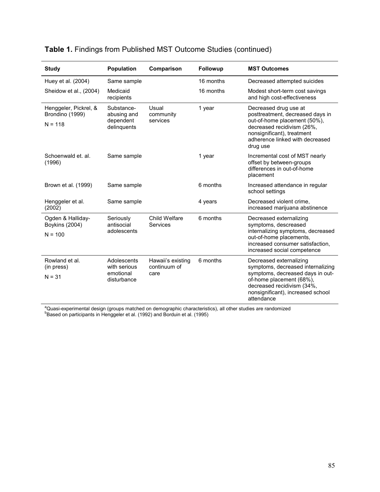| <b>Study</b>                                          | <b>Population</b>                                       | Comparison                                | <b>Followup</b> | <b>MST Outcomes</b>                                                                                                                                                                                           |
|-------------------------------------------------------|---------------------------------------------------------|-------------------------------------------|-----------------|---------------------------------------------------------------------------------------------------------------------------------------------------------------------------------------------------------------|
| Huey et al. (2004)                                    | Same sample                                             |                                           | 16 months       | Decreased attempted suicides                                                                                                                                                                                  |
| Sheidow et al., (2004)                                | Medicaid<br>recipients                                  |                                           | 16 months       | Modest short-term cost savings<br>and high cost-effectiveness                                                                                                                                                 |
| Henggeler, Pickrel, &<br>Brondino (1999)<br>$N = 118$ | Substance-<br>abusing and<br>dependent<br>delinguents   | Usual<br>1 year<br>community<br>services  |                 | Decreased drug use at<br>posttreatment, decreased days in<br>out-of-home placement (50%),<br>decreased recidivism (26%,<br>nonsignificant), treatment<br>adherence linked with decreased                      |
| Schoenwald et. al.<br>(1996)                          | Same sample                                             |                                           | 1 year          | drug use<br>Incremental cost of MST nearly<br>offset by between-groups<br>differences in out-of-home<br>placement                                                                                             |
| Brown et al. (1999)                                   | Same sample                                             |                                           | 6 months        | Increased attendance in regular<br>school settings                                                                                                                                                            |
| Henggeler et al.<br>(2002)                            | Same sample                                             |                                           | 4 years         | Decreased violent crime.<br>increased marijuana abstinence                                                                                                                                                    |
| Ogden & Halliday-<br>Boykins (2004)<br>$N = 100$      | Seriously<br>antisocial<br>adolescents                  | Child Welfare<br>Services                 | 6 months        | Decreased externalizing<br>symptoms, descreased<br>internalizing symptoms, decreased<br>out-of-home placements,<br>increased consumer satisfaction,<br>increased social competence                            |
| Rowland et al.<br>(in press)<br>$N = 31$              | Adolescents<br>with serious<br>emotional<br>disturbance | Hawaii's existing<br>continuum of<br>care | 6 months        | Decreased externalizing<br>symptoms, decreased internalizing<br>symptoms, decreased days in out-<br>of-home placement (68%),<br>decreased recidivism (34%,<br>nonsignificant), increased school<br>attendance |

# **Table 1.** Findings from Published MST Outcome Studies (continued)

<sup>a</sup>Quasi-experimental design (groups matched on demographic characteristics), all other studies are randomized<br><sup>b</sup>Based on participants in Henggeler et al. (1992) and Borduin et al. (1995)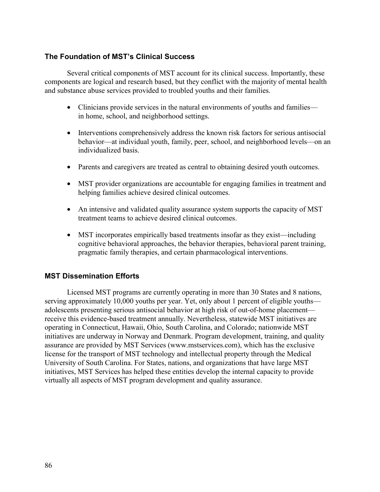## **The Foundation of MST's Clinical Success**

Several critical components of MST account for its clinical success. Importantly, these components are logical and research based, but they conflict with the majority of mental health and substance abuse services provided to troubled youths and their families.

- Clinicians provide services in the natural environments of youths and families in home, school, and neighborhood settings.
- Interventions comprehensively address the known risk factors for serious antisocial behavior—at individual youth, family, peer, school, and neighborhood levels—on an individualized basis.
- Parents and caregivers are treated as central to obtaining desired youth outcomes.
- MST provider organizations are accountable for engaging families in treatment and helping families achieve desired clinical outcomes.
- An intensive and validated quality assurance system supports the capacity of MST treatment teams to achieve desired clinical outcomes.
- MST incorporates empirically based treatments insofar as they exist—including cognitive behavioral approaches, the behavior therapies, behavioral parent training, pragmatic family therapies, and certain pharmacological interventions.

## **MST Dissemination Efforts**

Licensed MST programs are currently operating in more than 30 States and 8 nations, serving approximately 10,000 youths per year. Yet, only about 1 percent of eligible youths adolescents presenting serious antisocial behavior at high risk of out-of-home placement receive this evidence-based treatment annually. Nevertheless, statewide MST initiatives are operating in Connecticut, Hawaii, Ohio, South Carolina, and Colorado; nationwide MST initiatives are underway in Norway and Denmark. Program development, training, and quality assurance are provided by MST Services (www.mstservices.com), which has the exclusive license for the transport of MST technology and intellectual property through the Medical University of South Carolina. For States, nations, and organizations that have large MST initiatives, MST Services has helped these entities develop the internal capacity to provide virtually all aspects of MST program development and quality assurance.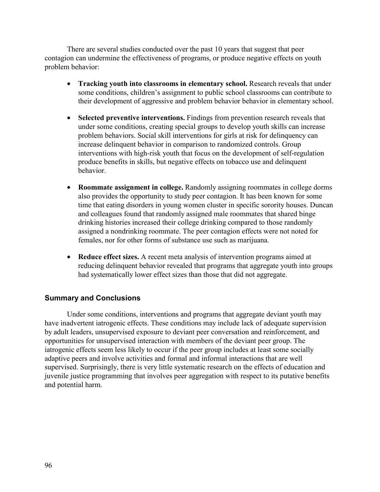There are several studies conducted over the past 10 years that suggest that peer contagion can undermine the effectiveness of programs, or produce negative effects on youth problem behavior:

- **Tracking youth into classrooms in elementary school.** Research reveals that under some conditions, children's assignment to public school classrooms can contribute to their development of aggressive and problem behavior behavior in elementary school.
- Selected preventive interventions. Findings from prevention research reveals that under some conditions, creating special groups to develop youth skills can increase problem behaviors. Social skill interventions for girls at risk for delinquency can increase delinquent behavior in comparison to randomized controls. Group interventions with high-risk youth that focus on the development of self-regulation produce benefits in skills, but negative effects on tobacco use and delinquent behavior.
- **Roommate assignment in college.** Randomly assigning roommates in college dorms also provides the opportunity to study peer contagion. It has been known for some time that eating disorders in young women cluster in specific sorority houses. Duncan and colleagues found that randomly assigned male roommates that shared binge drinking histories increased their college drinking compared to those randomly assigned a nondrinking roommate. The peer contagion effects were not noted for females, nor for other forms of substance use such as marijuana.
- **Reduce effect sizes.** A recent meta analysis of intervention programs aimed at reducing delinquent behavior revealed that programs that aggregate youth into groups had systematically lower effect sizes than those that did not aggregate.

#### **Summary and Conclusions**

Under some conditions, interventions and programs that aggregate deviant youth may have inadvertent iatrogenic effects. These conditions may include lack of adequate supervision by adult leaders, unsupervised exposure to deviant peer conversation and reinforcement, and opportunities for unsupervised interaction with members of the deviant peer group. The iatrogenic effects seem less likely to occur if the peer group includes at least some socially adaptive peers and involve activities and formal and informal interactions that are well supervised. Surprisingly, there is very little systematic research on the effects of education and juvenile justice programming that involves peer aggregation with respect to its putative benefits and potential harm.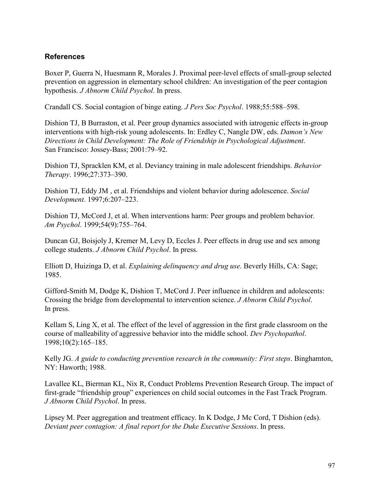## **References**

Boxer P, Guerra N, Huesmann R, Morales J. Proximal peer-level effects of small-group selected prevention on aggression in elementary school children: An investigation of the peer contagion hypothesis. *J Abnorm Child Psychol*. In press.

Crandall CS. Social contagion of binge eating. *J Pers Soc Psychol*. 1988;55:588–598.

Dishion TJ, B Burraston, et al. Peer group dynamics associated with iatrogenic effects in-group interventions with high-risk young adolescents. In: Erdley C, Nangle DW, eds. *Damon's New Directions in Child Development: The Role of Friendship in Psychological Adjustment*. San Francisco: Jossey-Bass; 2001:79–92.

Dishion TJ, Spracklen KM, et al. Deviancy training in male adolescent friendships. *Behavior Therapy*. 1996;27:373–390.

Dishion TJ, Eddy JM , et al. Friendships and violent behavior during adolescence. *Social Development*. 1997;6:207–223.

Dishion TJ, McCord J, et al. When interventions harm: Peer groups and problem behavior. *Am Psychol*. 1999;54(9):755–764.

Duncan GJ, Boisjoly J, Kremer M, Levy D, Eccles J. Peer effects in drug use and sex among college students. *J Abnorm Child Psychol*. In press.

Elliott D, Huizinga D, et al. *Explaining delinquency and drug use*. Beverly Hills, CA: Sage; 1985.

Gifford-Smith M, Dodge K, Dishion T, McCord J. Peer influence in children and adolescents: Crossing the bridge from developmental to intervention science. *J Abnorm Child Psychol*. In press.

Kellam S, Ling X, et al. The effect of the level of aggression in the first grade classroom on the course of malleability of aggressive behavior into the middle school. *Dev Psychopathol*. 1998;10(2):165–185.

Kelly JG. *A guide to conducting prevention research in the community: First steps*. Binghamton, NY: Haworth; 1988.

Lavallee KL, Bierman KL, Nix R, Conduct Problems Prevention Research Group. The impact of first-grade "friendship group" experiences on child social outcomes in the Fast Track Program. *J Abnorm Child Psychol*. In press.

Lipsey M. Peer aggregation and treatment efficacy. In K Dodge, J Mc Cord, T Dishion (eds). *Deviant peer contagion: A final report for the Duke Executive Sessions*. In press.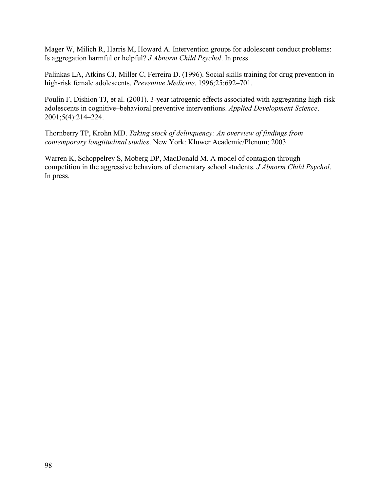Mager W, Milich R, Harris M, Howard A. Intervention groups for adolescent conduct problems: Is aggregation harmful or helpful? *J Abnorm Child Psychol*. In press.

Palinkas LA, Atkins CJ, Miller C, Ferreira D. (1996). Social skills training for drug prevention in high-risk female adolescents. *Preventive Medicine*. 1996;25:692–701.

Poulin F, Dishion TJ, et al. (2001). 3-year iatrogenic effects associated with aggregating high-risk adolescents in cognitive–behavioral preventive interventions. *Applied Development Science*. 2001;5(4):214–224.

Thornberry TP, Krohn MD. *Taking stock of delinquency: An overview of findings from contemporary longtitudinal studies*. New York: Kluwer Academic/Plenum; 2003.

Warren K, Schoppelrey S, Moberg DP, MacDonald M. A model of contagion through competition in the aggressive behaviors of elementary school students. *J Abnorm Child Psychol*. In press.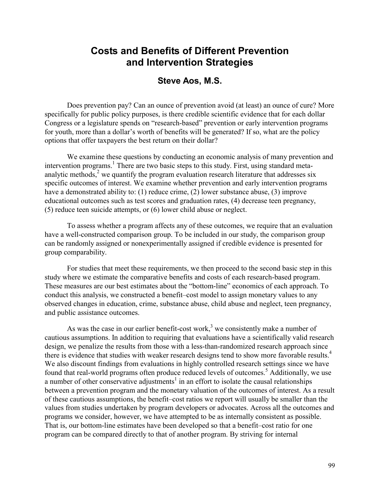# **Costs and Benefits of Different Prevention and Intervention Strategies**

## **Steve Aos, M.S.**

Does prevention pay? Can an ounce of prevention avoid (at least) an ounce of cure? More specifically for public policy purposes, is there credible scientific evidence that for each dollar Congress or a legislature spends on "research-based" prevention or early intervention programs for youth, more than a dollar's worth of benefits will be generated? If so, what are the policy options that offer taxpayers the best return on their dollar?

 educational outcomes such as test scores and graduation rates, (4) decrease teen pregnancy, (5) reduce teen suicide attempts, or (6) lower child abuse or neglect. We examine these questions by conducting an economic analysis of many prevention and intervention programs.<sup>1</sup> There are two basic steps to this study. First, using standard metaanalytic methods,<sup>2</sup> we quantify the program evaluation research literature that addresses six specific outcomes of interest. We examine whether prevention and early intervention programs have a demonstrated ability to: (1) reduce crime, (2) lower substance abuse, (3) improve

To assess whether a program affects any of these outcomes, we require that an evaluation have a well-constructed comparison group. To be included in our study, the comparison group can be randomly assigned or nonexperimentally assigned if credible evidence is presented for group comparability.

For studies that meet these requirements, we then proceed to the second basic step in this study where we estimate the comparative benefits and costs of each research-based program. These measures are our best estimates about the "bottom-line" economics of each approach. To conduct this analysis, we constructed a benefit–cost model to assign monetary values to any observed changes in education, crime, substance abuse, child abuse and neglect, teen pregnancy, and public assistance outcomes.

As was the case in our earlier benefit-cost work,<sup>3</sup> we consistently make a number of cautious assumptions. In addition to requiring that evaluations have a scientifically valid research design, we penalize the results from those with a less-than-randomized research approach since there is evidence that studies with weaker research designs tend to show more favorable results.<sup>4</sup> We also discount findings from evaluations in highly controlled research settings since we have found that real-world programs often produce reduced levels of outcomes.<sup>5</sup> Additionally, we use a number of other conservative adjustments<sup>1</sup> in an effort to isolate the causal relationships between a prevention program and the monetary valuation of the outcomes of interest. As a result of these cautious assumptions, the benefit–cost ratios we report will usually be smaller than the values from studies undertaken by program developers or advocates. Across all the outcomes and programs we consider, however, we have attempted to be as internally consistent as possible. That is, our bottom-line estimates have been developed so that a benefit–cost ratio for one program can be compared directly to that of another program. By striving for internal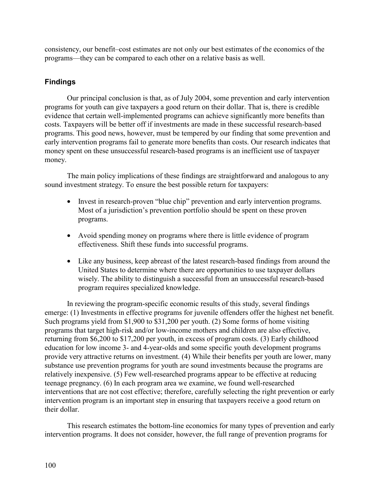consistency, our benefit–cost estimates are not only our best estimates of the economics of the programs—they can be compared to each other on a relative basis as well.

## **Findings**

Our principal conclusion is that, as of July 2004, some prevention and early intervention programs for youth can give taxpayers a good return on their dollar. That is, there is credible evidence that certain well-implemented programs can achieve significantly more benefits than costs. Taxpayers will be better off if investments are made in these successful research-based programs. This good news, however, must be tempered by our finding that some prevention and early intervention programs fail to generate more benefits than costs. Our research indicates that money spent on these unsuccessful research-based programs is an inefficient use of taxpayer money.

The main policy implications of these findings are straightforward and analogous to any sound investment strategy. To ensure the best possible return for taxpayers:

- Invest in research-proven "blue chip" prevention and early intervention programs. Most of a jurisdiction's prevention portfolio should be spent on these proven programs.
- Avoid spending money on programs where there is little evidence of program effectiveness. Shift these funds into successful programs.
- Like any business, keep abreast of the latest research-based findings from around the United States to determine where there are opportunities to use taxpayer dollars wisely. The ability to distinguish a successful from an unsuccessful research-based program requires specialized knowledge.

In reviewing the program-specific economic results of this study, several findings emerge: (1) Investments in effective programs for juvenile offenders offer the highest net benefit. Such programs yield from \$1,900 to \$31,200 per youth. (2) Some forms of home visiting programs that target high-risk and/or low-income mothers and children are also effective, returning from \$6,200 to \$17,200 per youth, in excess of program costs. (3) Early childhood education for low income 3- and 4-year-olds and some specific youth development programs provide very attractive returns on investment. (4) While their benefits per youth are lower, many substance use prevention programs for youth are sound investments because the programs are relatively inexpensive. (5) Few well-researched programs appear to be effective at reducing teenage pregnancy. (6) In each program area we examine, we found well-researched interventions that are not cost effective; therefore, carefully selecting the right prevention or early intervention program is an important step in ensuring that taxpayers receive a good return on their dollar.

This research estimates the bottom-line economics for many types of prevention and early intervention programs. It does not consider, however, the full range of prevention programs for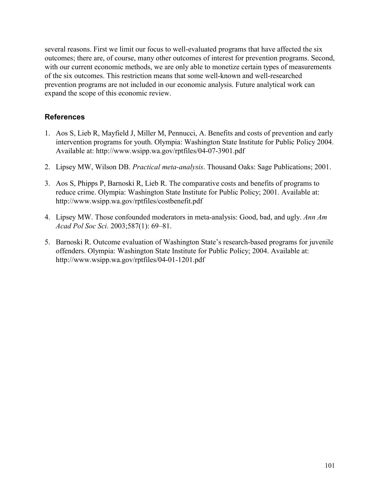several reasons. First we limit our focus to well-evaluated programs that have affected the six outcomes; there are, of course, many other outcomes of interest for prevention programs. Second, with our current economic methods, we are only able to monetize certain types of measurements of the six outcomes. This restriction means that some well-known and well-researched prevention programs are not included in our economic analysis. Future analytical work can expand the scope of this economic review.

## **References**

- 1. Aos S, Lieb R, Mayfield J, Miller M, Pennucci, A. Benefits and costs of prevention and early intervention programs for youth. Olympia: Washington State Institute for Public Policy 2004. Available at: http://www.wsipp.wa.gov/rptfiles/04-07-3901.pdf
- 2. Lipsey MW, Wilson DB. *Practical meta-analysis*. Thousand Oaks: Sage Publications; 2001.
- 3. Aos S, Phipps P, Barnoski R, Lieb R. The comparative costs and benefits of programs to reduce crime. Olympia: Washington State Institute for Public Policy; 2001. Available at: http://www.wsipp.wa.gov/rptfiles/costbenefit.pdf
- 4. Lipsey MW. Those confounded moderators in meta-analysis: Good, bad, and ugly. *Ann Am Acad Pol Soc Sci*. 2003;587(1): 69–81.
- 5. Barnoski R. Outcome evaluation of Washington State's research-based programs for juvenile offenders. Olympia: Washington State Institute for Public Policy; 2004. Available at: http://www.wsipp.wa.gov/rptfiles/04-01-1201.pdf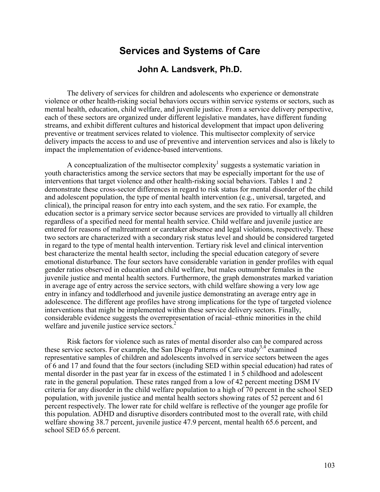# **Services and Systems of Care**

## **John A. Landsverk, Ph.D.**

The delivery of services for children and adolescents who experience or demonstrate violence or other health-risking social behaviors occurs within service systems or sectors, such as mental health, education, child welfare, and juvenile justice. From a service delivery perspective, each of these sectors are organized under different legislative mandates, have different funding streams, and exhibit different cultures and historical development that impact upon delivering preventive or treatment services related to violence. This multisector complexity of service delivery impacts the access to and use of preventive and intervention services and also is likely to impact the implementation of evidence-based interventions.

A conceptualization of the multisector complexity<sup>1</sup> suggests a systematic variation in youth characteristics among the service sectors that may be especially important for the use of interventions that target violence and other health-risking social behaviors. Tables 1 and 2 demonstrate these cross-sector differences in regard to risk status for mental disorder of the child and adolescent population, the type of mental health intervention (e.g., universal, targeted, and clinical), the principal reason for entry into each system, and the sex ratio. For example, the education sector is a primary service sector because services are provided to virtually all children regardless of a specified need for mental health service. Child welfare and juvenile justice are entered for reasons of maltreatment or caretaker absence and legal violations, respectively. These two sectors are characterized with a secondary risk status level and should be considered targeted in regard to the type of mental health intervention. Tertiary risk level and clinical intervention best characterize the mental health sector, including the special education category of severe emotional disturbance. The four sectors have considerable variation in gender profiles with equal gender ratios observed in education and child welfare, but males outnumber females in the juvenile justice and mental health sectors. Furthermore, the graph demonstrates marked variation in average age of entry across the service sectors, with child welfare showing a very low age entry in infancy and toddlerhood and juvenile justice demonstrating an average entry age in adolescence. The different age profiles have strong implications for the type of targeted violence interventions that might be implemented within these service delivery sectors. Finally, considerable evidence suggests the overrepresentation of racial–ethnic minorities in the child welfare and juvenile justice service sectors.<sup>2</sup>

Risk factors for violence such as rates of mental disorder also can be compared across these service sectors. For example, the San Diego Patterns of Care study<sup>3,4</sup> examined representative samples of children and adolescents involved in service sectors between the ages of 6 and 17 and found that the four sectors (including SED within special education) had rates of mental disorder in the past year far in excess of the estimated 1 in 5 childhood and adolescent rate in the general population. These rates ranged from a low of 42 percent meeting DSM IV criteria for any disorder in the child welfare population to a high of 70 percent in the school SED population, with juvenile justice and mental health sectors showing rates of 52 percent and 61 percent respectively. The lower rate for child welfare is reflective of the younger age profile for this population. ADHD and disruptive disorders contributed most to the overall rate, with child welfare showing 38.7 percent, juvenile justice 47.9 percent, mental health 65.6 percent, and school SED 65.6 percent.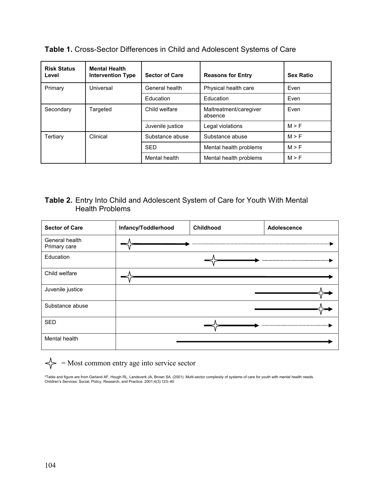| <b>Risk Status</b><br>Level | <b>Mental Health</b><br><b>Intervention Type</b> | <b>Sector of Care</b> | <b>Reasons for Entry</b>          | <b>Sex Ratio</b> |
|-----------------------------|--------------------------------------------------|-----------------------|-----------------------------------|------------------|
| Primary                     | Universal                                        | General health        | Physical health care              | Even             |
|                             |                                                  | Education             | Education                         | Even             |
| Secondary                   | Targeted                                         | Child welfare         | Maltreatment/caregiver<br>absence | Even             |
|                             |                                                  | Juvenile justice      | Legal violations                  | M > F            |
| Tertiary                    | Clinical                                         | Substance abuse       | Substance abuse                   | M > F            |
|                             |                                                  | <b>SED</b>            | Mental health problems            | M > F            |
|                             |                                                  | Mental health         | Mental health problems            | M > F            |

# **Table 1.** Cross-Sector Differences in Child and Adolescent Systems of Care

## **Table 2.** Entry Into Child and Adolescent System of Care for Youth With Mental Health Problems

| <b>Sector of Care</b>          | Infancy/Toddlerhood | Childhood | Adolescence |
|--------------------------------|---------------------|-----------|-------------|
| General health<br>Primary care |                     |           |             |
| Education                      |                     |           |             |
| Child welfare                  |                     |           |             |
| Juvenile justice               |                     |           |             |
| Substance abuse                |                     |           |             |
| <b>SED</b>                     |                     |           |             |
| Mental health                  |                     |           |             |

 $\leftarrow$  = Most common entry age into service sector

\*Table and figure are from Garland AF, Hough RL, Landsverk JA, Brown SA. (2001). Multi-sector complexity of systems of care for youth with mental health needs.<br>Children's Services: Social, Policy, Research, and Practice. 2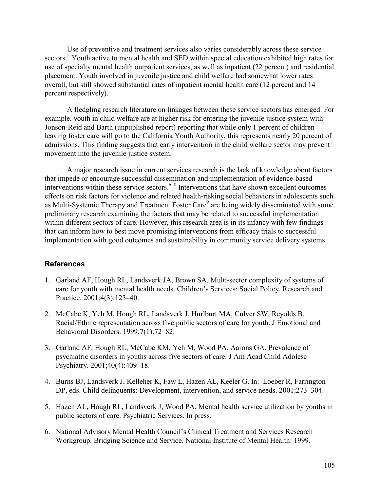Use of preventive and treatment services also varies considerably across these service sectors.<sup>5</sup> Youth active to mental health and SED within special education exhibited high rates for use of specialty mental health outpatient services, as well as inpatient (22 percent) and residential placement. Youth involved in juvenile justice and child welfare had somewhat lower rates overall, but still showed substantial rates of inpatient mental health care (12 percent and 14 percent respectively).

A fledgling research literature on linkages between these service sectors has emerged. For example, youth in child welfare are at higher risk for entering the juvenile justice system with Jonson-Reid and Barth (unpublished report) reporting that while only 1 percent of children leaving foster care will go to the California Youth Authority, this represents nearly 20 percent of admissions. This finding suggests that early intervention in the child welfare sector may prevent movement into the juvenile justice system.

A major research issue in current services research is the lack of knowledge about factors that impede or encourage successful dissemination and implementation of evidence-based interventions within these service sectors. $6-8$  Interventions that have shown excellent outcomes effects on risk factors for violence and related health-risking social behaviors in adolescents such as Multi-Systemic Therapy and Treatment Foster Care<sup>9</sup> are being widely disseminated with some preliminary research examining the factors that may be related to successful implementation within different sectors of care. However, this research area is in its infancy with few findings that can inform how to best move promising interventions from efficacy trials to successful implementation with good outcomes and sustainability in community service delivery systems.

## **References**

- 1. Garland AF, Hough RL, Landsverk JA, Brown SA. Multi-sector complexity of systems of care for youth with mental health needs. Children's Services: Social Policy, Research and Practice. 2001;4(3):123–40.
- 2. McCabe K, Yeh M, Hough RL, Landsverk J, Hurlburt MA, Culver SW, Reyolds B. Racial/Ethnic representation across five public sectors of care for youth. J Emotional and Behavioral Disorders. 1999;7(1):72–82.
- 3. Garland AF, Hough RL, McCabe KM, Yeh M, Wood PA, Aarons GA. Prevalence of psychiatric disorders in youths across five sectors of care. J Am Acad Child Adolesc Psychiatry. 2001;40(4):409–18.
- 4. Burns BJ, Landsverk J, Kelleher K, Faw L, Hazen AL, Keeler G. In: Loeber R, Farrington DP, eds. Child delinquents: Development, intervention, and service needs. 2001:273–304.
- 5. Hazen AL, Hough RL, Landsverk J, Wood PA. Mental health service utilization by youths in public sectors of care. Psychiatric Services. In press.
- 6. National Advisory Mental Health Council's Clinical Treatment and Services Research Workgroup. Bridging Science and Service. National Institute of Mental Health: 1999.